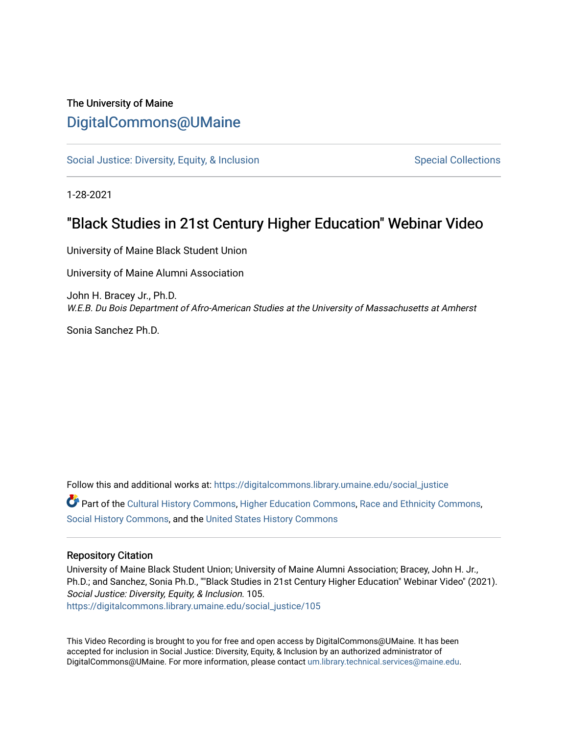## The University of Maine [DigitalCommons@UMaine](https://digitalcommons.library.umaine.edu/)

[Social Justice: Diversity, Equity, & Inclusion](https://digitalcommons.library.umaine.edu/social_justice) [Special Collections](https://digitalcommons.library.umaine.edu/specialcollections) Special Collections

1-28-2021

## "Black Studies in 21st Century Higher Education" Webinar Video

University of Maine Black Student Union

University of Maine Alumni Association

John H. Bracey Jr., Ph.D. W.E.B. Du Bois Department of Afro-American Studies at the University of Massachusetts at Amherst

Sonia Sanchez Ph.D.

Follow this and additional works at: [https://digitalcommons.library.umaine.edu/social\\_justice](https://digitalcommons.library.umaine.edu/social_justice?utm_source=digitalcommons.library.umaine.edu%2Fsocial_justice%2F105&utm_medium=PDF&utm_campaign=PDFCoverPages)  Part of the [Cultural History Commons](http://network.bepress.com/hgg/discipline/496?utm_source=digitalcommons.library.umaine.edu%2Fsocial_justice%2F105&utm_medium=PDF&utm_campaign=PDFCoverPages), [Higher Education Commons,](http://network.bepress.com/hgg/discipline/1245?utm_source=digitalcommons.library.umaine.edu%2Fsocial_justice%2F105&utm_medium=PDF&utm_campaign=PDFCoverPages) [Race and Ethnicity Commons](http://network.bepress.com/hgg/discipline/426?utm_source=digitalcommons.library.umaine.edu%2Fsocial_justice%2F105&utm_medium=PDF&utm_campaign=PDFCoverPages), [Social History Commons](http://network.bepress.com/hgg/discipline/506?utm_source=digitalcommons.library.umaine.edu%2Fsocial_justice%2F105&utm_medium=PDF&utm_campaign=PDFCoverPages), and the [United States History Commons](http://network.bepress.com/hgg/discipline/495?utm_source=digitalcommons.library.umaine.edu%2Fsocial_justice%2F105&utm_medium=PDF&utm_campaign=PDFCoverPages)

## Repository Citation

University of Maine Black Student Union; University of Maine Alumni Association; Bracey, John H. Jr., Ph.D.; and Sanchez, Sonia Ph.D., ""Black Studies in 21st Century Higher Education" Webinar Video" (2021). Social Justice: Diversity, Equity, & Inclusion. 105. [https://digitalcommons.library.umaine.edu/social\\_justice/105](https://digitalcommons.library.umaine.edu/social_justice/105?utm_source=digitalcommons.library.umaine.edu%2Fsocial_justice%2F105&utm_medium=PDF&utm_campaign=PDFCoverPages) 

This Video Recording is brought to you for free and open access by DigitalCommons@UMaine. It has been accepted for inclusion in Social Justice: Diversity, Equity, & Inclusion by an authorized administrator of DigitalCommons@UMaine. For more information, please contact [um.library.technical.services@maine.edu](mailto:um.library.technical.services@maine.edu).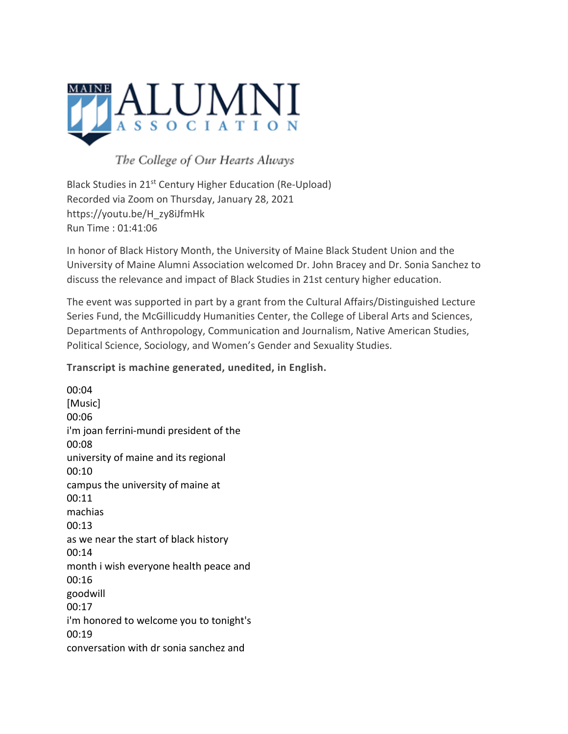

The College of Our Hearts Always

Black Studies in 21st Century Higher Education (Re-Upload) Recorded via Zoom on Thursday, January 28, 2021 https://youtu.be/H\_zy8iJfmHk Run Time : 01:41:06

In honor of Black History Month, the University of Maine Black Student Union and the University of Maine Alumni Association welcomed Dr. John Bracey and Dr. Sonia Sanchez to discuss the relevance and impact of Black Studies in 21st century higher education.

The event was supported in part by a grant from the Cultural Affairs/Distinguished Lecture Series Fund, the McGillicuddy Humanities Center, the College of Liberal Arts and Sciences, Departments of Anthropology, Communication and Journalism, Native American Studies, Political Science, Sociology, and Women's Gender and Sexuality Studies.

**Transcript is machine generated, unedited, in English.**

00:04 [Music] 00:06 i'm joan ferrini-mundi president of the 00:08 university of maine and its regional 00:10 campus the university of maine at 00:11 machias 00:13 as we near the start of black history 00:14 month i wish everyone health peace and 00:16 goodwill 00:17 i'm honored to welcome you to tonight's 00:19 conversation with dr sonia sanchez and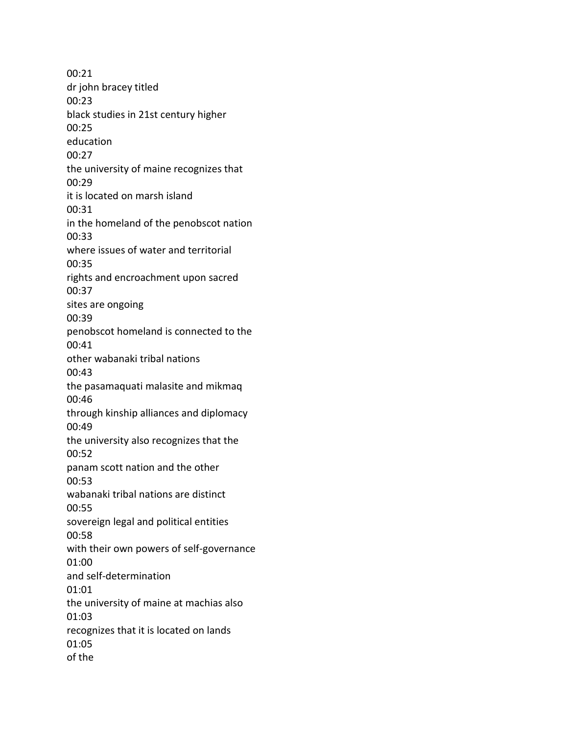00:21 dr john bracey titled 00:23 black studies in 21st century higher 00:25 education 00:27 the university of maine recognizes that 00:29 it is located on marsh island 00:31 in the homeland of the penobscot nation 00:33 where issues of water and territorial 00:35 rights and encroachment upon sacred 00:37 sites are ongoing 00:39 penobscot homeland is connected to the 00:41 other wabanaki tribal nations 00:43 the pasamaquati malasite and mikmaq 00:46 through kinship alliances and diplomacy 00:49 the university also recognizes that the 00:52 panam scott nation and the other 00:53 wabanaki tribal nations are distinct 00:55 sovereign legal and political entities 00:58 with their own powers of self-governance 01:00 and self-determination 01:01 the university of maine at machias also 01:03 recognizes that it is located on lands 01:05 of the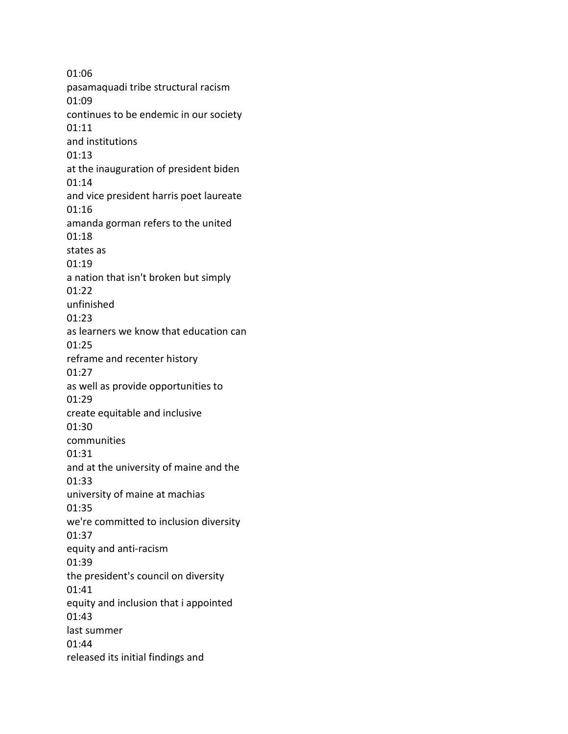01:06 pasamaquadi tribe structural racism 01:09 continues to be endemic in our society 01:11 and institutions 01:13 at the inauguration of president biden 01:14 and vice president harris poet laureate 01:16 amanda gorman refers to the united 01:18 states as 01:19 a nation that isn't broken but simply 01:22 unfinished 01:23 as learners we know that education can 01:25 reframe and recenter history 01:27 as well as provide opportunities to 01:29 create equitable and inclusive 01:30 communities 01:31 and at the university of maine and the 01:33 university of maine at machias 01:35 we're committed to inclusion diversity 01:37 equity and anti-racism 01:39 the president's council on diversity 01:41 equity and inclusion that i appointed 01:43 last summer 01:44 released its initial findings and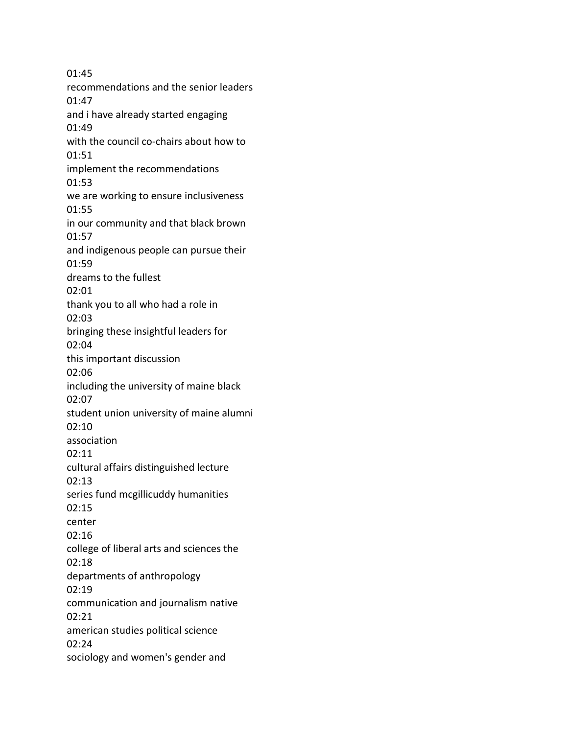01:45 recommendations and the senior leaders 01:47 and i have already started engaging 01:49 with the council co-chairs about how to 01:51 implement the recommendations 01:53 we are working to ensure inclusiveness 01:55 in our community and that black brown 01:57 and indigenous people can pursue their 01:59 dreams to the fullest 02:01 thank you to all who had a role in 02:03 bringing these insightful leaders for 02:04 this important discussion 02:06 including the university of maine black 02:07 student union university of maine alumni 02:10 association 02:11 cultural affairs distinguished lecture 02:13 series fund mcgillicuddy humanities 02:15 center 02:16 college of liberal arts and sciences the 02:18 departments of anthropology 02:19 communication and journalism native 02:21 american studies political science 02:24 sociology and women's gender and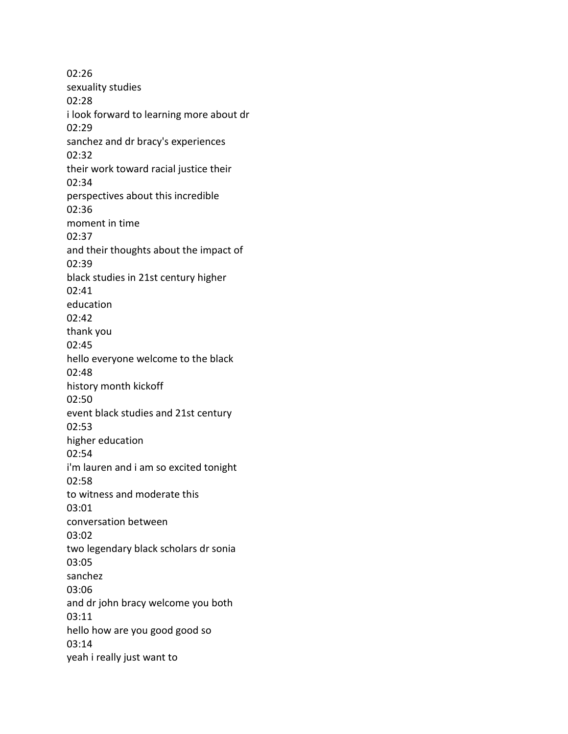02:26 sexuality studies 02:28 i look forward to learning more about dr 02:29 sanchez and dr bracy's experiences 02:32 their work toward racial justice their 02:34 perspectives about this incredible 02:36 moment in time 02:37 and their thoughts about the impact of 02:39 black studies in 21st century higher 02:41 education 02:42 thank you 02:45 hello everyone welcome to the black 02:48 history month kickoff 02:50 event black studies and 21st century 02:53 higher education 02:54 i'm lauren and i am so excited tonight 02:58 to witness and moderate this 03:01 conversation between 03:02 two legendary black scholars dr sonia 03:05 sanchez 03:06 and dr john bracy welcome you both 03:11 hello how are you good good so 03:14 yeah i really just want to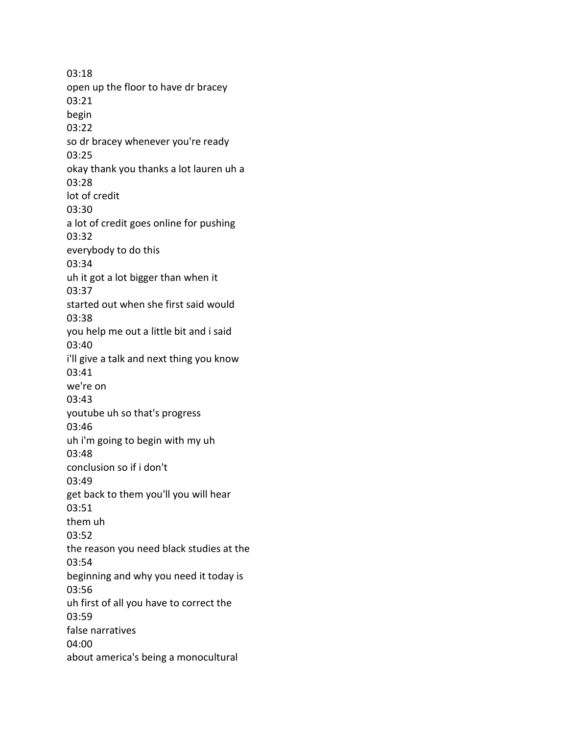03:18 open up the floor to have dr bracey 03:21 begin 03:22 so dr bracey whenever you're ready 03:25 okay thank you thanks a lot lauren uh a 03:28 lot of credit 03:30 a lot of credit goes online for pushing 03:32 everybody to do this 03:34 uh it got a lot bigger than when it 03:37 started out when she first said would 03:38 you help me out a little bit and i said 03:40 i'll give a talk and next thing you know 03:41 we're on 03:43 youtube uh so that's progress 03:46 uh i'm going to begin with my uh 03:48 conclusion so if i don't 03:49 get back to them you'll you will hear 03:51 them uh 03:52 the reason you need black studies at the 03:54 beginning and why you need it today is 03:56 uh first of all you have to correct the 03:59 false narratives 04:00 about america's being a monocultural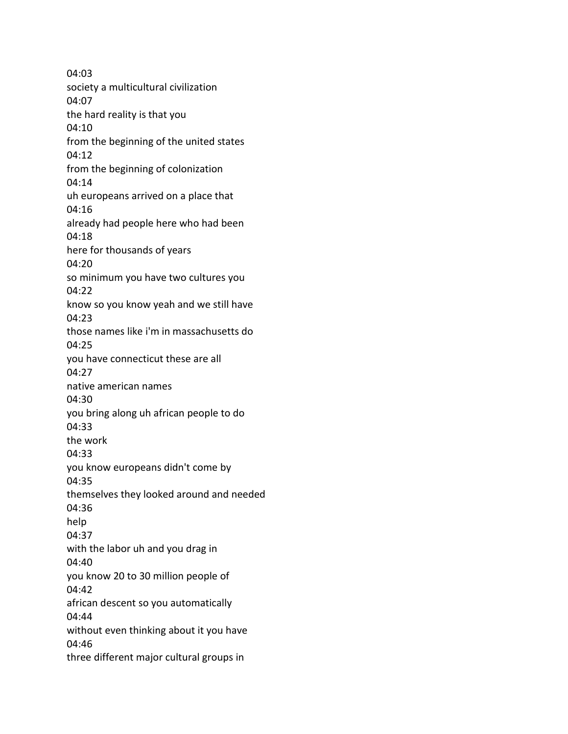04:03 society a multicultural civilization 04:07 the hard reality is that you 04:10 from the beginning of the united states 04:12 from the beginning of colonization 04:14 uh europeans arrived on a place that 04:16 already had people here who had been 04:18 here for thousands of years 04:20 so minimum you have two cultures you 04:22 know so you know yeah and we still have 04:23 those names like i'm in massachusetts do 04:25 you have connecticut these are all 04:27 native american names 04:30 you bring along uh african people to do 04:33 the work 04:33 you know europeans didn't come by 04:35 themselves they looked around and needed 04:36 help 04:37 with the labor uh and you drag in 04:40 you know 20 to 30 million people of 04:42 african descent so you automatically 04:44 without even thinking about it you have 04:46 three different major cultural groups in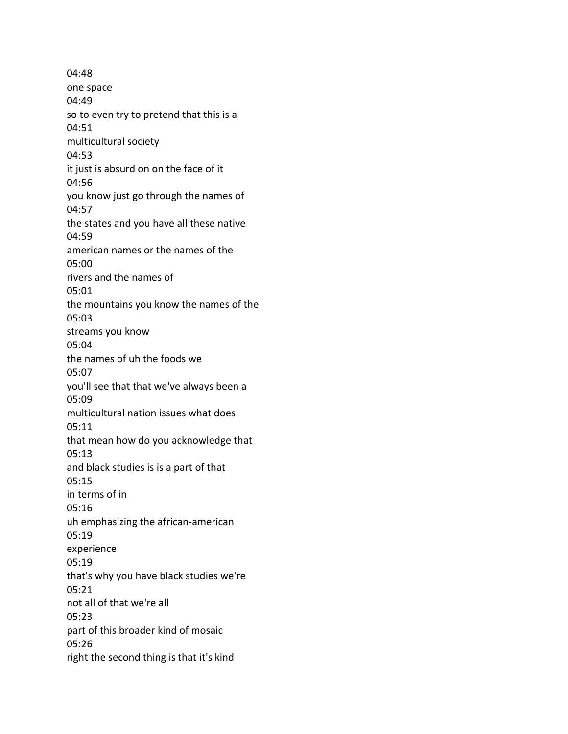04:48 one space 04:49 so to even try to pretend that this is a 04:51 multicultural society 04:53 it just is absurd on on the face of it 04:56 you know just go through the names of 04:57 the states and you have all these native 04:59 american names or the names of the 05:00 rivers and the names of 05:01 the mountains you know the names of the 05:03 streams you know 05:04 the names of uh the foods we 05:07 you'll see that that we've always been a 05:09 multicultural nation issues what does 05:11 that mean how do you acknowledge that 05:13 and black studies is is a part of that 05:15 in terms of in 05:16 uh emphasizing the african-american 05:19 experience 05:19 that's why you have black studies we're 05:21 not all of that we're all 05:23 part of this broader kind of mosaic 05:26 right the second thing is that it's kind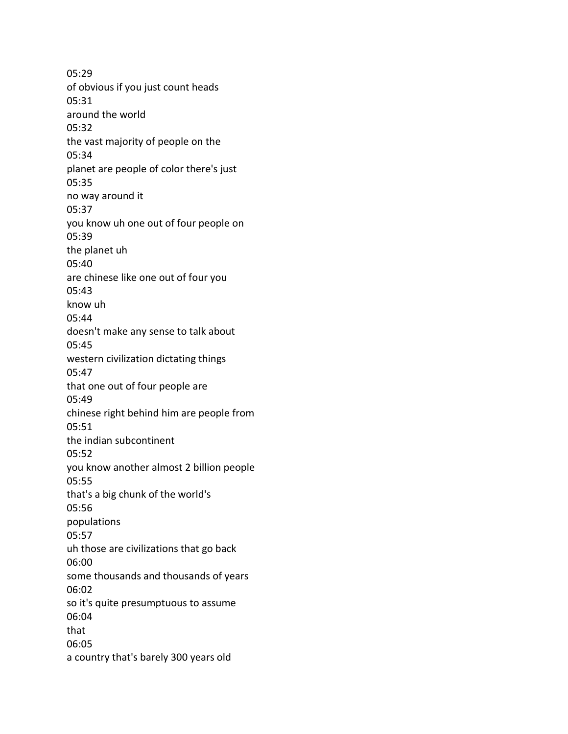05:29 of obvious if you just count heads 05:31 around the world 05:32 the vast majority of people on the 05:34 planet are people of color there's just 05:35 no way around it 05:37 you know uh one out of four people on 05:39 the planet uh 05:40 are chinese like one out of four you 05:43 know uh 05:44 doesn't make any sense to talk about 05:45 western civilization dictating things 05:47 that one out of four people are 05:49 chinese right behind him are people from 05:51 the indian subcontinent 05:52 you know another almost 2 billion people 05:55 that's a big chunk of the world's 05:56 populations 05:57 uh those are civilizations that go back 06:00 some thousands and thousands of years 06:02 so it's quite presumptuous to assume 06:04 that 06:05 a country that's barely 300 years old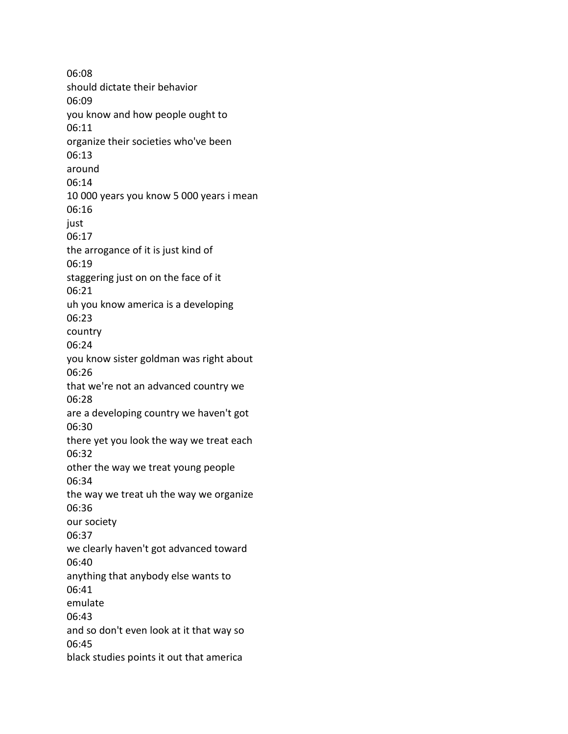06:08 should dictate their behavior 06:09 you know and how people ought to 06:11 organize their societies who've been 06:13 around 06:14 10 000 years you know 5 000 years i mean 06:16 just 06:17 the arrogance of it is just kind of 06:19 staggering just on on the face of it 06:21 uh you know america is a developing 06:23 country 06:24 you know sister goldman was right about 06:26 that we're not an advanced country we 06:28 are a developing country we haven't got 06:30 there yet you look the way we treat each 06:32 other the way we treat young people 06:34 the way we treat uh the way we organize 06:36 our society 06:37 we clearly haven't got advanced toward 06:40 anything that anybody else wants to 06:41 emulate 06:43 and so don't even look at it that way so 06:45 black studies points it out that america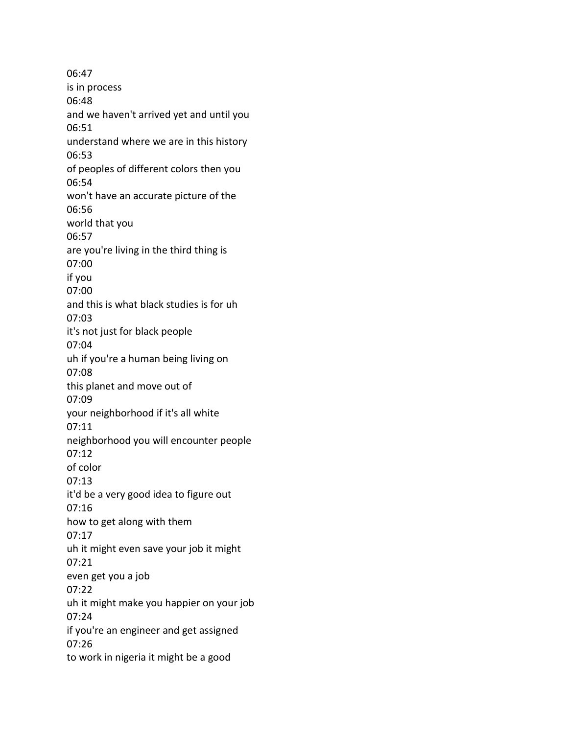06:47 is in process 06:48 and we haven't arrived yet and until you 06:51 understand where we are in this history 06:53 of peoples of different colors then you 06:54 won't have an accurate picture of the 06:56 world that you 06:57 are you're living in the third thing is 07:00 if you 07:00 and this is what black studies is for uh 07:03 it's not just for black people 07:04 uh if you're a human being living on 07:08 this planet and move out of 07:09 your neighborhood if it's all white 07:11 neighborhood you will encounter people 07:12 of color 07:13 it'd be a very good idea to figure out 07:16 how to get along with them 07:17 uh it might even save your job it might 07:21 even get you a job 07:22 uh it might make you happier on your job 07:24 if you're an engineer and get assigned 07:26 to work in nigeria it might be a good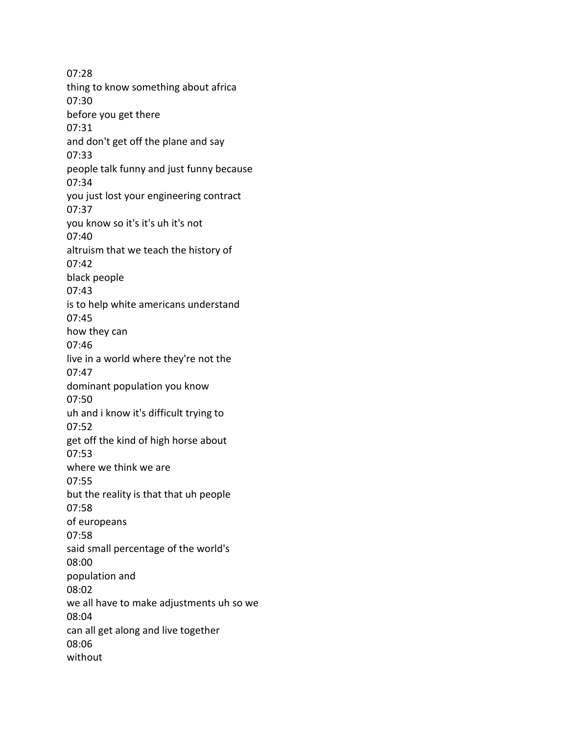07:28 thing to know something about africa 07:30 before you get there 07:31 and don't get off the plane and say 07:33 people talk funny and just funny because 07:34 you just lost your engineering contract 07:37 you know so it's it's uh it's not 07:40 altruism that we teach the history of 07:42 black people 07:43 is to help white americans understand 07:45 how they can 07:46 live in a world where they're not the 07:47 dominant population you know 07:50 uh and i know it's difficult trying to 07:52 get off the kind of high horse about 07:53 where we think we are 07:55 but the reality is that that uh people 07:58 of europeans 07:58 said small percentage of the world's 08:00 population and 08:02 we all have to make adjustments uh so we 08:04 can all get along and live together 08:06 without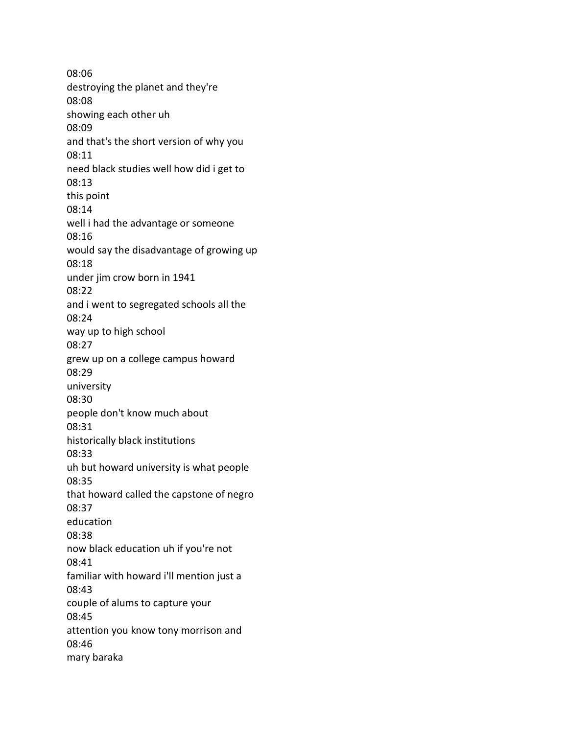08:06 destroying the planet and they're 08:08 showing each other uh 08:09 and that's the short version of why you 08:11 need black studies well how did i get to 08:13 this point 08:14 well i had the advantage or someone 08:16 would say the disadvantage of growing up 08:18 under jim crow born in 1941 08:22 and i went to segregated schools all the 08:24 way up to high school 08:27 grew up on a college campus howard 08:29 university 08:30 people don't know much about 08:31 historically black institutions 08:33 uh but howard university is what people 08:35 that howard called the capstone of negro 08:37 education 08:38 now black education uh if you're not 08:41 familiar with howard i'll mention just a 08:43 couple of alums to capture your 08:45 attention you know tony morrison and 08:46 mary baraka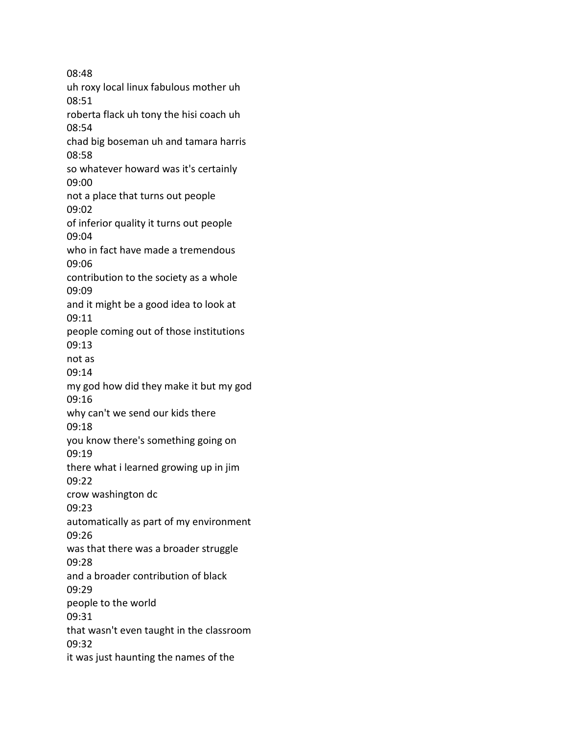08:48 uh roxy local linux fabulous mother uh 08:51 roberta flack uh tony the hisi coach uh 08:54 chad big boseman uh and tamara harris 08:58 so whatever howard was it's certainly 09:00 not a place that turns out people 09:02 of inferior quality it turns out people 09:04 who in fact have made a tremendous 09:06 contribution to the society as a whole 09:09 and it might be a good idea to look at 09:11 people coming out of those institutions 09:13 not as 09:14 my god how did they make it but my god 09:16 why can't we send our kids there 09:18 you know there's something going on 09:19 there what i learned growing up in jim 09:22 crow washington dc 09:23 automatically as part of my environment 09:26 was that there was a broader struggle 09:28 and a broader contribution of black 09:29 people to the world 09:31 that wasn't even taught in the classroom 09:32 it was just haunting the names of the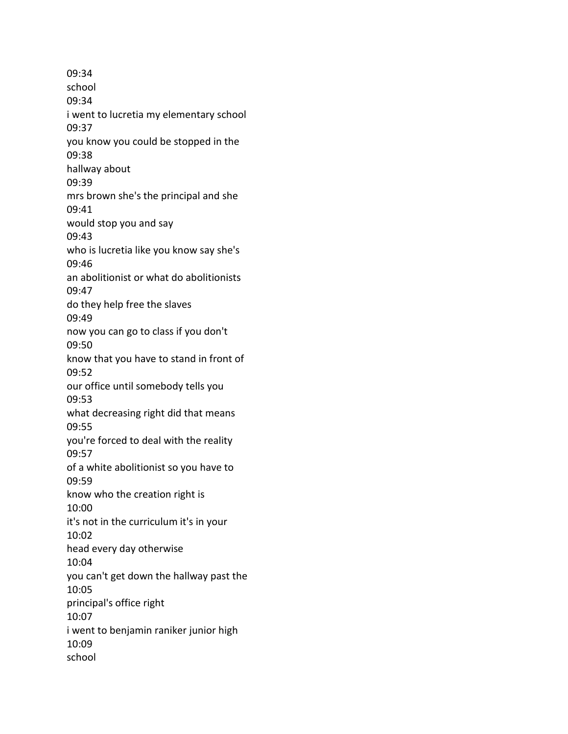09:34 school 09:34 i went to lucretia my elementary school 09:37 you know you could be stopped in the 09:38 hallway about 09:39 mrs brown she's the principal and she 09:41 would stop you and say 09:43 who is lucretia like you know say she's 09:46 an abolitionist or what do abolitionists 09:47 do they help free the slaves 09:49 now you can go to class if you don't 09:50 know that you have to stand in front of 09:52 our office until somebody tells you 09:53 what decreasing right did that means 09:55 you're forced to deal with the reality 09:57 of a white abolitionist so you have to 09:59 know who the creation right is 10:00 it's not in the curriculum it's in your 10:02 head every day otherwise 10:04 you can't get down the hallway past the 10:05 principal's office right 10:07 i went to benjamin raniker junior high 10:09 school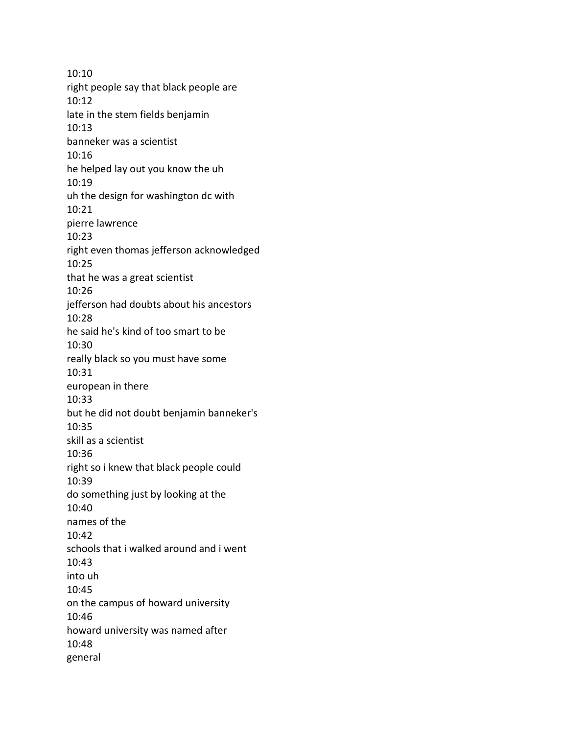10:10 right people say that black people are 10:12 late in the stem fields benjamin 10:13 banneker was a scientist 10:16 he helped lay out you know the uh 10:19 uh the design for washington dc with 10:21 pierre lawrence 10:23 right even thomas jefferson acknowledged 10:25 that he was a great scientist 10:26 jefferson had doubts about his ancestors 10:28 he said he's kind of too smart to be 10:30 really black so you must have some 10:31 european in there 10:33 but he did not doubt benjamin banneker's 10:35 skill as a scientist 10:36 right so i knew that black people could 10:39 do something just by looking at the 10:40 names of the 10:42 schools that i walked around and i went 10:43 into uh 10:45 on the campus of howard university 10:46 howard university was named after 10:48 general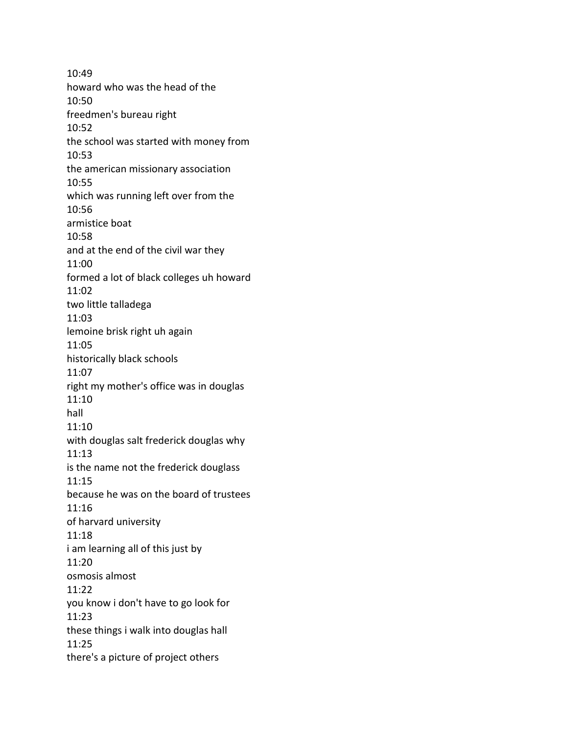10:49 howard who was the head of the 10:50 freedmen's bureau right 10:52 the school was started with money from 10:53 the american missionary association 10:55 which was running left over from the 10:56 armistice boat 10:58 and at the end of the civil war they 11:00 formed a lot of black colleges uh howard 11:02 two little talladega 11:03 lemoine brisk right uh again 11:05 historically black schools 11:07 right my mother's office was in douglas 11:10 hall 11:10 with douglas salt frederick douglas why 11:13 is the name not the frederick douglass 11:15 because he was on the board of trustees 11:16 of harvard university 11:18 i am learning all of this just by 11:20 osmosis almost 11:22 you know i don't have to go look for 11:23 these things i walk into douglas hall 11:25 there's a picture of project others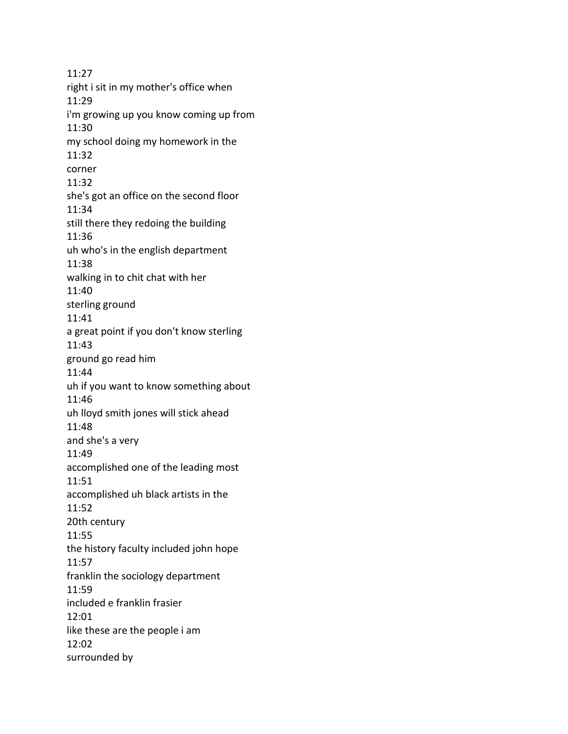11:27 right i sit in my mother's office when 11:29 i'm growing up you know coming up from 11:30 my school doing my homework in the 11:32 corner 11:32 she's got an office on the second floor 11:34 still there they redoing the building 11:36 uh who's in the english department 11:38 walking in to chit chat with her 11:40 sterling ground 11:41 a great point if you don't know sterling 11:43 ground go read him 11:44 uh if you want to know something about 11:46 uh lloyd smith jones will stick ahead 11:48 and she's a very 11:49 accomplished one of the leading most 11:51 accomplished uh black artists in the 11:52 20th century 11:55 the history faculty included john hope 11:57 franklin the sociology department 11:59 included e franklin frasier 12:01 like these are the people i am 12:02 surrounded by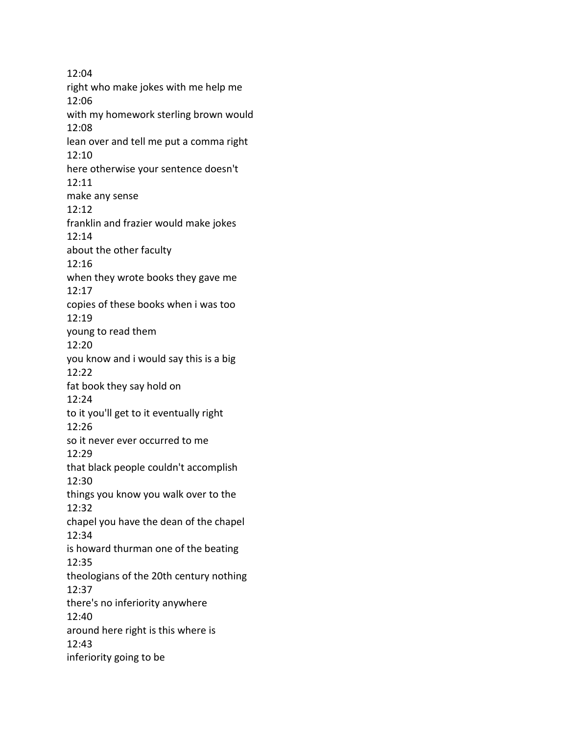12:04 right who make jokes with me help me 12:06 with my homework sterling brown would 12:08 lean over and tell me put a comma right 12:10 here otherwise your sentence doesn't 12:11 make any sense 12:12 franklin and frazier would make jokes 12:14 about the other faculty 12:16 when they wrote books they gave me 12:17 copies of these books when i was too 12:19 young to read them 12:20 you know and i would say this is a big 12:22 fat book they say hold on 12:24 to it you'll get to it eventually right 12:26 so it never ever occurred to me 12:29 that black people couldn't accomplish 12:30 things you know you walk over to the 12:32 chapel you have the dean of the chapel 12:34 is howard thurman one of the beating 12:35 theologians of the 20th century nothing 12:37 there's no inferiority anywhere 12:40 around here right is this where is 12:43 inferiority going to be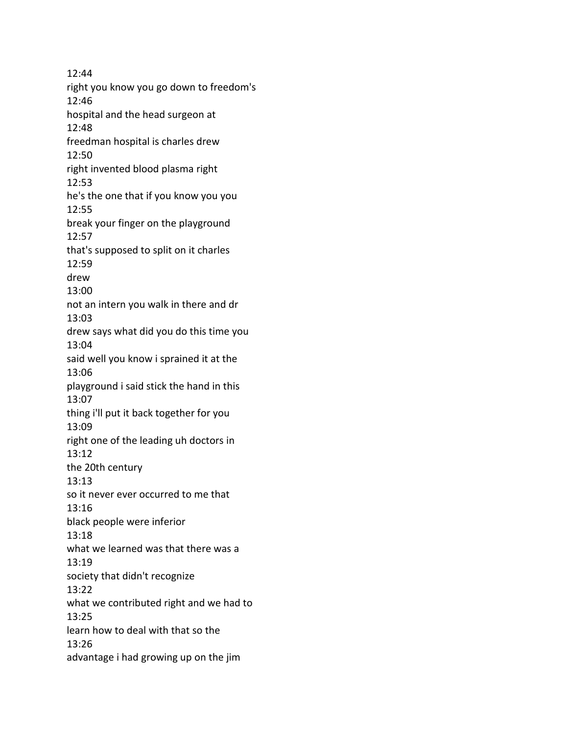12:44 right you know you go down to freedom's 12:46 hospital and the head surgeon at 12:48 freedman hospital is charles drew 12:50 right invented blood plasma right 12:53 he's the one that if you know you you 12:55 break your finger on the playground 12:57 that's supposed to split on it charles 12:59 drew 13:00 not an intern you walk in there and dr 13:03 drew says what did you do this time you 13:04 said well you know i sprained it at the 13:06 playground i said stick the hand in this 13:07 thing i'll put it back together for you 13:09 right one of the leading uh doctors in 13:12 the 20th century 13:13 so it never ever occurred to me that 13:16 black people were inferior 13:18 what we learned was that there was a 13:19 society that didn't recognize 13:22 what we contributed right and we had to 13:25 learn how to deal with that so the 13:26 advantage i had growing up on the jim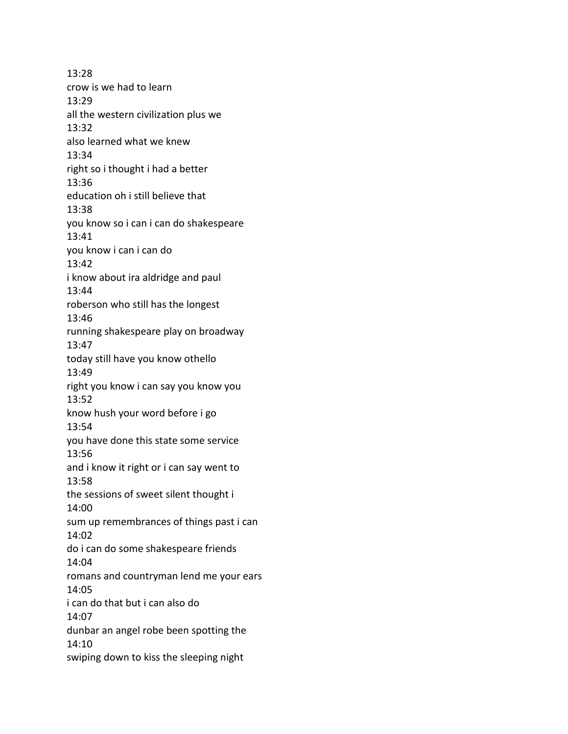13:28 crow is we had to learn 13:29 all the western civilization plus we 13:32 also learned what we knew 13:34 right so i thought i had a better 13:36 education oh i still believe that 13:38 you know so i can i can do shakespeare 13:41 you know i can i can do 13:42 i know about ira aldridge and paul 13:44 roberson who still has the longest 13:46 running shakespeare play on broadway 13:47 today still have you know othello 13:49 right you know i can say you know you 13:52 know hush your word before i go 13:54 you have done this state some service 13:56 and i know it right or i can say went to 13:58 the sessions of sweet silent thought i 14:00 sum up remembrances of things past i can 14:02 do i can do some shakespeare friends 14:04 romans and countryman lend me your ears 14:05 i can do that but i can also do 14:07 dunbar an angel robe been spotting the 14:10 swiping down to kiss the sleeping night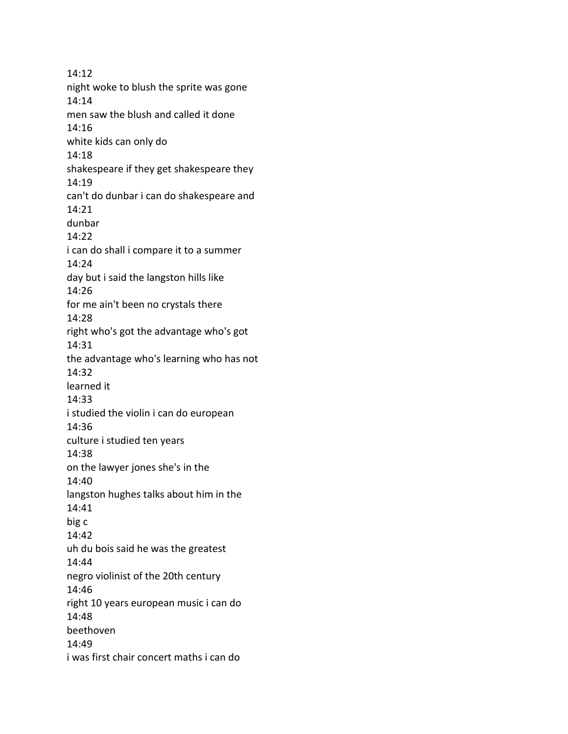14:12 night woke to blush the sprite was gone 14:14 men saw the blush and called it done 14:16 white kids can only do 14:18 shakespeare if they get shakespeare they 14:19 can't do dunbar i can do shakespeare and 14:21 dunbar 14:22 i can do shall i compare it to a summer 14:24 day but i said the langston hills like 14:26 for me ain't been no crystals there 14:28 right who's got the advantage who's got 14:31 the advantage who's learning who has not 14:32 learned it 14:33 i studied the violin i can do european 14:36 culture i studied ten years 14:38 on the lawyer jones she's in the 14:40 langston hughes talks about him in the 14:41 big c 14:42 uh du bois said he was the greatest 14:44 negro violinist of the 20th century 14:46 right 10 years european music i can do 14:48 beethoven 14:49 i was first chair concert maths i can do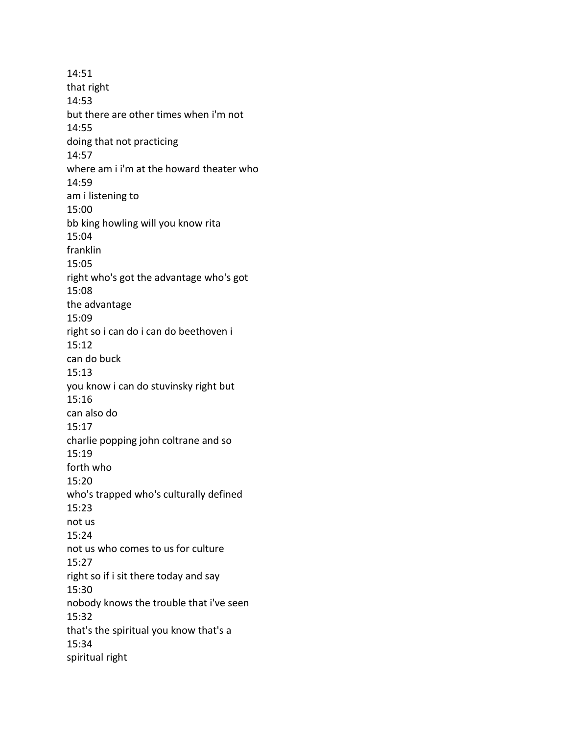14:51 that right 14:53 but there are other times when i'm not 14:55 doing that not practicing 14:57 where am i i'm at the howard theater who 14:59 am i listening to 15:00 bb king howling will you know rita 15:04 franklin 15:05 right who's got the advantage who's got 15:08 the advantage 15:09 right so i can do i can do beethoven i 15:12 can do buck 15:13 you know i can do stuvinsky right but 15:16 can also do 15:17 charlie popping john coltrane and so 15:19 forth who 15:20 who's trapped who's culturally defined 15:23 not us 15:24 not us who comes to us for culture 15:27 right so if i sit there today and say 15:30 nobody knows the trouble that i've seen 15:32 that's the spiritual you know that's a 15:34 spiritual right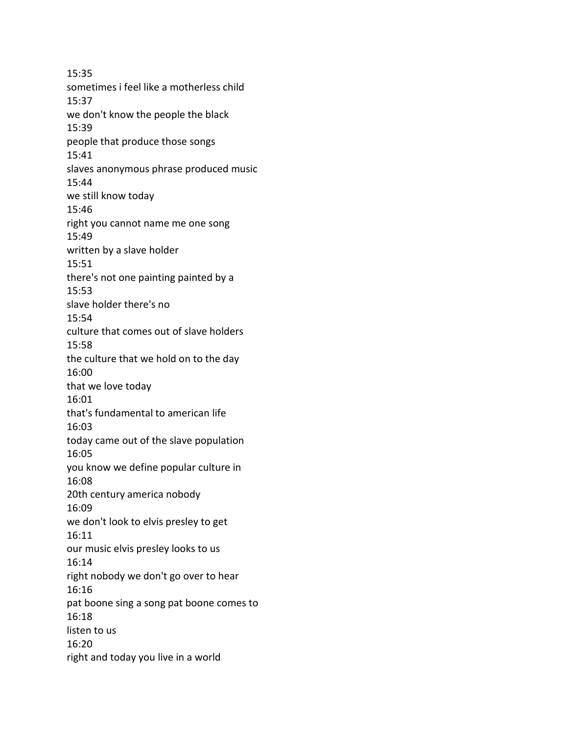15:35 sometimes i feel like a motherless child 15:37 we don't know the people the black 15:39 people that produce those songs 15:41 slaves anonymous phrase produced music 15:44 we still know today 15:46 right you cannot name me one song 15:49 written by a slave holder 15:51 there's not one painting painted by a 15:53 slave holder there's no 15:54 culture that comes out of slave holders 15:58 the culture that we hold on to the day 16:00 that we love today 16:01 that's fundamental to american life 16:03 today came out of the slave population 16:05 you know we define popular culture in 16:08 20th century america nobody 16:09 we don't look to elvis presley to get 16:11 our music elvis presley looks to us 16:14 right nobody we don't go over to hear 16:16 pat boone sing a song pat boone comes to 16:18 listen to us 16:20 right and today you live in a world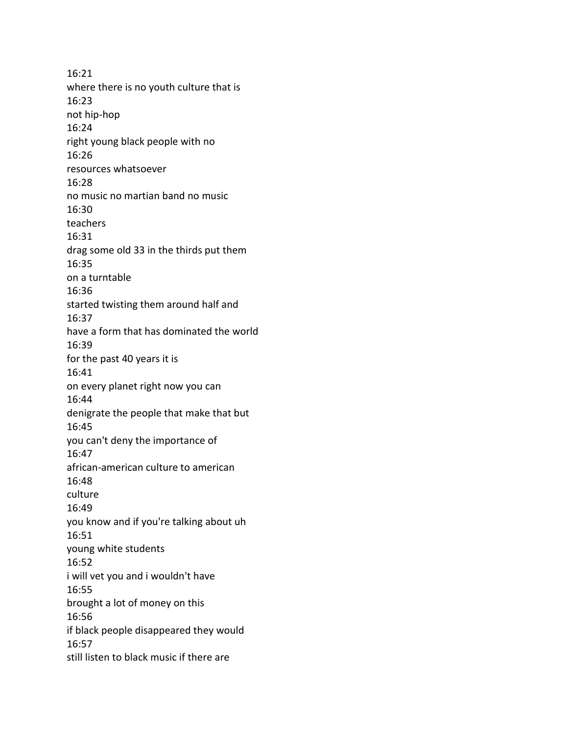16:21 where there is no youth culture that is 16:23 not hip-hop 16:24 right young black people with no 16:26 resources whatsoever 16:28 no music no martian band no music 16:30 teachers 16:31 drag some old 33 in the thirds put them 16:35 on a turntable 16:36 started twisting them around half and 16:37 have a form that has dominated the world 16:39 for the past 40 years it is 16:41 on every planet right now you can 16:44 denigrate the people that make that but 16:45 you can't deny the importance of 16:47 african-american culture to american 16:48 culture 16:49 you know and if you're talking about uh 16:51 young white students 16:52 i will vet you and i wouldn't have 16:55 brought a lot of money on this 16:56 if black people disappeared they would 16:57 still listen to black music if there are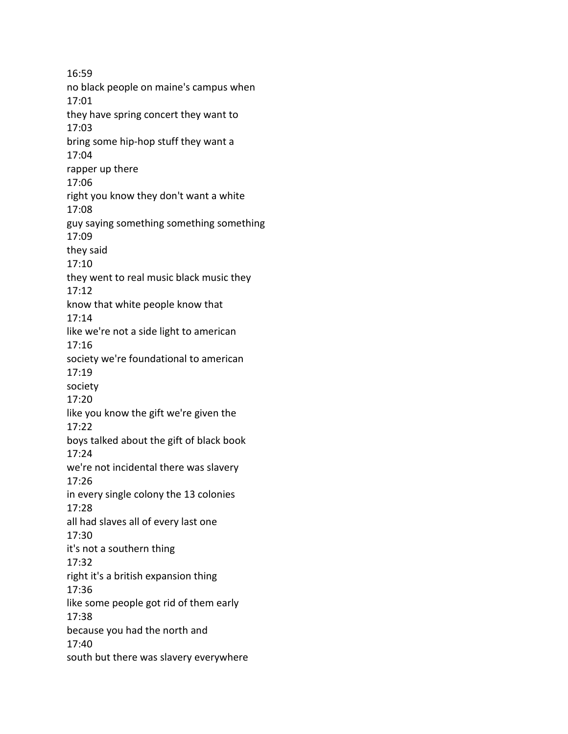16:59 no black people on maine's campus when 17:01 they have spring concert they want to 17:03 bring some hip-hop stuff they want a 17:04 rapper up there 17:06 right you know they don't want a white 17:08 guy saying something something something 17:09 they said 17:10 they went to real music black music they 17:12 know that white people know that 17:14 like we're not a side light to american 17:16 society we're foundational to american 17:19 society 17:20 like you know the gift we're given the 17:22 boys talked about the gift of black book 17:24 we're not incidental there was slavery 17:26 in every single colony the 13 colonies 17:28 all had slaves all of every last one 17:30 it's not a southern thing 17:32 right it's a british expansion thing 17:36 like some people got rid of them early 17:38 because you had the north and 17:40 south but there was slavery everywhere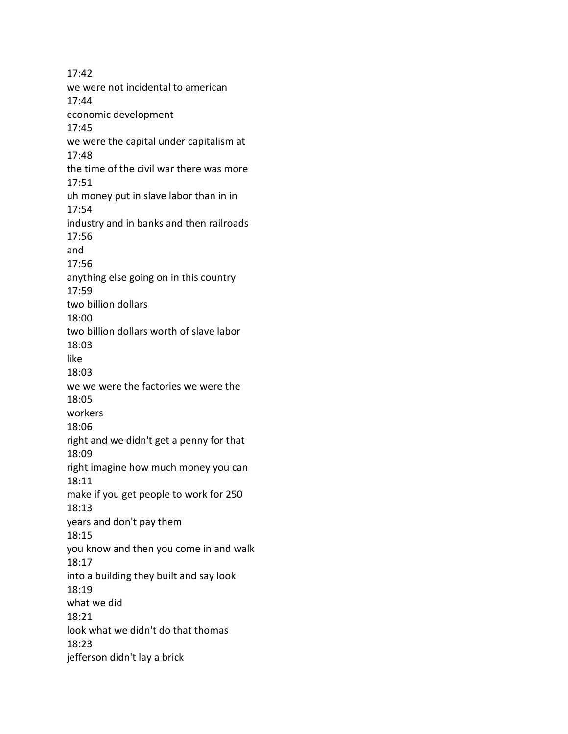17:42 we were not incidental to american 17:44 economic development 17:45 we were the capital under capitalism at 17:48 the time of the civil war there was more 17:51 uh money put in slave labor than in in 17:54 industry and in banks and then railroads 17:56 and 17:56 anything else going on in this country 17:59 two billion dollars 18:00 two billion dollars worth of slave labor 18:03 like 18:03 we we were the factories we were the 18:05 workers 18:06 right and we didn't get a penny for that 18:09 right imagine how much money you can 18:11 make if you get people to work for 250 18:13 years and don't pay them 18:15 you know and then you come in and walk 18:17 into a building they built and say look 18:19 what we did 18:21 look what we didn't do that thomas 18:23 jefferson didn't lay a brick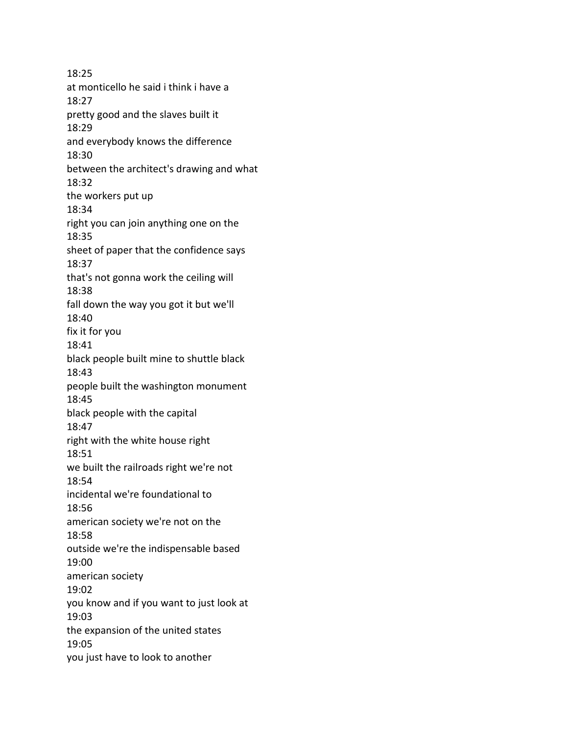18:25 at monticello he said i think i have a 18:27 pretty good and the slaves built it 18:29 and everybody knows the difference 18:30 between the architect's drawing and what 18:32 the workers put up 18:34 right you can join anything one on the 18:35 sheet of paper that the confidence says 18:37 that's not gonna work the ceiling will 18:38 fall down the way you got it but we'll 18:40 fix it for you 18:41 black people built mine to shuttle black 18:43 people built the washington monument 18:45 black people with the capital 18:47 right with the white house right 18:51 we built the railroads right we're not 18:54 incidental we're foundational to 18:56 american society we're not on the 18:58 outside we're the indispensable based 19:00 american society 19:02 you know and if you want to just look at 19:03 the expansion of the united states 19:05 you just have to look to another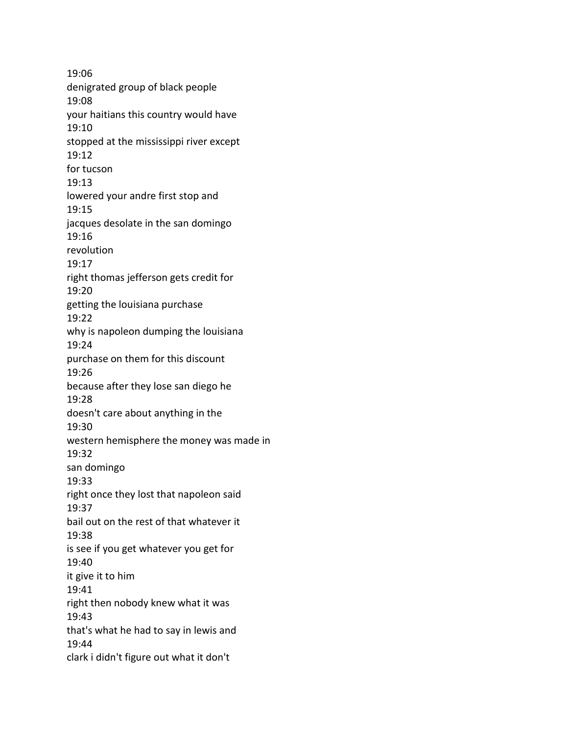19:06 denigrated group of black people 19:08 your haitians this country would have 19:10 stopped at the mississippi river except 19:12 for tucson 19:13 lowered your andre first stop and 19:15 jacques desolate in the san domingo 19:16 revolution 19:17 right thomas jefferson gets credit for 19:20 getting the louisiana purchase 19:22 why is napoleon dumping the louisiana 19:24 purchase on them for this discount 19:26 because after they lose san diego he 19:28 doesn't care about anything in the 19:30 western hemisphere the money was made in 19:32 san domingo 19:33 right once they lost that napoleon said 19:37 bail out on the rest of that whatever it 19:38 is see if you get whatever you get for 19:40 it give it to him 19:41 right then nobody knew what it was 19:43 that's what he had to say in lewis and 19:44 clark i didn't figure out what it don't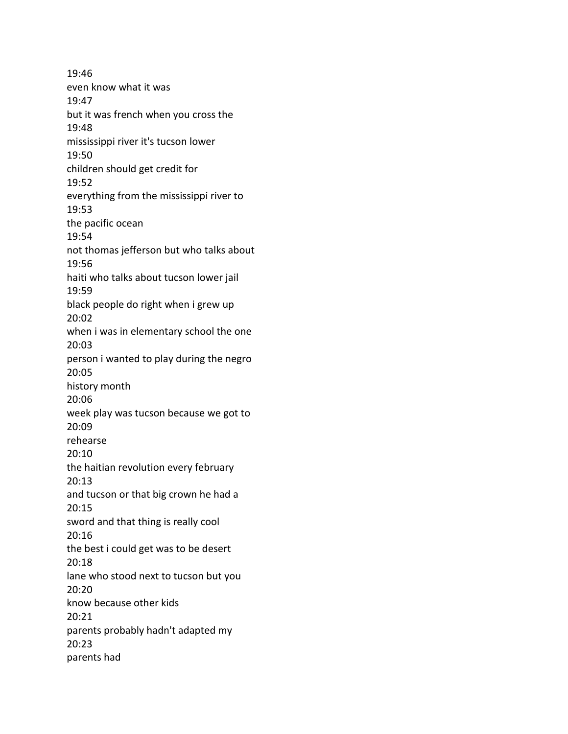19:46 even know what it was 19:47 but it was french when you cross the 19:48 mississippi river it's tucson lower 19:50 children should get credit for 19:52 everything from the mississippi river to 19:53 the pacific ocean 19:54 not thomas jefferson but who talks about 19:56 haiti who talks about tucson lower jail 19:59 black people do right when i grew up 20:02 when i was in elementary school the one 20:03 person i wanted to play during the negro 20:05 history month 20:06 week play was tucson because we got to 20:09 rehearse 20:10 the haitian revolution every february 20:13 and tucson or that big crown he had a 20:15 sword and that thing is really cool 20:16 the best i could get was to be desert 20:18 lane who stood next to tucson but you 20:20 know because other kids 20:21 parents probably hadn't adapted my 20:23 parents had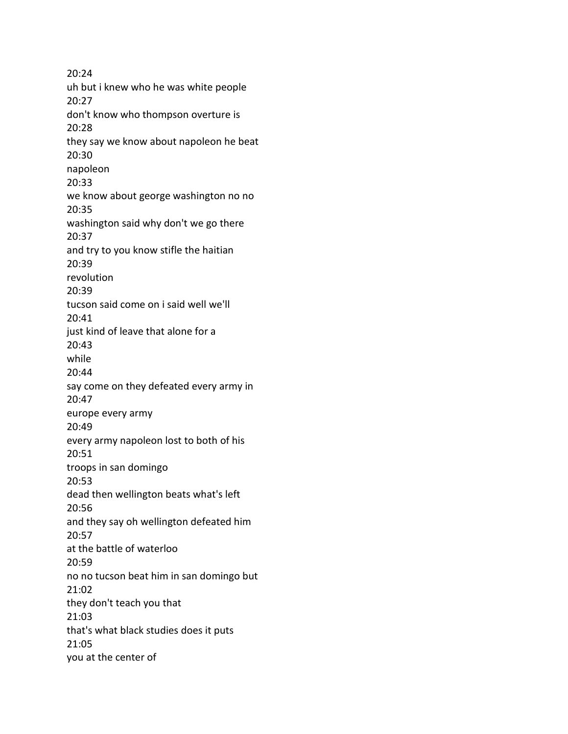20:24 uh but i knew who he was white people 20:27 don't know who thompson overture is 20:28 they say we know about napoleon he beat 20:30 napoleon 20:33 we know about george washington no no 20:35 washington said why don't we go there 20:37 and try to you know stifle the haitian 20:39 revolution 20:39 tucson said come on i said well we'll 20:41 just kind of leave that alone for a 20:43 while 20:44 say come on they defeated every army in 20:47 europe every army 20:49 every army napoleon lost to both of his 20:51 troops in san domingo 20:53 dead then wellington beats what's left 20:56 and they say oh wellington defeated him 20:57 at the battle of waterloo 20:59 no no tucson beat him in san domingo but 21:02 they don't teach you that 21:03 that's what black studies does it puts 21:05 you at the center of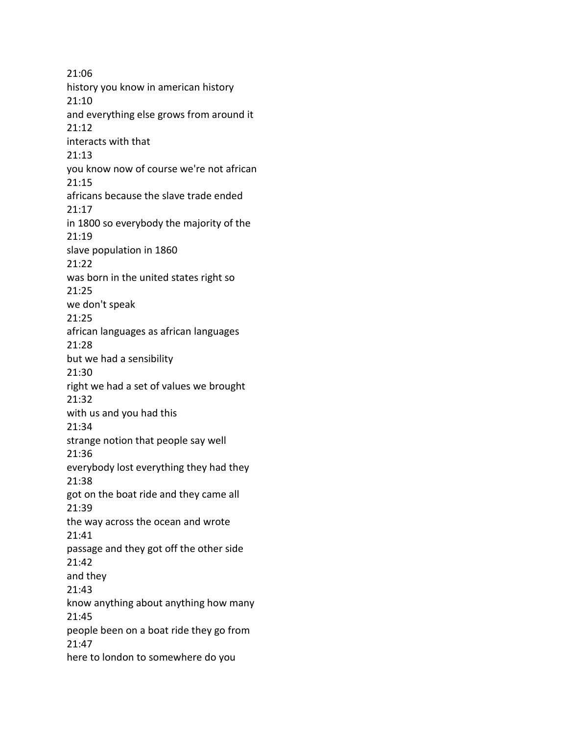21:06 history you know in american history 21:10 and everything else grows from around it 21:12 interacts with that 21:13 you know now of course we're not african 21:15 africans because the slave trade ended 21:17 in 1800 so everybody the majority of the 21:19 slave population in 1860 21:22 was born in the united states right so 21:25 we don't speak 21:25 african languages as african languages 21:28 but we had a sensibility 21:30 right we had a set of values we brought 21:32 with us and you had this 21:34 strange notion that people say well 21:36 everybody lost everything they had they 21:38 got on the boat ride and they came all 21:39 the way across the ocean and wrote 21:41 passage and they got off the other side 21:42 and they 21:43 know anything about anything how many 21:45 people been on a boat ride they go from 21:47 here to london to somewhere do you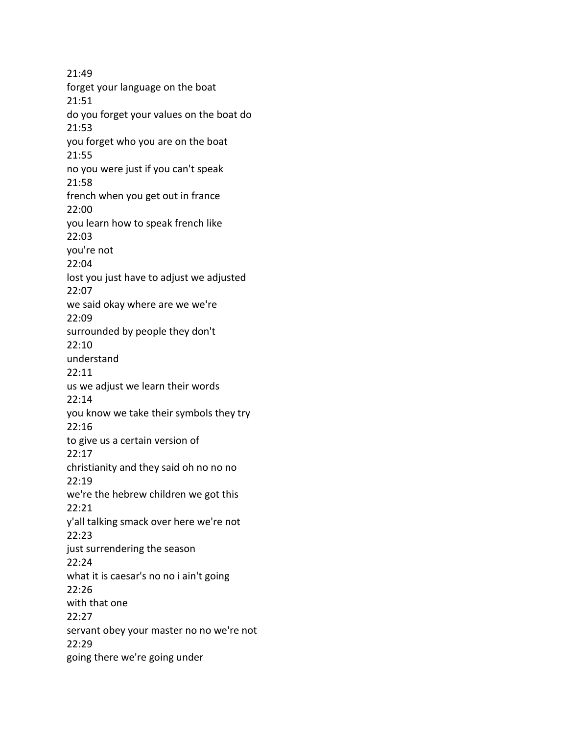21:49 forget your language on the boat 21:51 do you forget your values on the boat do 21:53 you forget who you are on the boat 21:55 no you were just if you can't speak 21:58 french when you get out in france 22:00 you learn how to speak french like 22:03 you're not 22:04 lost you just have to adjust we adjusted 22:07 we said okay where are we we're 22:09 surrounded by people they don't 22:10 understand 22:11 us we adjust we learn their words 22:14 you know we take their symbols they try 22:16 to give us a certain version of 22:17 christianity and they said oh no no no 22:19 we're the hebrew children we got this 22:21 y'all talking smack over here we're not 22:23 just surrendering the season 22:24 what it is caesar's no no i ain't going 22:26 with that one 22:27 servant obey your master no no we're not 22:29 going there we're going under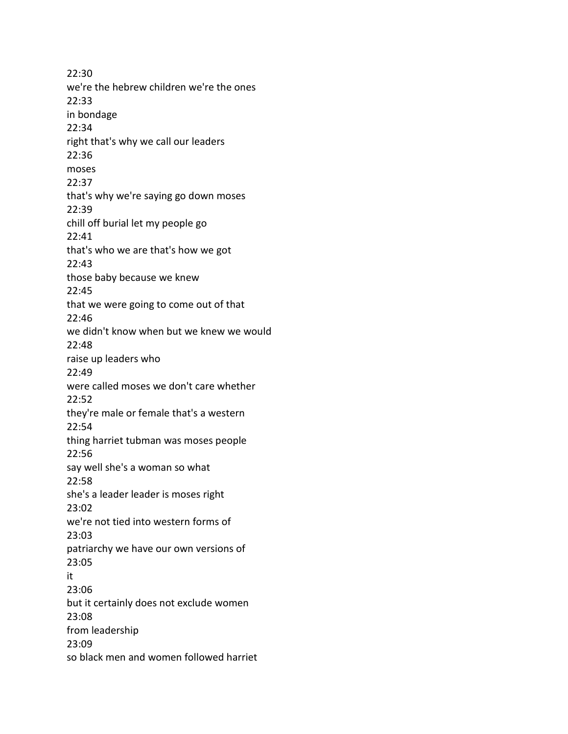22:30 we're the hebrew children we're the ones 22:33 in bondage 22:34 right that's why we call our leaders 22:36 moses 22:37 that's why we're saying go down moses 22:39 chill off burial let my people go 22:41 that's who we are that's how we got 22:43 those baby because we knew 22:45 that we were going to come out of that 22:46 we didn't know when but we knew we would 22:48 raise up leaders who 22:49 were called moses we don't care whether 22:52 they're male or female that's a western 22:54 thing harriet tubman was moses people 22:56 say well she's a woman so what 22:58 she's a leader leader is moses right 23:02 we're not tied into western forms of 23:03 patriarchy we have our own versions of 23:05 it 23:06 but it certainly does not exclude women 23:08 from leadership 23:09 so black men and women followed harriet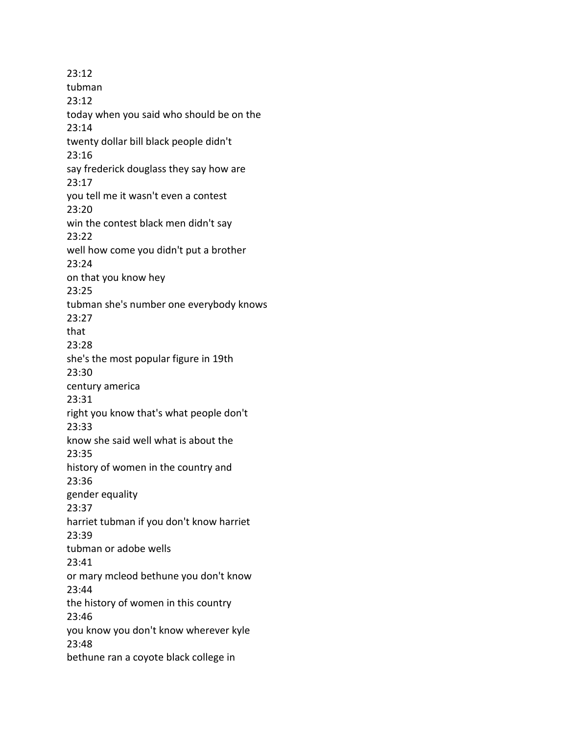23:12 tubman 23:12 today when you said who should be on the 23:14 twenty dollar bill black people didn't 23:16 say frederick douglass they say how are 23:17 you tell me it wasn't even a contest 23:20 win the contest black men didn't say 23:22 well how come you didn't put a brother 23:24 on that you know hey 23:25 tubman she's number one everybody knows 23:27 that 23:28 she's the most popular figure in 19th 23:30 century america 23:31 right you know that's what people don't 23:33 know she said well what is about the 23:35 history of women in the country and 23:36 gender equality 23:37 harriet tubman if you don't know harriet 23:39 tubman or adobe wells 23:41 or mary mcleod bethune you don't know 23:44 the history of women in this country 23:46 you know you don't know wherever kyle 23:48 bethune ran a coyote black college in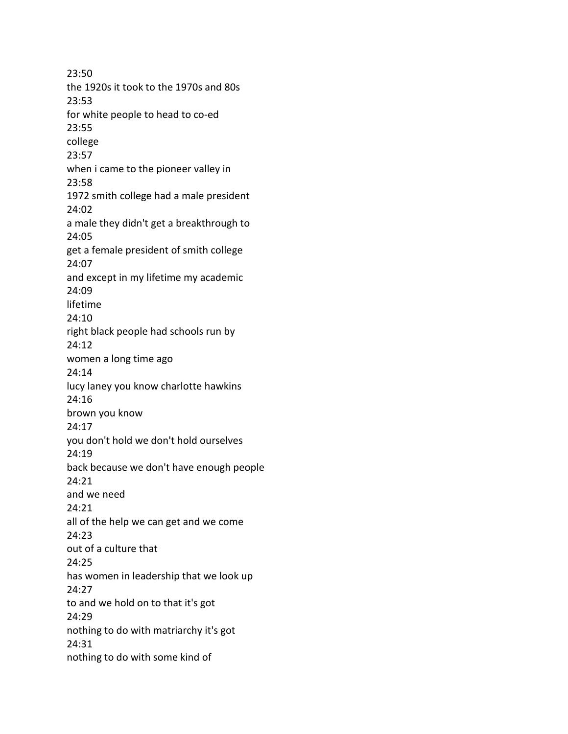23:50 the 1920s it took to the 1970s and 80s 23:53 for white people to head to co-ed 23:55 college 23:57 when i came to the pioneer valley in 23:58 1972 smith college had a male president 24:02 a male they didn't get a breakthrough to 24:05 get a female president of smith college 24:07 and except in my lifetime my academic 24:09 lifetime 24:10 right black people had schools run by 24:12 women a long time ago 24:14 lucy laney you know charlotte hawkins 24:16 brown you know 24:17 you don't hold we don't hold ourselves 24:19 back because we don't have enough people 24:21 and we need 24:21 all of the help we can get and we come 24:23 out of a culture that 24:25 has women in leadership that we look up 24:27 to and we hold on to that it's got 24:29 nothing to do with matriarchy it's got 24:31 nothing to do with some kind of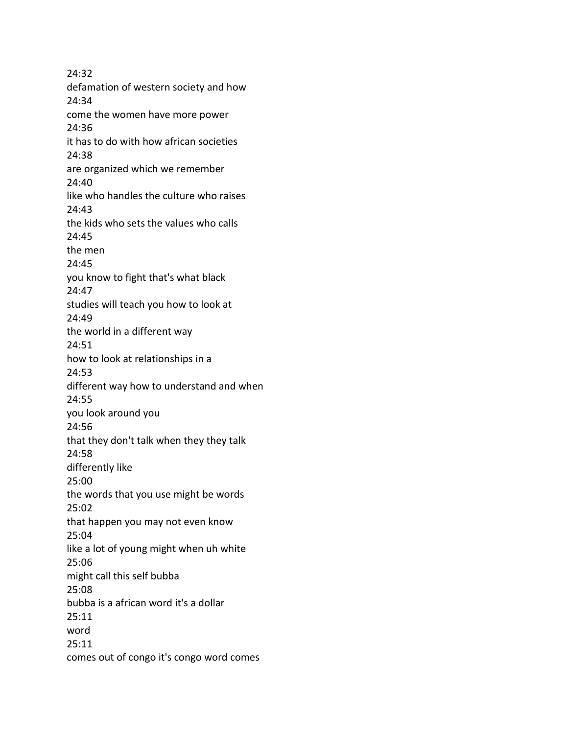24:32 defamation of western society and how 24:34 come the women have more power 24:36 it has to do with how african societies 24:38 are organized which we remember 24:40 like who handles the culture who raises 24:43 the kids who sets the values who calls 24:45 the men 24:45 you know to fight that's what black 24:47 studies will teach you how to look at 24:49 the world in a different way 24:51 how to look at relationships in a 24:53 different way how to understand and when 24:55 you look around you 24:56 that they don't talk when they they talk 24:58 differently like 25:00 the words that you use might be words 25:02 that happen you may not even know 25:04 like a lot of young might when uh white 25:06 might call this self bubba 25:08 bubba is a african word it's a dollar 25:11 word 25:11 comes out of congo it's congo word comes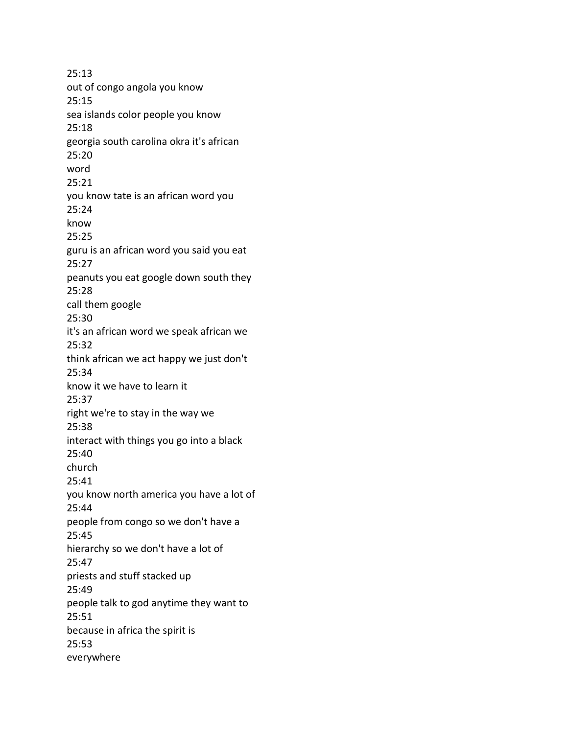25:13 out of congo angola you know 25:15 sea islands color people you know 25:18 georgia south carolina okra it's african 25:20 word 25:21 you know tate is an african word you 25:24 know 25:25 guru is an african word you said you eat 25:27 peanuts you eat google down south they 25:28 call them google 25:30 it's an african word we speak african we 25:32 think african we act happy we just don't 25:34 know it we have to learn it 25:37 right we're to stay in the way we 25:38 interact with things you go into a black 25:40 church 25:41 you know north america you have a lot of 25:44 people from congo so we don't have a 25:45 hierarchy so we don't have a lot of 25:47 priests and stuff stacked up 25:49 people talk to god anytime they want to 25:51 because in africa the spirit is 25:53 everywhere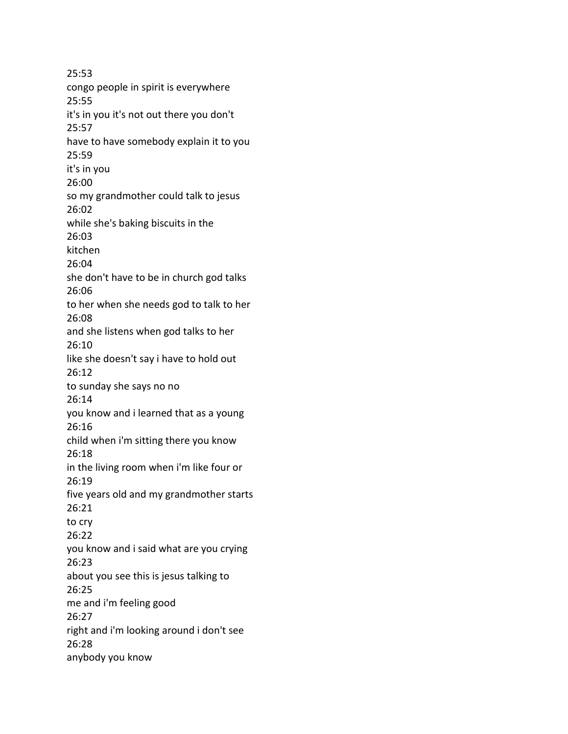25:53 congo people in spirit is everywhere 25:55 it's in you it's not out there you don't 25:57 have to have somebody explain it to you 25:59 it's in you 26:00 so my grandmother could talk to jesus 26:02 while she's baking biscuits in the 26:03 kitchen 26:04 she don't have to be in church god talks 26:06 to her when she needs god to talk to her 26:08 and she listens when god talks to her 26:10 like she doesn't say i have to hold out 26:12 to sunday she says no no 26:14 you know and i learned that as a young 26:16 child when i'm sitting there you know 26:18 in the living room when i'm like four or 26:19 five years old and my grandmother starts 26:21 to cry 26:22 you know and i said what are you crying 26:23 about you see this is jesus talking to 26:25 me and i'm feeling good 26:27 right and i'm looking around i don't see 26:28 anybody you know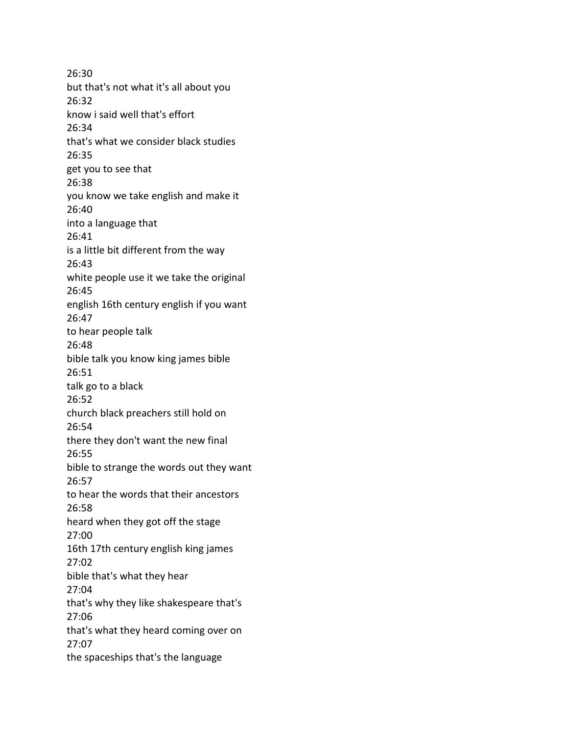26:30 but that's not what it's all about you 26:32 know i said well that's effort 26:34 that's what we consider black studies 26:35 get you to see that 26:38 you know we take english and make it 26:40 into a language that 26:41 is a little bit different from the way 26:43 white people use it we take the original 26:45 english 16th century english if you want 26:47 to hear people talk 26:48 bible talk you know king james bible 26:51 talk go to a black 26:52 church black preachers still hold on 26:54 there they don't want the new final 26:55 bible to strange the words out they want 26:57 to hear the words that their ancestors 26:58 heard when they got off the stage 27:00 16th 17th century english king james 27:02 bible that's what they hear 27:04 that's why they like shakespeare that's 27:06 that's what they heard coming over on 27:07 the spaceships that's the language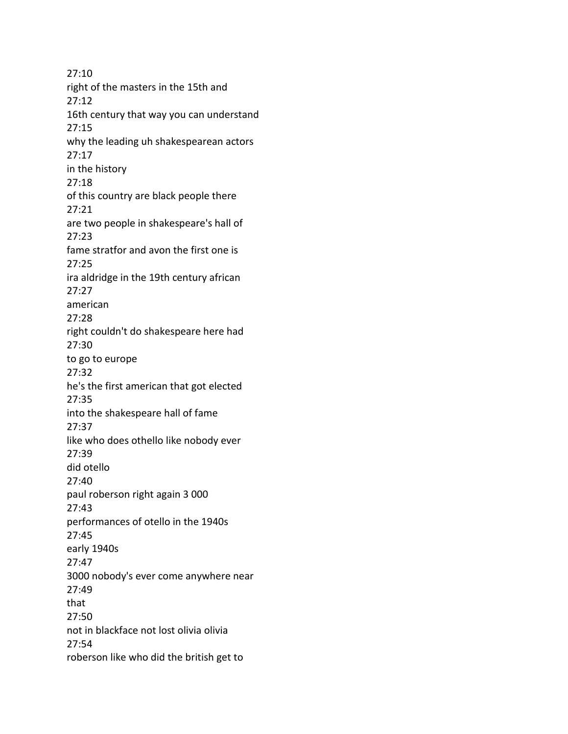27:10 right of the masters in the 15th and 27:12 16th century that way you can understand 27:15 why the leading uh shakespearean actors 27:17 in the history 27:18 of this country are black people there 27:21 are two people in shakespeare's hall of 27:23 fame stratfor and avon the first one is 27:25 ira aldridge in the 19th century african 27:27 american 27:28 right couldn't do shakespeare here had 27:30 to go to europe 27:32 he's the first american that got elected 27:35 into the shakespeare hall of fame 27:37 like who does othello like nobody ever 27:39 did otello 27:40 paul roberson right again 3 000 27:43 performances of otello in the 1940s 27:45 early 1940s 27:47 3000 nobody's ever come anywhere near 27:49 that 27:50 not in blackface not lost olivia olivia 27:54 roberson like who did the british get to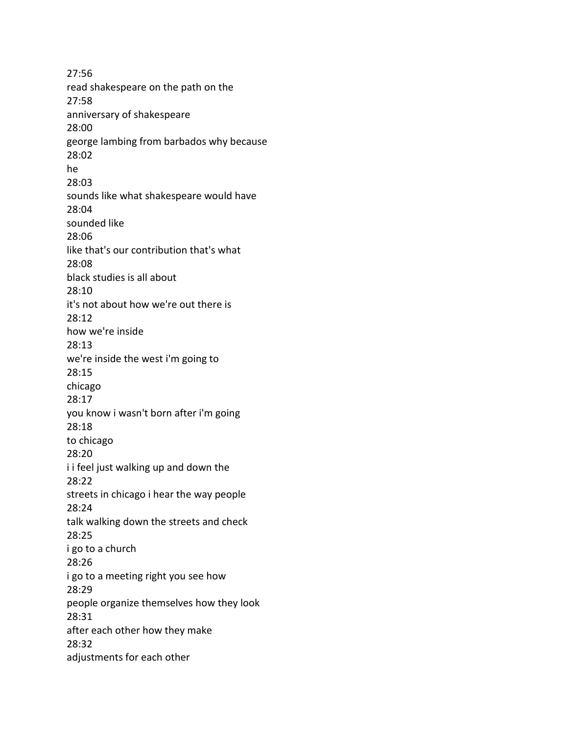27:56 read shakespeare on the path on the 27:58 anniversary of shakespeare 28:00 george lambing from barbados why because 28:02 he 28:03 sounds like what shakespeare would have 28:04 sounded like 28:06 like that's our contribution that's what 28:08 black studies is all about 28:10 it's not about how we're out there is 28:12 how we're inside 28:13 we're inside the west i'm going to 28:15 chicago 28:17 you know i wasn't born after i'm going 28:18 to chicago 28:20 i i feel just walking up and down the 28:22 streets in chicago i hear the way people 28:24 talk walking down the streets and check 28:25 i go to a church 28:26 i go to a meeting right you see how 28:29 people organize themselves how they look 28:31 after each other how they make 28:32 adjustments for each other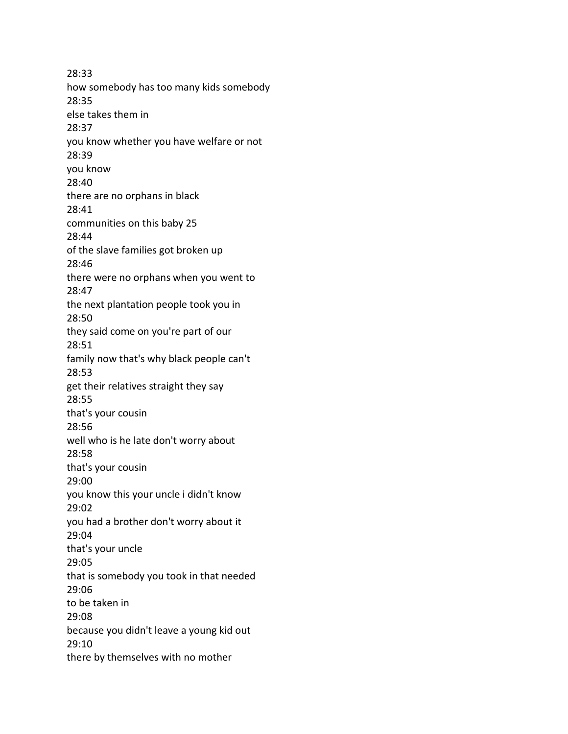28:33 how somebody has too many kids somebody 28:35 else takes them in 28:37 you know whether you have welfare or not 28:39 you know 28:40 there are no orphans in black 28:41 communities on this baby 25 28:44 of the slave families got broken up 28:46 there were no orphans when you went to 28:47 the next plantation people took you in 28:50 they said come on you're part of our 28:51 family now that's why black people can't 28:53 get their relatives straight they say 28:55 that's your cousin 28:56 well who is he late don't worry about 28:58 that's your cousin 29:00 you know this your uncle i didn't know 29:02 you had a brother don't worry about it 29:04 that's your uncle 29:05 that is somebody you took in that needed 29:06 to be taken in 29:08 because you didn't leave a young kid out 29:10 there by themselves with no mother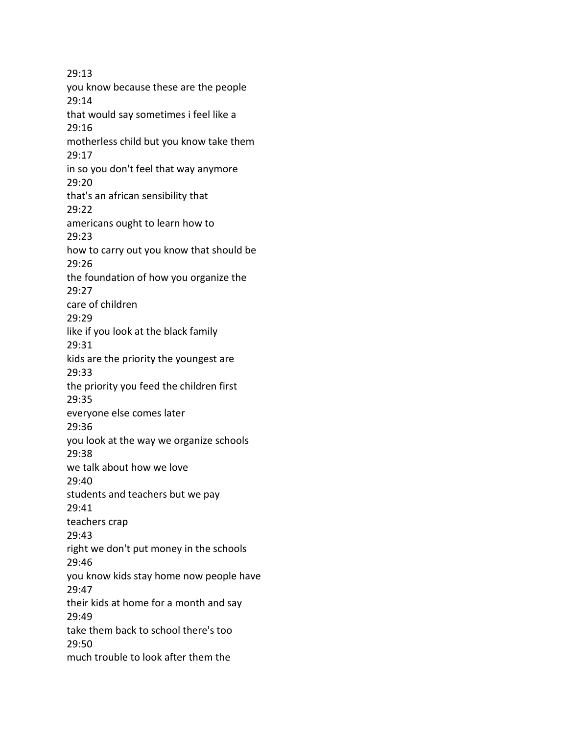29:13 you know because these are the people 29:14 that would say sometimes i feel like a 29:16 motherless child but you know take them 29:17 in so you don't feel that way anymore 29:20 that's an african sensibility that 29:22 americans ought to learn how to 29:23 how to carry out you know that should be 29:26 the foundation of how you organize the 29:27 care of children 29:29 like if you look at the black family 29:31 kids are the priority the youngest are 29:33 the priority you feed the children first 29:35 everyone else comes later 29:36 you look at the way we organize schools 29:38 we talk about how we love 29:40 students and teachers but we pay 29:41 teachers crap 29:43 right we don't put money in the schools 29:46 you know kids stay home now people have 29:47 their kids at home for a month and say 29:49 take them back to school there's too 29:50 much trouble to look after them the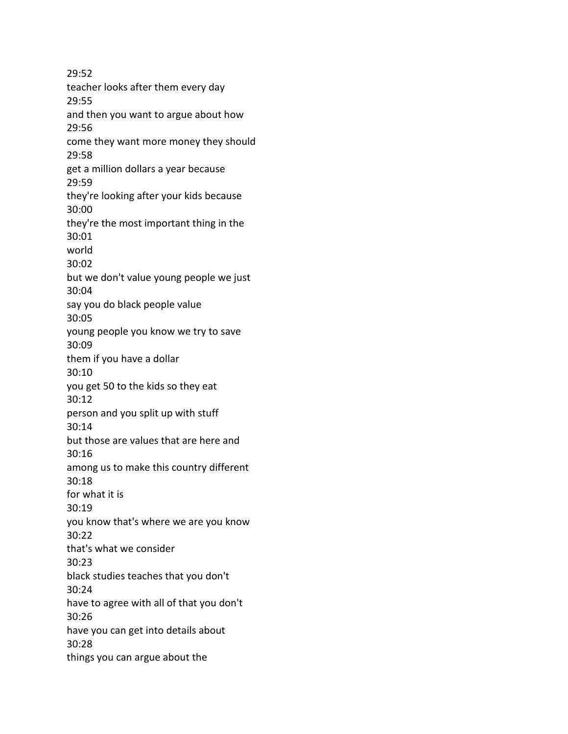29:52 teacher looks after them every day 29:55 and then you want to argue about how 29:56 come they want more money they should 29:58 get a million dollars a year because 29:59 they're looking after your kids because 30:00 they're the most important thing in the 30:01 world 30:02 but we don't value young people we just 30:04 say you do black people value 30:05 young people you know we try to save 30:09 them if you have a dollar 30:10 you get 50 to the kids so they eat 30:12 person and you split up with stuff 30:14 but those are values that are here and 30:16 among us to make this country different 30:18 for what it is 30:19 you know that's where we are you know 30:22 that's what we consider 30:23 black studies teaches that you don't 30:24 have to agree with all of that you don't 30:26 have you can get into details about 30:28 things you can argue about the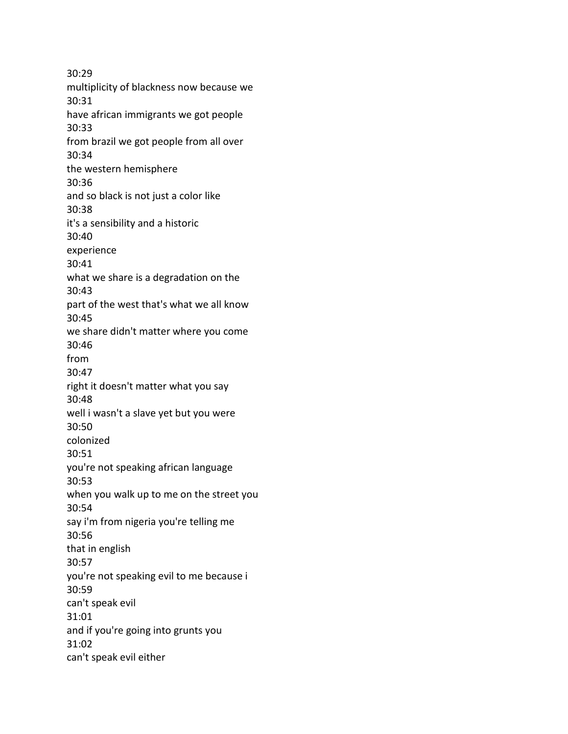30:29 multiplicity of blackness now because we 30:31 have african immigrants we got people 30:33 from brazil we got people from all over 30:34 the western hemisphere 30:36 and so black is not just a color like 30:38 it's a sensibility and a historic 30:40 experience 30:41 what we share is a degradation on the 30:43 part of the west that's what we all know 30:45 we share didn't matter where you come 30:46 from 30:47 right it doesn't matter what you say 30:48 well i wasn't a slave yet but you were 30:50 colonized 30:51 you're not speaking african language 30:53 when you walk up to me on the street you 30:54 say i'm from nigeria you're telling me 30:56 that in english 30:57 you're not speaking evil to me because i 30:59 can't speak evil 31:01 and if you're going into grunts you 31:02 can't speak evil either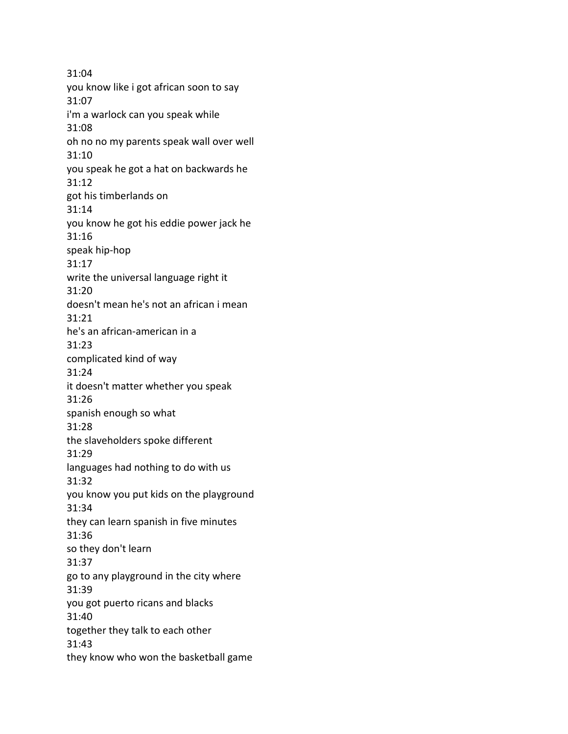31:04 you know like i got african soon to say 31:07 i'm a warlock can you speak while 31:08 oh no no my parents speak wall over well 31:10 you speak he got a hat on backwards he 31:12 got his timberlands on 31:14 you know he got his eddie power jack he 31:16 speak hip-hop 31:17 write the universal language right it 31:20 doesn't mean he's not an african i mean 31:21 he's an african-american in a 31:23 complicated kind of way 31:24 it doesn't matter whether you speak 31:26 spanish enough so what 31:28 the slaveholders spoke different 31:29 languages had nothing to do with us 31:32 you know you put kids on the playground 31:34 they can learn spanish in five minutes 31:36 so they don't learn 31:37 go to any playground in the city where 31:39 you got puerto ricans and blacks 31:40 together they talk to each other 31:43 they know who won the basketball game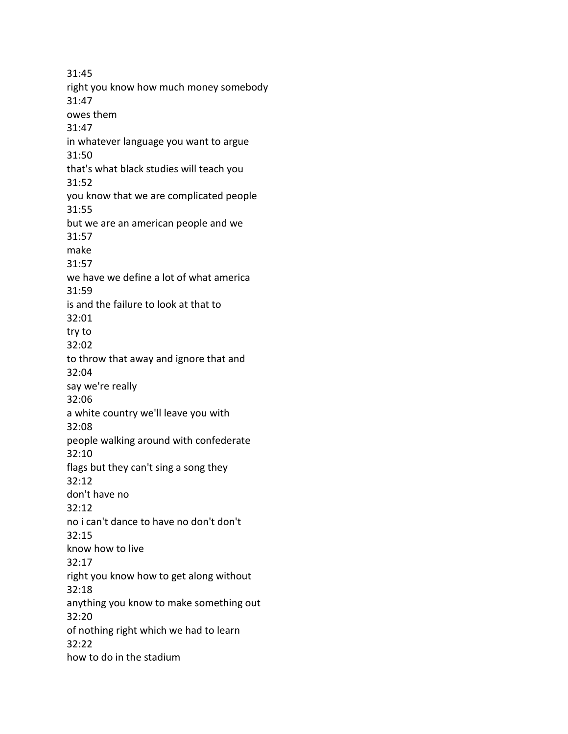31:45 right you know how much money somebody 31:47 owes them 31:47 in whatever language you want to argue 31:50 that's what black studies will teach you 31:52 you know that we are complicated people 31:55 but we are an american people and we 31:57 make 31:57 we have we define a lot of what america 31:59 is and the failure to look at that to 32:01 try to 32:02 to throw that away and ignore that and 32:04 say we're really 32:06 a white country we'll leave you with 32:08 people walking around with confederate 32:10 flags but they can't sing a song they 32:12 don't have no 32:12 no i can't dance to have no don't don't 32:15 know how to live 32:17 right you know how to get along without 32:18 anything you know to make something out 32:20 of nothing right which we had to learn 32:22 how to do in the stadium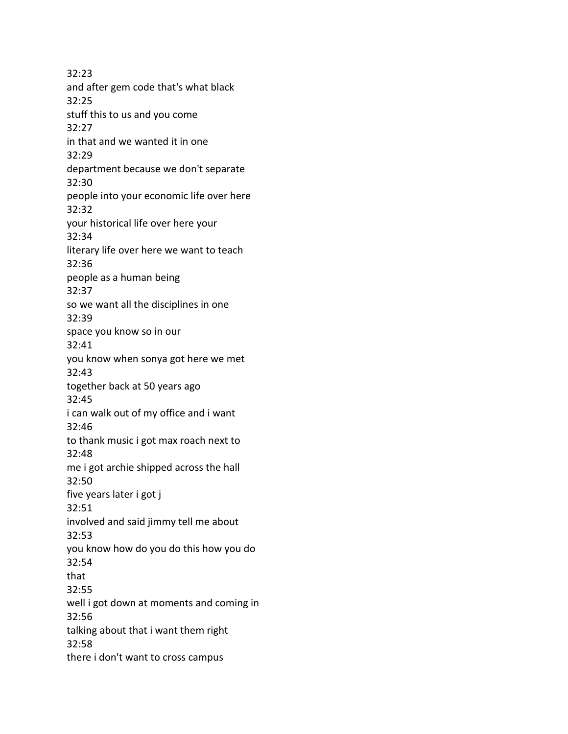32:23 and after gem code that's what black 32:25 stuff this to us and you come 32:27 in that and we wanted it in one 32:29 department because we don't separate 32:30 people into your economic life over here 32:32 your historical life over here your 32:34 literary life over here we want to teach 32:36 people as a human being 32:37 so we want all the disciplines in one 32:39 space you know so in our 32:41 you know when sonya got here we met 32:43 together back at 50 years ago 32:45 i can walk out of my office and i want 32:46 to thank music i got max roach next to 32:48 me i got archie shipped across the hall 32:50 five years later i got j 32:51 involved and said jimmy tell me about 32:53 you know how do you do this how you do 32:54 that 32:55 well i got down at moments and coming in 32:56 talking about that i want them right 32:58 there i don't want to cross campus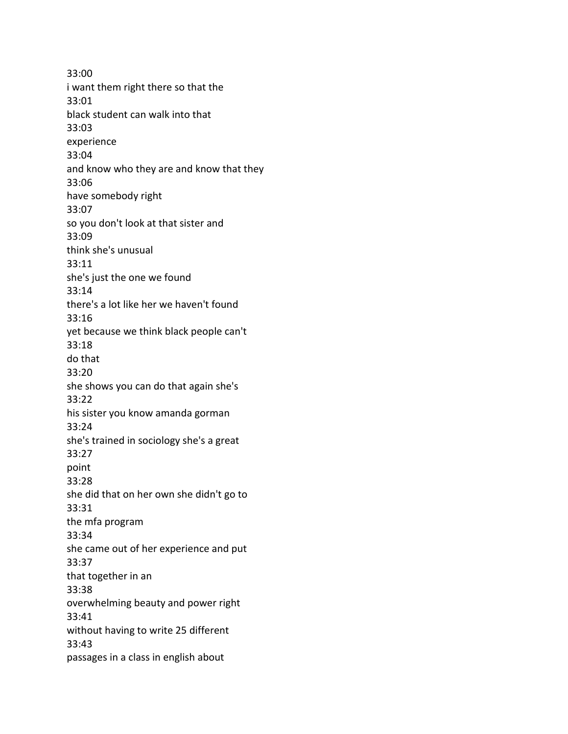33:00 i want them right there so that the 33:01 black student can walk into that 33:03 experience 33:04 and know who they are and know that they 33:06 have somebody right 33:07 so you don't look at that sister and 33:09 think she's unusual 33:11 she's just the one we found 33:14 there's a lot like her we haven't found 33:16 yet because we think black people can't 33:18 do that 33:20 she shows you can do that again she's 33:22 his sister you know amanda gorman 33:24 she's trained in sociology she's a great 33:27 point 33:28 she did that on her own she didn't go to 33:31 the mfa program 33:34 she came out of her experience and put 33:37 that together in an 33:38 overwhelming beauty and power right 33:41 without having to write 25 different 33:43 passages in a class in english about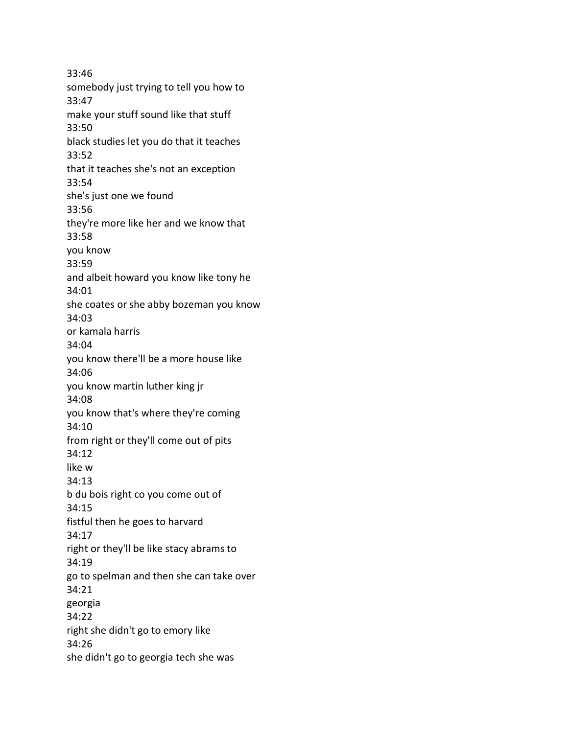33:46 somebody just trying to tell you how to 33:47 make your stuff sound like that stuff 33:50 black studies let you do that it teaches 33:52 that it teaches she's not an exception 33:54 she's just one we found 33:56 they're more like her and we know that 33:58 you know 33:59 and albeit howard you know like tony he 34:01 she coates or she abby bozeman you know 34:03 or kamala harris 34:04 you know there'll be a more house like 34:06 you know martin luther king jr 34:08 you know that's where they're coming 34:10 from right or they'll come out of pits 34:12 like w 34:13 b du bois right co you come out of 34:15 fistful then he goes to harvard 34:17 right or they'll be like stacy abrams to 34:19 go to spelman and then she can take over 34:21 georgia 34:22 right she didn't go to emory like 34:26 she didn't go to georgia tech she was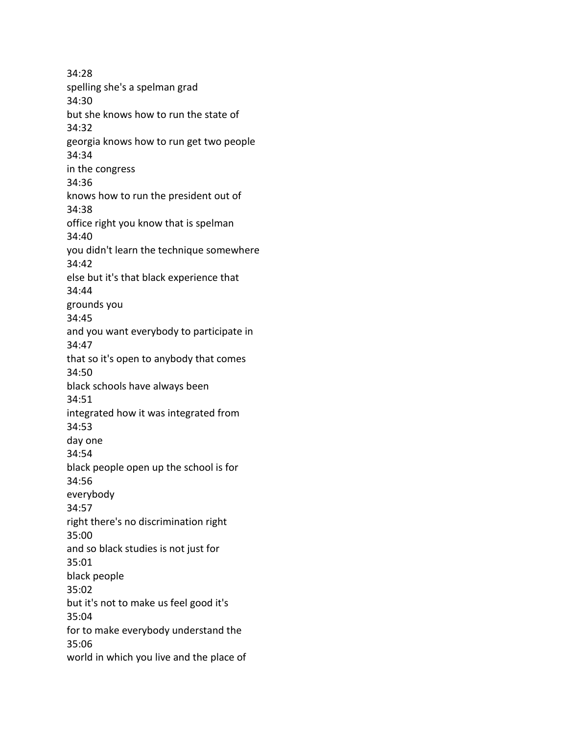34:28 spelling she's a spelman grad 34:30 but she knows how to run the state of 34:32 georgia knows how to run get two people 34:34 in the congress 34:36 knows how to run the president out of 34:38 office right you know that is spelman 34:40 you didn't learn the technique somewhere 34:42 else but it's that black experience that 34:44 grounds you 34:45 and you want everybody to participate in 34:47 that so it's open to anybody that comes 34:50 black schools have always been 34:51 integrated how it was integrated from 34:53 day one 34:54 black people open up the school is for 34:56 everybody 34:57 right there's no discrimination right 35:00 and so black studies is not just for 35:01 black people 35:02 but it's not to make us feel good it's 35:04 for to make everybody understand the 35:06 world in which you live and the place of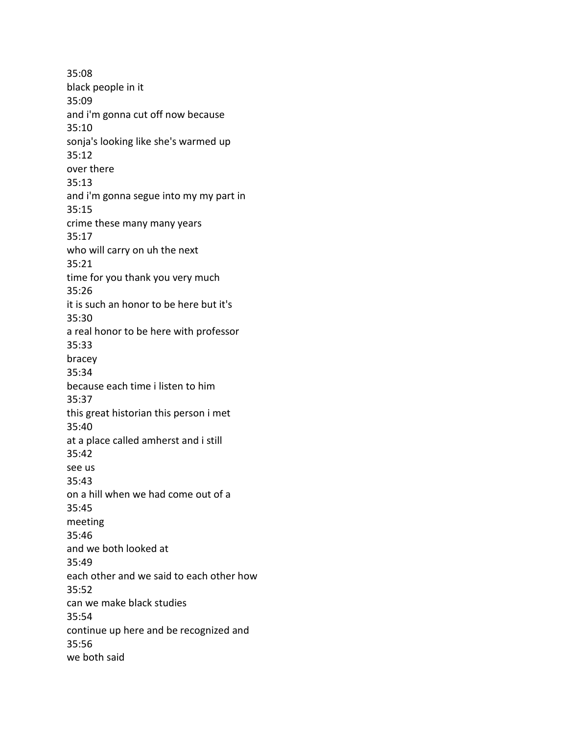35:08 black people in it 35:09 and i'm gonna cut off now because 35:10 sonja's looking like she's warmed up 35:12 over there 35:13 and i'm gonna segue into my my part in 35:15 crime these many many years 35:17 who will carry on uh the next 35:21 time for you thank you very much 35:26 it is such an honor to be here but it's 35:30 a real honor to be here with professor 35:33 bracey 35:34 because each time i listen to him 35:37 this great historian this person i met 35:40 at a place called amherst and i still 35:42 see us 35:43 on a hill when we had come out of a 35:45 meeting 35:46 and we both looked at 35:49 each other and we said to each other how 35:52 can we make black studies 35:54 continue up here and be recognized and 35:56 we both said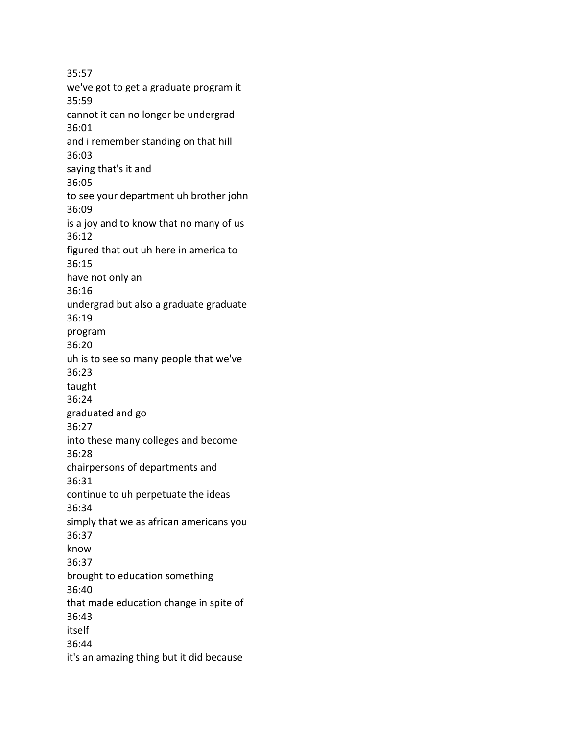35:57 we've got to get a graduate program it 35:59 cannot it can no longer be undergrad 36:01 and i remember standing on that hill 36:03 saying that's it and 36:05 to see your department uh brother john 36:09 is a joy and to know that no many of us 36:12 figured that out uh here in america to 36:15 have not only an 36:16 undergrad but also a graduate graduate 36:19 program 36:20 uh is to see so many people that we've 36:23 taught 36:24 graduated and go 36:27 into these many colleges and become 36:28 chairpersons of departments and 36:31 continue to uh perpetuate the ideas 36:34 simply that we as african americans you 36:37 know 36:37 brought to education something 36:40 that made education change in spite of 36:43 itself 36:44 it's an amazing thing but it did because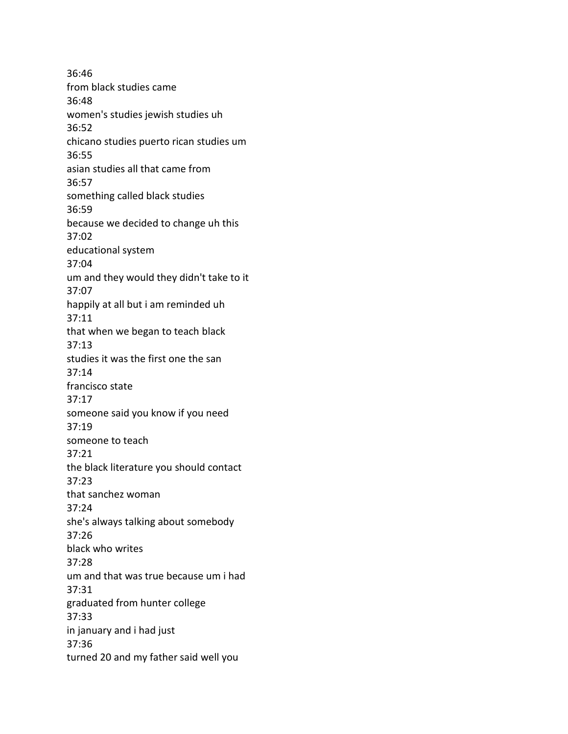36:46 from black studies came 36:48 women's studies jewish studies uh 36:52 chicano studies puerto rican studies um 36:55 asian studies all that came from 36:57 something called black studies 36:59 because we decided to change uh this 37:02 educational system 37:04 um and they would they didn't take to it 37:07 happily at all but i am reminded uh 37:11 that when we began to teach black 37:13 studies it was the first one the san 37:14 francisco state 37:17 someone said you know if you need 37:19 someone to teach 37:21 the black literature you should contact 37:23 that sanchez woman 37:24 she's always talking about somebody 37:26 black who writes 37:28 um and that was true because um i had 37:31 graduated from hunter college 37:33 in january and i had just 37:36 turned 20 and my father said well you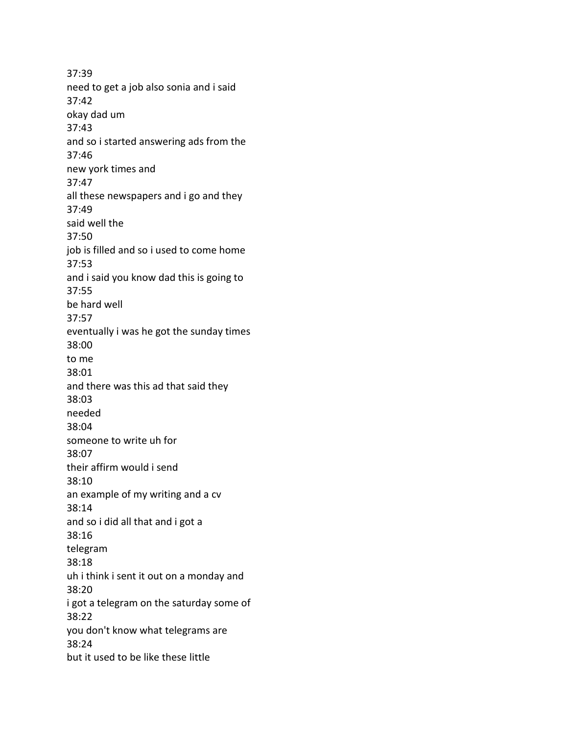37:39 need to get a job also sonia and i said 37:42 okay dad um 37:43 and so i started answering ads from the 37:46 new york times and 37:47 all these newspapers and i go and they 37:49 said well the 37:50 job is filled and so i used to come home 37:53 and i said you know dad this is going to 37:55 be hard well 37:57 eventually i was he got the sunday times 38:00 to me 38:01 and there was this ad that said they 38:03 needed 38:04 someone to write uh for 38:07 their affirm would i send 38:10 an example of my writing and a cv 38:14 and so i did all that and i got a 38:16 telegram 38:18 uh i think i sent it out on a monday and 38:20 i got a telegram on the saturday some of 38:22 you don't know what telegrams are 38:24 but it used to be like these little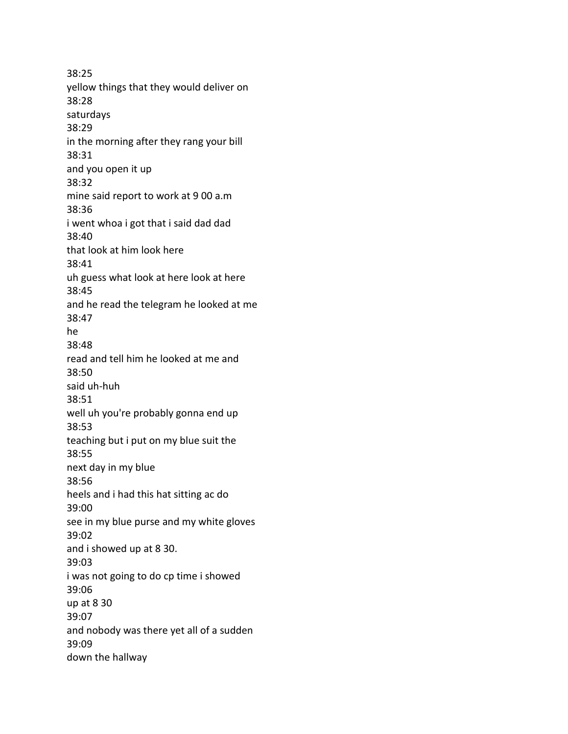38:25 yellow things that they would deliver on 38:28 saturdays 38:29 in the morning after they rang your bill 38:31 and you open it up 38:32 mine said report to work at 9 00 a.m 38:36 i went whoa i got that i said dad dad 38:40 that look at him look here 38:41 uh guess what look at here look at here 38:45 and he read the telegram he looked at me 38:47 he 38:48 read and tell him he looked at me and 38:50 said uh-huh 38:51 well uh you're probably gonna end up 38:53 teaching but i put on my blue suit the 38:55 next day in my blue 38:56 heels and i had this hat sitting ac do 39:00 see in my blue purse and my white gloves 39:02 and i showed up at 8 30. 39:03 i was not going to do cp time i showed 39:06 up at 8 30 39:07 and nobody was there yet all of a sudden 39:09 down the hallway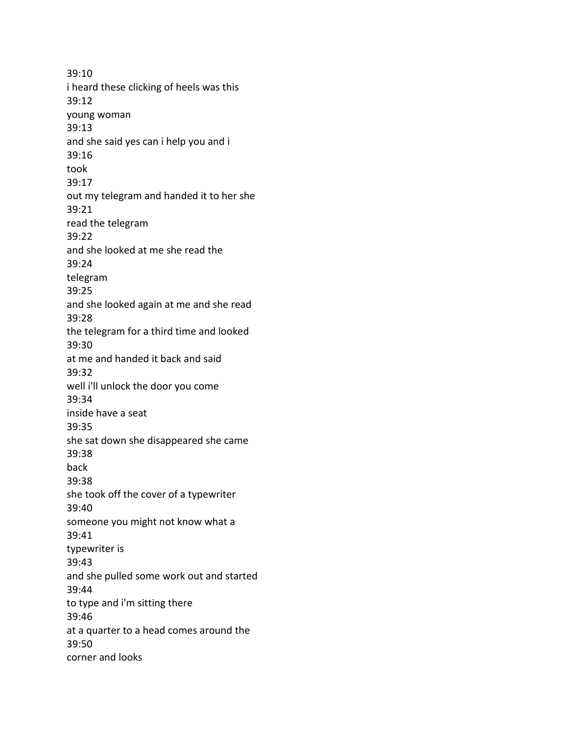39:10 i heard these clicking of heels was this 39:12 young woman 39:13 and she said yes can i help you and i 39:16 took 39:17 out my telegram and handed it to her she 39:21 read the telegram 39:22 and she looked at me she read the 39:24 telegram 39:25 and she looked again at me and she read 39:28 the telegram for a third time and looked 39:30 at me and handed it back and said 39:32 well i'll unlock the door you come 39:34 inside have a seat 39:35 she sat down she disappeared she came 39:38 back 39:38 she took off the cover of a typewriter 39:40 someone you might not know what a 39:41 typewriter is 39:43 and she pulled some work out and started 39:44 to type and i'm sitting there 39:46 at a quarter to a head comes around the 39:50 corner and looks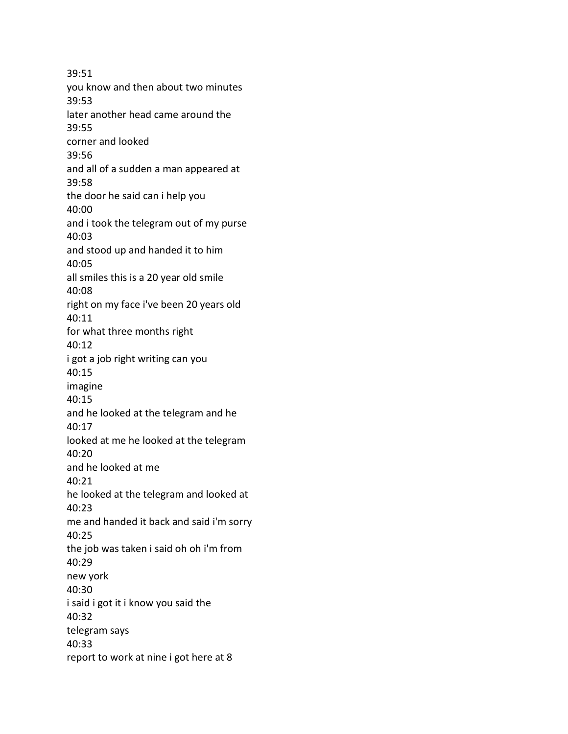39:51 you know and then about two minutes 39:53 later another head came around the 39:55 corner and looked 39:56 and all of a sudden a man appeared at 39:58 the door he said can i help you 40:00 and i took the telegram out of my purse 40:03 and stood up and handed it to him 40:05 all smiles this is a 20 year old smile 40:08 right on my face i've been 20 years old 40:11 for what three months right 40:12 i got a job right writing can you 40:15 imagine 40:15 and he looked at the telegram and he 40:17 looked at me he looked at the telegram 40:20 and he looked at me 40:21 he looked at the telegram and looked at 40:23 me and handed it back and said i'm sorry 40:25 the job was taken i said oh oh i'm from 40:29 new york 40:30 i said i got it i know you said the 40:32 telegram says 40:33 report to work at nine i got here at 8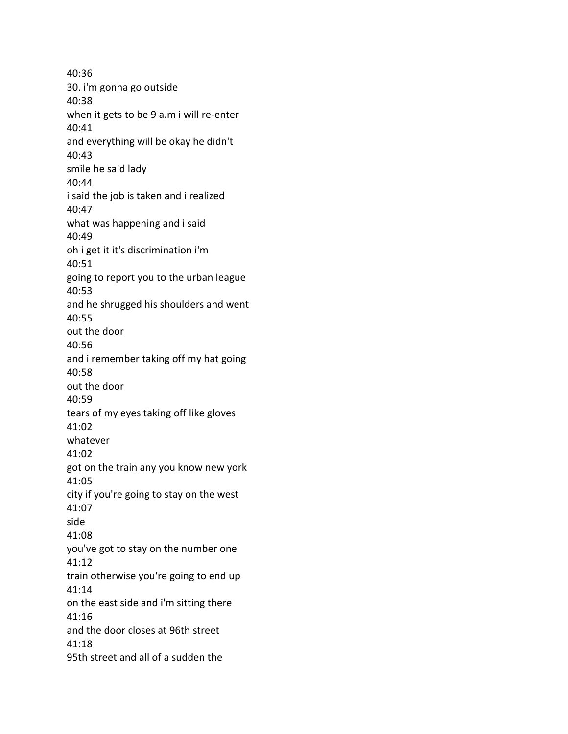40:36 30. i'm gonna go outside 40:38 when it gets to be 9 a.m i will re-enter 40:41 and everything will be okay he didn't 40:43 smile he said lady 40:44 i said the job is taken and i realized 40:47 what was happening and i said 40:49 oh i get it it's discrimination i'm 40:51 going to report you to the urban league 40:53 and he shrugged his shoulders and went 40:55 out the door 40:56 and i remember taking off my hat going 40:58 out the door 40:59 tears of my eyes taking off like gloves 41:02 whatever 41:02 got on the train any you know new york 41:05 city if you're going to stay on the west 41:07 side 41:08 you've got to stay on the number one 41:12 train otherwise you're going to end up 41:14 on the east side and i'm sitting there 41:16 and the door closes at 96th street 41:18 95th street and all of a sudden the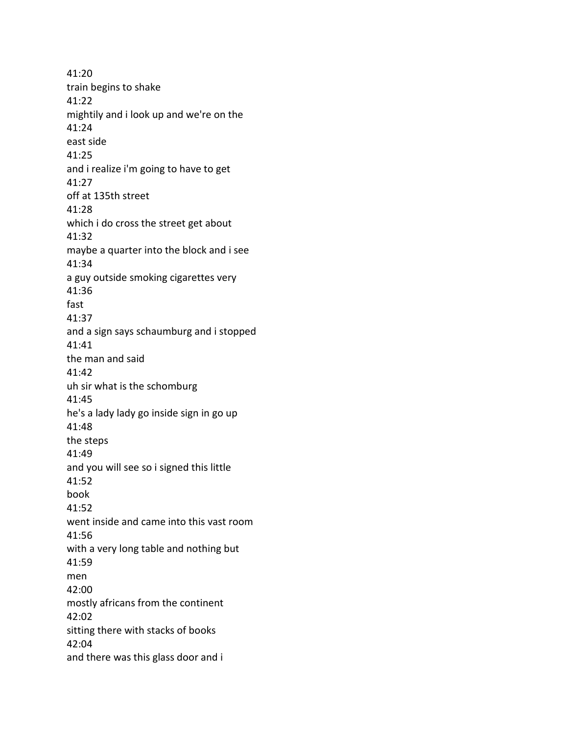41:20 train begins to shake 41:22 mightily and i look up and we're on the 41:24 east side 41:25 and i realize i'm going to have to get 41:27 off at 135th street 41:28 which i do cross the street get about 41:32 maybe a quarter into the block and i see 41:34 a guy outside smoking cigarettes very 41:36 fast 41:37 and a sign says schaumburg and i stopped 41:41 the man and said 41:42 uh sir what is the schomburg 41:45 he's a lady lady go inside sign in go up 41:48 the steps 41:49 and you will see so i signed this little 41:52 book 41:52 went inside and came into this vast room 41:56 with a very long table and nothing but 41:59 men 42:00 mostly africans from the continent 42:02 sitting there with stacks of books 42:04 and there was this glass door and i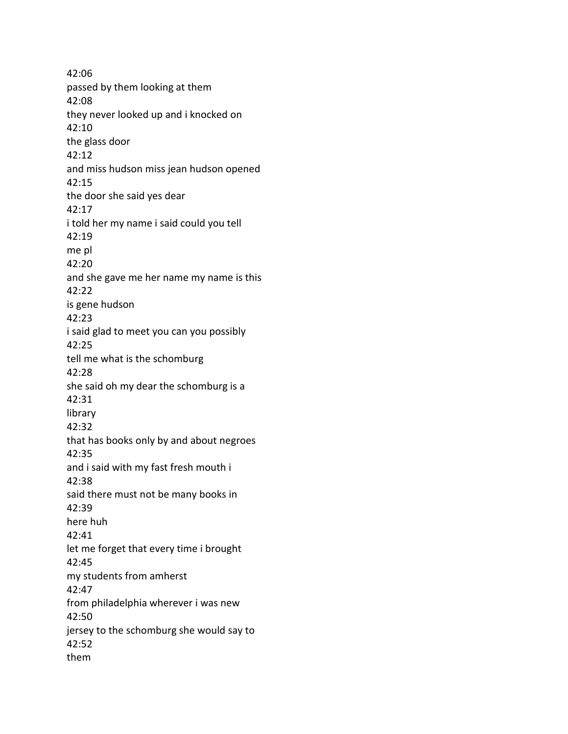42:06 passed by them looking at them 42:08 they never looked up and i knocked on 42:10 the glass door 42:12 and miss hudson miss jean hudson opened 42:15 the door she said yes dear 42:17 i told her my name i said could you tell 42:19 me pl 42:20 and she gave me her name my name is this 42:22 is gene hudson 42:23 i said glad to meet you can you possibly 42:25 tell me what is the schomburg 42:28 she said oh my dear the schomburg is a 42:31 library 42:32 that has books only by and about negroes 42:35 and i said with my fast fresh mouth i 42:38 said there must not be many books in 42:39 here huh 42:41 let me forget that every time i brought 42:45 my students from amherst 42:47 from philadelphia wherever i was new 42:50 jersey to the schomburg she would say to 42:52 them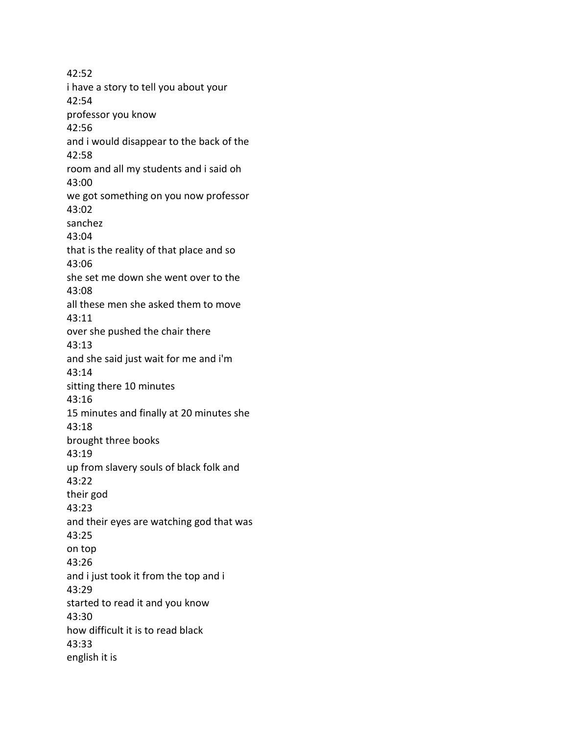42:52 i have a story to tell you about your 42:54 professor you know 42:56 and i would disappear to the back of the 42:58 room and all my students and i said oh 43:00 we got something on you now professor 43:02 sanchez 43:04 that is the reality of that place and so 43:06 she set me down she went over to the 43:08 all these men she asked them to move 43:11 over she pushed the chair there 43:13 and she said just wait for me and i'm 43:14 sitting there 10 minutes 43:16 15 minutes and finally at 20 minutes she 43:18 brought three books 43:19 up from slavery souls of black folk and 43:22 their god 43:23 and their eyes are watching god that was 43:25 on top 43:26 and i just took it from the top and i 43:29 started to read it and you know 43:30 how difficult it is to read black 43:33 english it is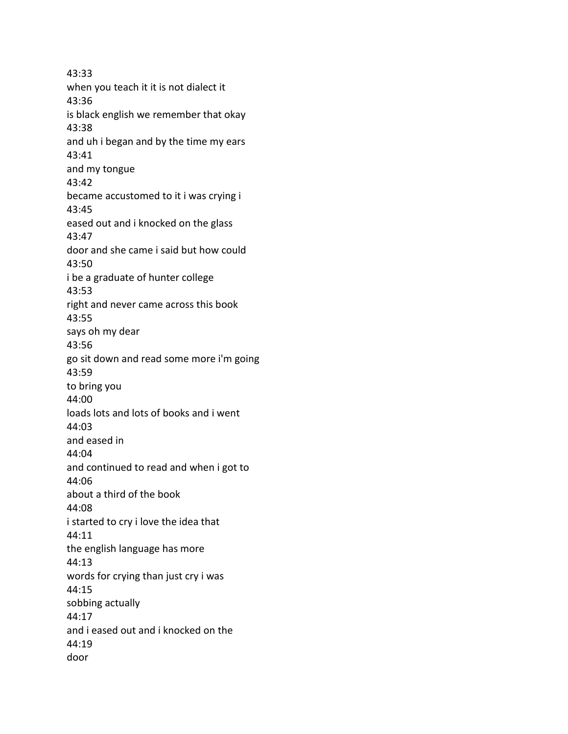43:33 when you teach it it is not dialect it 43:36 is black english we remember that okay 43:38 and uh i began and by the time my ears 43:41 and my tongue 43:42 became accustomed to it i was crying i 43:45 eased out and i knocked on the glass 43:47 door and she came i said but how could 43:50 i be a graduate of hunter college 43:53 right and never came across this book 43:55 says oh my dear 43:56 go sit down and read some more i'm going 43:59 to bring you 44:00 loads lots and lots of books and i went 44:03 and eased in 44:04 and continued to read and when i got to 44:06 about a third of the book 44:08 i started to cry i love the idea that 44:11 the english language has more 44:13 words for crying than just cry i was 44:15 sobbing actually 44:17 and i eased out and i knocked on the 44:19 door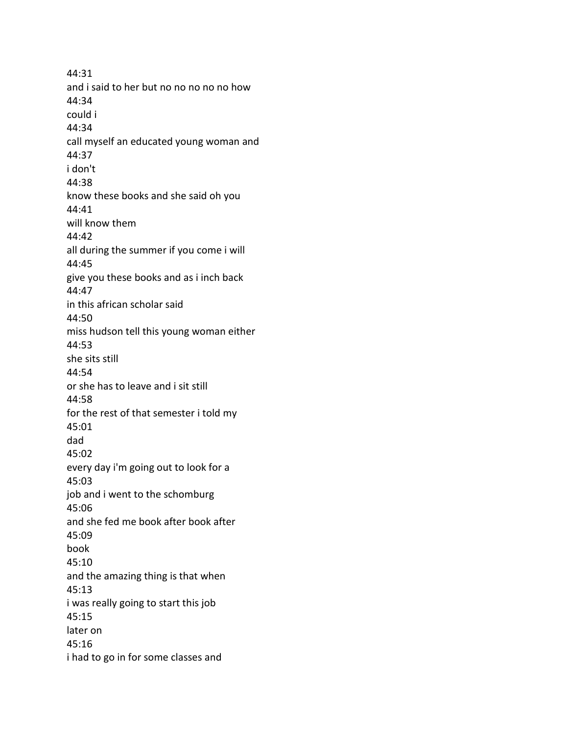44:31 and i said to her but no no no no no how 44:34 could i 44:34 call myself an educated young woman and 44:37 i don't 44:38 know these books and she said oh you 44:41 will know them 44:42 all during the summer if you come i will 44:45 give you these books and as i inch back 44:47 in this african scholar said 44:50 miss hudson tell this young woman either 44:53 she sits still 44:54 or she has to leave and i sit still 44:58 for the rest of that semester i told my 45:01 dad 45:02 every day i'm going out to look for a 45:03 job and i went to the schomburg 45:06 and she fed me book after book after 45:09 book 45:10 and the amazing thing is that when 45:13 i was really going to start this job 45:15 later on 45:16 i had to go in for some classes and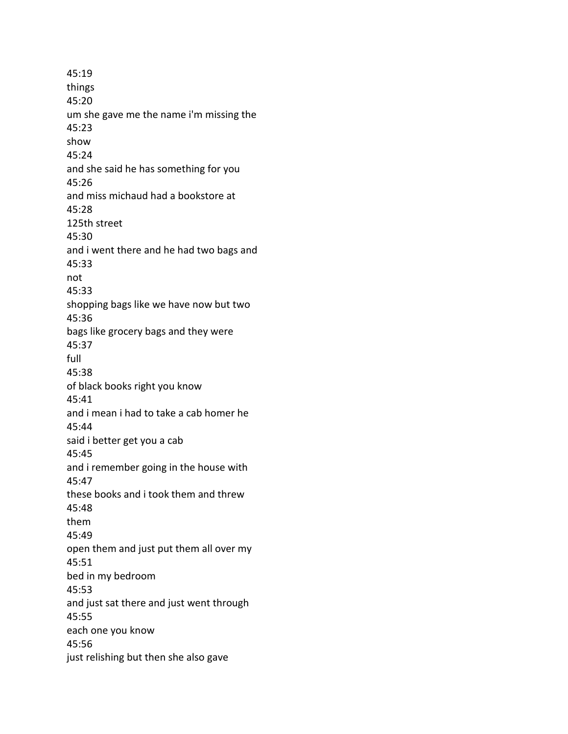45:19 things 45:20 um she gave me the name i'm missing the 45:23 show 45:24 and she said he has something for you 45:26 and miss michaud had a bookstore at 45:28 125th street 45:30 and i went there and he had two bags and 45:33 not 45:33 shopping bags like we have now but two 45:36 bags like grocery bags and they were 45:37 full 45:38 of black books right you know 45:41 and i mean i had to take a cab homer he 45:44 said i better get you a cab 45:45 and i remember going in the house with 45:47 these books and i took them and threw 45:48 them 45:49 open them and just put them all over my 45:51 bed in my bedroom 45:53 and just sat there and just went through 45:55 each one you know 45:56 just relishing but then she also gave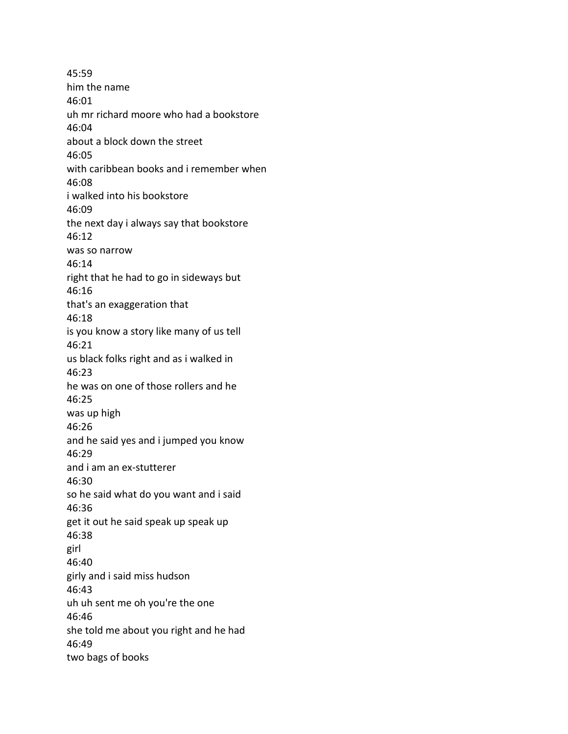45:59 him the name 46:01 uh mr richard moore who had a bookstore 46:04 about a block down the street 46:05 with caribbean books and i remember when 46:08 i walked into his bookstore 46:09 the next day i always say that bookstore 46:12 was so narrow 46:14 right that he had to go in sideways but 46:16 that's an exaggeration that 46:18 is you know a story like many of us tell 46:21 us black folks right and as i walked in 46:23 he was on one of those rollers and he 46:25 was up high 46:26 and he said yes and i jumped you know 46:29 and i am an ex-stutterer 46:30 so he said what do you want and i said 46:36 get it out he said speak up speak up 46:38 girl 46:40 girly and i said miss hudson 46:43 uh uh sent me oh you're the one 46:46 she told me about you right and he had 46:49 two bags of books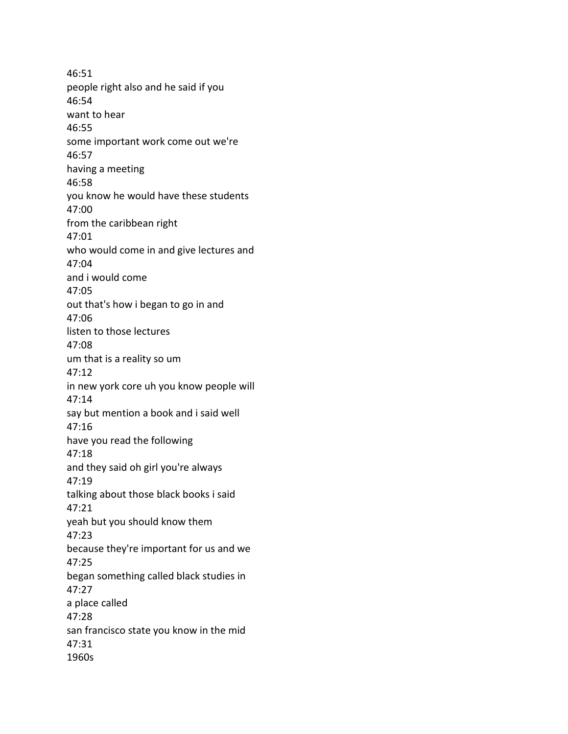46:51 people right also and he said if you 46:54 want to hear 46:55 some important work come out we're 46:57 having a meeting 46:58 you know he would have these students 47:00 from the caribbean right 47:01 who would come in and give lectures and 47:04 and i would come 47:05 out that's how i began to go in and 47:06 listen to those lectures 47:08 um that is a reality so um 47:12 in new york core uh you know people will 47:14 say but mention a book and i said well 47:16 have you read the following 47:18 and they said oh girl you're always 47:19 talking about those black books i said 47:21 yeah but you should know them 47:23 because they're important for us and we 47:25 began something called black studies in 47:27 a place called 47:28 san francisco state you know in the mid 47:31 1960s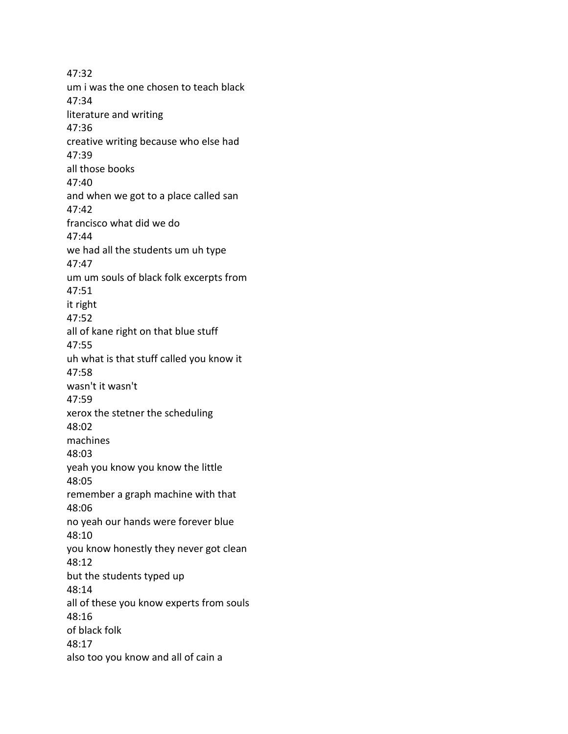47:32 um i was the one chosen to teach black 47:34 literature and writing 47:36 creative writing because who else had 47:39 all those books 47:40 and when we got to a place called san 47:42 francisco what did we do 47:44 we had all the students um uh type 47:47 um um souls of black folk excerpts from 47:51 it right 47:52 all of kane right on that blue stuff 47:55 uh what is that stuff called you know it 47:58 wasn't it wasn't 47:59 xerox the stetner the scheduling 48:02 machines 48:03 yeah you know you know the little 48:05 remember a graph machine with that 48:06 no yeah our hands were forever blue 48:10 you know honestly they never got clean 48:12 but the students typed up 48:14 all of these you know experts from souls 48:16 of black folk 48:17 also too you know and all of cain a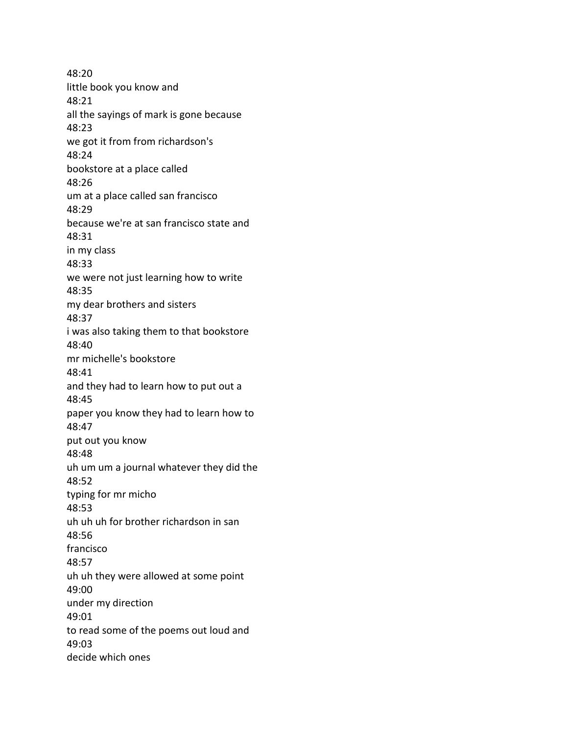48:20 little book you know and 48:21 all the sayings of mark is gone because 48:23 we got it from from richardson's 48:24 bookstore at a place called 48:26 um at a place called san francisco 48:29 because we're at san francisco state and 48:31 in my class 48:33 we were not just learning how to write 48:35 my dear brothers and sisters 48:37 i was also taking them to that bookstore 48:40 mr michelle's bookstore 48:41 and they had to learn how to put out a 48:45 paper you know they had to learn how to 48:47 put out you know 48:48 uh um um a journal whatever they did the 48:52 typing for mr micho 48:53 uh uh uh for brother richardson in san 48:56 francisco 48:57 uh uh they were allowed at some point 49:00 under my direction 49:01 to read some of the poems out loud and 49:03 decide which ones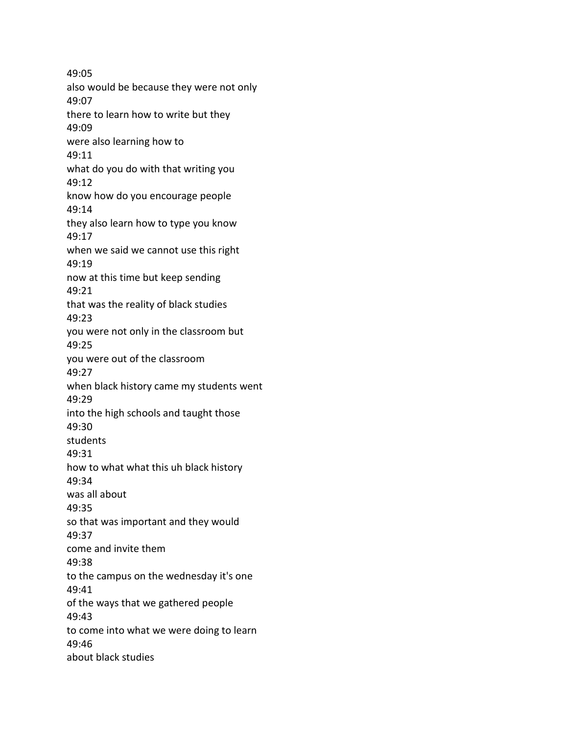49:05 also would be because they were not only 49:07 there to learn how to write but they 49:09 were also learning how to 49:11 what do you do with that writing you 49:12 know how do you encourage people 49:14 they also learn how to type you know 49:17 when we said we cannot use this right 49:19 now at this time but keep sending 49:21 that was the reality of black studies 49:23 you were not only in the classroom but 49:25 you were out of the classroom 49:27 when black history came my students went 49:29 into the high schools and taught those 49:30 students 49:31 how to what what this uh black history 49:34 was all about 49:35 so that was important and they would 49:37 come and invite them 49:38 to the campus on the wednesday it's one 49:41 of the ways that we gathered people 49:43 to come into what we were doing to learn 49:46 about black studies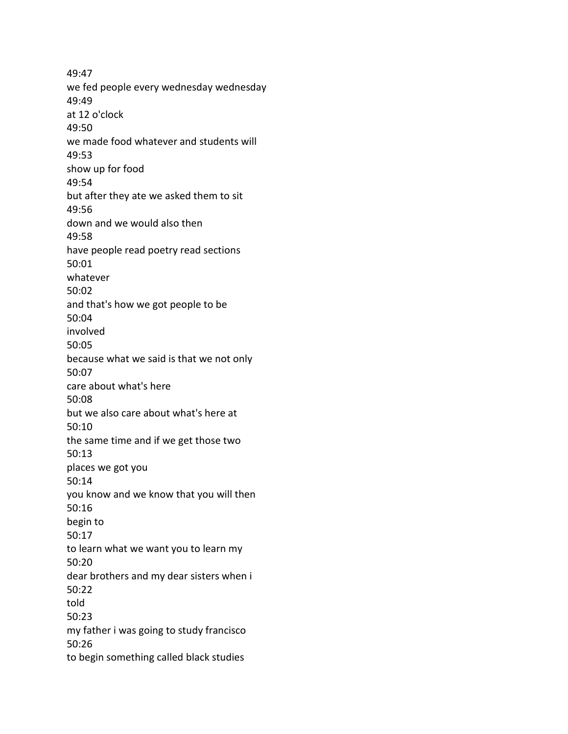49:47 we fed people every wednesday wednesday 49:49 at 12 o'clock 49:50 we made food whatever and students will 49:53 show up for food 49:54 but after they ate we asked them to sit 49:56 down and we would also then 49:58 have people read poetry read sections 50:01 whatever 50:02 and that's how we got people to be 50:04 involved 50:05 because what we said is that we not only 50:07 care about what's here 50:08 but we also care about what's here at 50:10 the same time and if we get those two 50:13 places we got you 50:14 you know and we know that you will then 50:16 begin to 50:17 to learn what we want you to learn my 50:20 dear brothers and my dear sisters when i 50:22 told 50:23 my father i was going to study francisco 50:26 to begin something called black studies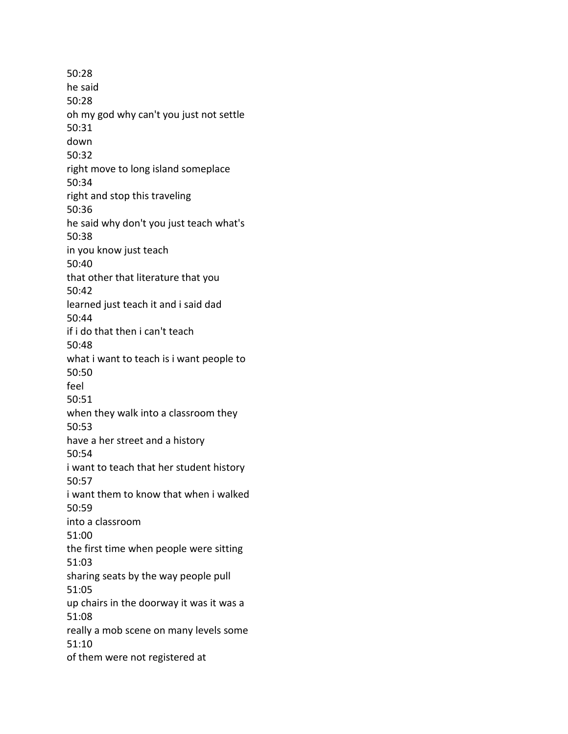50:28 he said 50:28 oh my god why can't you just not settle 50:31 down 50:32 right move to long island someplace 50:34 right and stop this traveling 50:36 he said why don't you just teach what's 50:38 in you know just teach 50:40 that other that literature that you 50:42 learned just teach it and i said dad 50:44 if i do that then i can't teach 50:48 what i want to teach is i want people to 50:50 feel 50:51 when they walk into a classroom they 50:53 have a her street and a history 50:54 i want to teach that her student history 50:57 i want them to know that when i walked 50:59 into a classroom 51:00 the first time when people were sitting 51:03 sharing seats by the way people pull 51:05 up chairs in the doorway it was it was a 51:08 really a mob scene on many levels some 51:10 of them were not registered at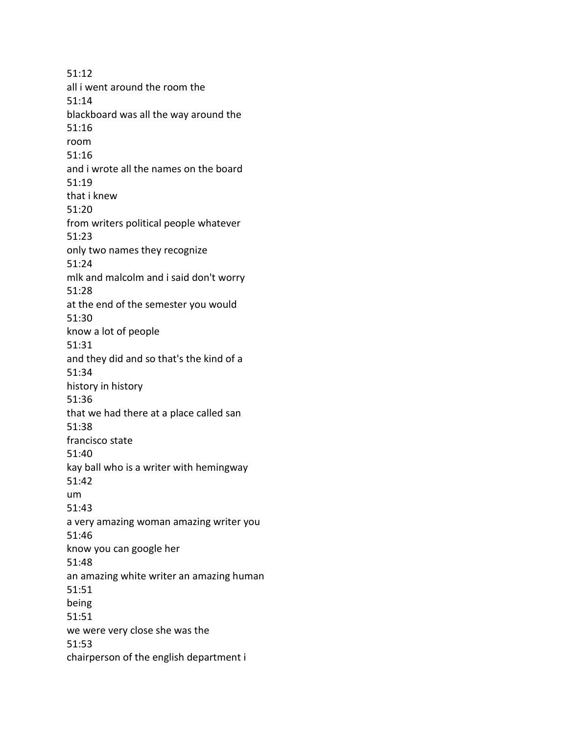51:12 all i went around the room the 51:14 blackboard was all the way around the 51:16 room 51:16 and i wrote all the names on the board 51:19 that i knew 51:20 from writers political people whatever 51:23 only two names they recognize 51:24 mlk and malcolm and i said don't worry 51:28 at the end of the semester you would 51:30 know a lot of people 51:31 and they did and so that's the kind of a 51:34 history in history 51:36 that we had there at a place called san 51:38 francisco state 51:40 kay ball who is a writer with hemingway 51:42 um 51:43 a very amazing woman amazing writer you 51:46 know you can google her 51:48 an amazing white writer an amazing human 51:51 being 51:51 we were very close she was the 51:53 chairperson of the english department i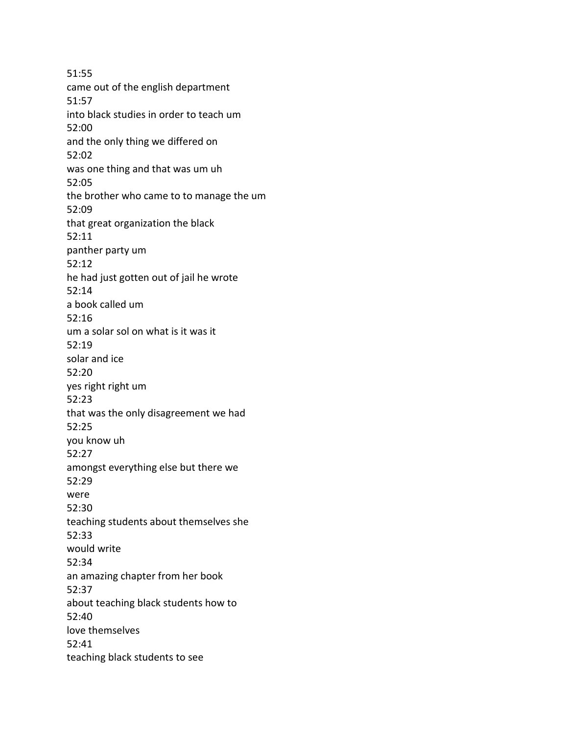51:55 came out of the english department 51:57 into black studies in order to teach um 52:00 and the only thing we differed on 52:02 was one thing and that was um uh 52:05 the brother who came to to manage the um 52:09 that great organization the black 52:11 panther party um 52:12 he had just gotten out of jail he wrote 52:14 a book called um 52:16 um a solar sol on what is it was it 52:19 solar and ice 52:20 yes right right um 52:23 that was the only disagreement we had 52:25 you know uh 52:27 amongst everything else but there we 52:29 were 52:30 teaching students about themselves she 52:33 would write 52:34 an amazing chapter from her book 52:37 about teaching black students how to 52:40 love themselves 52:41 teaching black students to see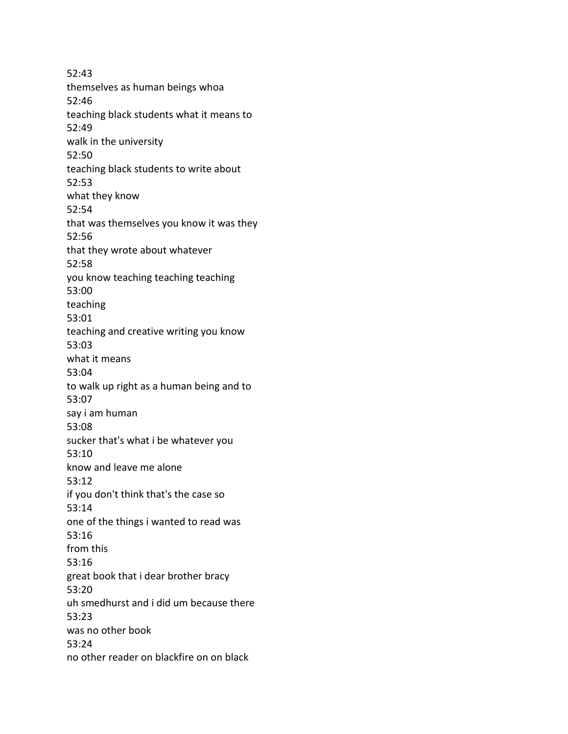52:43 themselves as human beings whoa 52:46 teaching black students what it means to 52:49 walk in the university 52:50 teaching black students to write about 52:53 what they know 52:54 that was themselves you know it was they 52:56 that they wrote about whatever 52:58 you know teaching teaching teaching 53:00 teaching 53:01 teaching and creative writing you know 53:03 what it means 53:04 to walk up right as a human being and to 53:07 say i am human 53:08 sucker that's what i be whatever you 53:10 know and leave me alone 53:12 if you don't think that's the case so 53:14 one of the things i wanted to read was 53:16 from this 53:16 great book that i dear brother bracy 53:20 uh smedhurst and i did um because there 53:23 was no other book 53:24 no other reader on blackfire on on black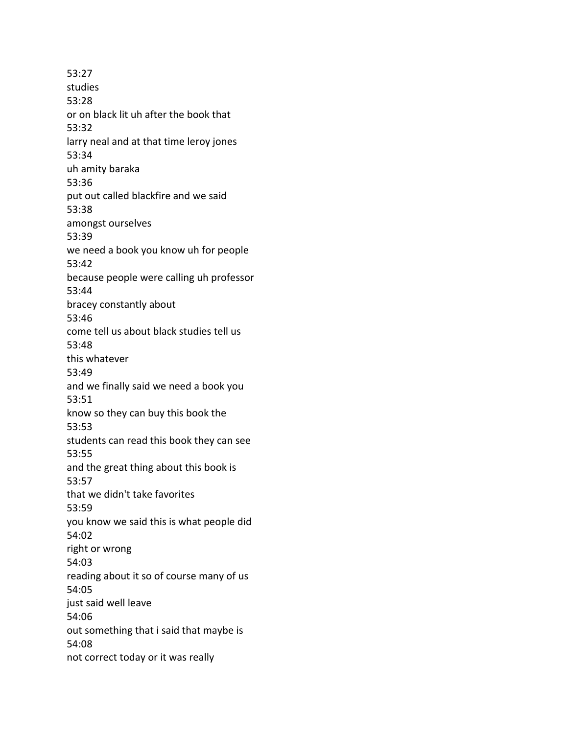53:27 studies 53:28 or on black lit uh after the book that 53:32 larry neal and at that time leroy jones 53:34 uh amity baraka 53:36 put out called blackfire and we said 53:38 amongst ourselves 53:39 we need a book you know uh for people 53:42 because people were calling uh professor 53:44 bracey constantly about 53:46 come tell us about black studies tell us 53:48 this whatever 53:49 and we finally said we need a book you 53:51 know so they can buy this book the 53:53 students can read this book they can see 53:55 and the great thing about this book is 53:57 that we didn't take favorites 53:59 you know we said this is what people did 54:02 right or wrong 54:03 reading about it so of course many of us 54:05 just said well leave 54:06 out something that i said that maybe is 54:08 not correct today or it was really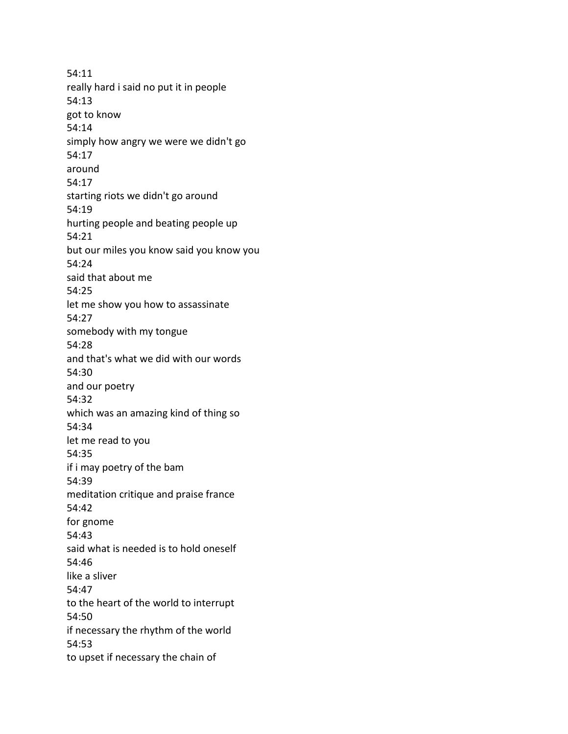54:11 really hard i said no put it in people 54:13 got to know 54:14 simply how angry we were we didn't go 54:17 around 54:17 starting riots we didn't go around 54:19 hurting people and beating people up 54:21 but our miles you know said you know you 54:24 said that about me 54:25 let me show you how to assassinate 54:27 somebody with my tongue 54:28 and that's what we did with our words 54:30 and our poetry 54:32 which was an amazing kind of thing so 54:34 let me read to you 54:35 if i may poetry of the bam 54:39 meditation critique and praise france 54:42 for gnome 54:43 said what is needed is to hold oneself 54:46 like a sliver 54:47 to the heart of the world to interrupt 54:50 if necessary the rhythm of the world 54:53 to upset if necessary the chain of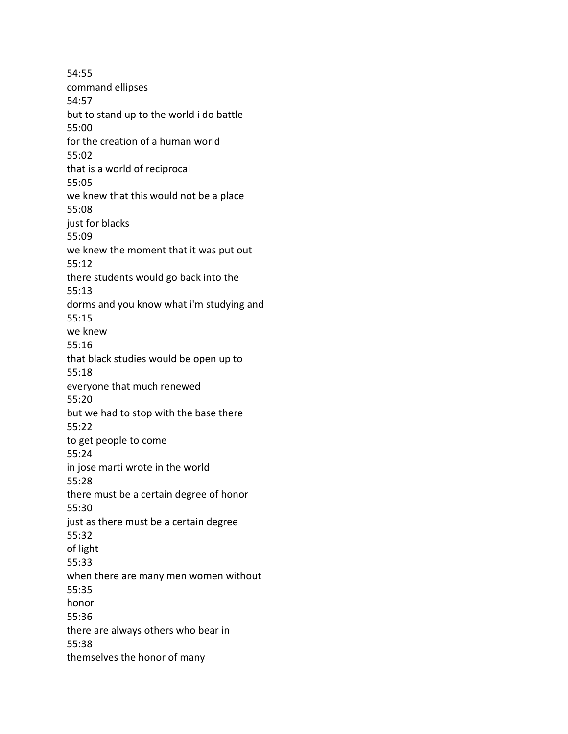54:55 command ellipses 54:57 but to stand up to the world i do battle 55:00 for the creation of a human world 55:02 that is a world of reciprocal 55:05 we knew that this would not be a place 55:08 just for blacks 55:09 we knew the moment that it was put out 55:12 there students would go back into the 55:13 dorms and you know what i'm studying and 55:15 we knew 55:16 that black studies would be open up to 55:18 everyone that much renewed 55:20 but we had to stop with the base there 55:22 to get people to come 55:24 in jose marti wrote in the world 55:28 there must be a certain degree of honor 55:30 just as there must be a certain degree 55:32 of light 55:33 when there are many men women without 55:35 honor 55:36 there are always others who bear in 55:38 themselves the honor of many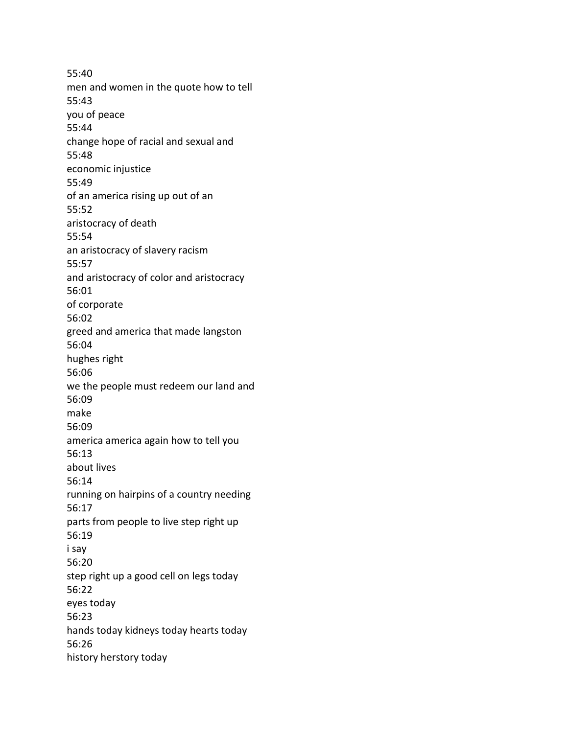55:40 men and women in the quote how to tell 55:43 you of peace 55:44 change hope of racial and sexual and 55:48 economic injustice 55:49 of an america rising up out of an 55:52 aristocracy of death 55:54 an aristocracy of slavery racism 55:57 and aristocracy of color and aristocracy 56:01 of corporate 56:02 greed and america that made langston 56:04 hughes right 56:06 we the people must redeem our land and 56:09 make 56:09 america america again how to tell you 56:13 about lives 56:14 running on hairpins of a country needing 56:17 parts from people to live step right up 56:19 i say 56:20 step right up a good cell on legs today 56:22 eyes today 56:23 hands today kidneys today hearts today 56:26 history herstory today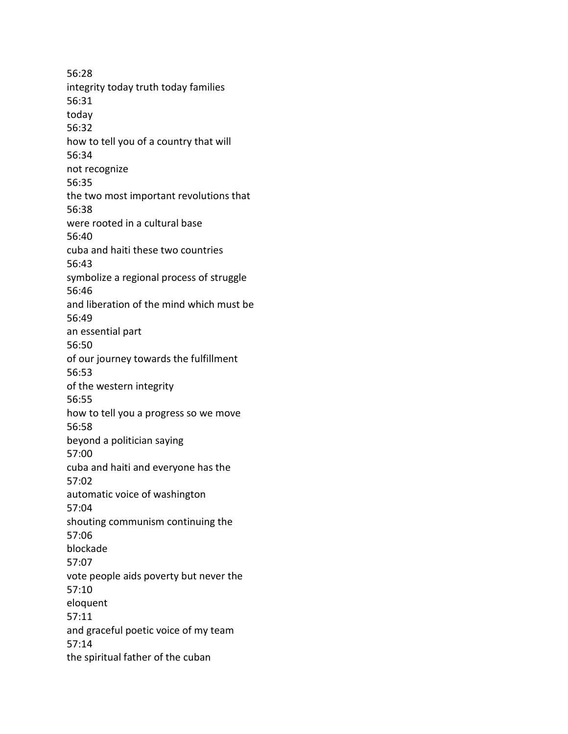56:28 integrity today truth today families 56:31 today 56:32 how to tell you of a country that will 56:34 not recognize 56:35 the two most important revolutions that 56:38 were rooted in a cultural base 56:40 cuba and haiti these two countries 56:43 symbolize a regional process of struggle 56:46 and liberation of the mind which must be 56:49 an essential part 56:50 of our journey towards the fulfillment 56:53 of the western integrity 56:55 how to tell you a progress so we move 56:58 beyond a politician saying 57:00 cuba and haiti and everyone has the 57:02 automatic voice of washington 57:04 shouting communism continuing the 57:06 blockade 57:07 vote people aids poverty but never the 57:10 eloquent 57:11 and graceful poetic voice of my team 57:14 the spiritual father of the cuban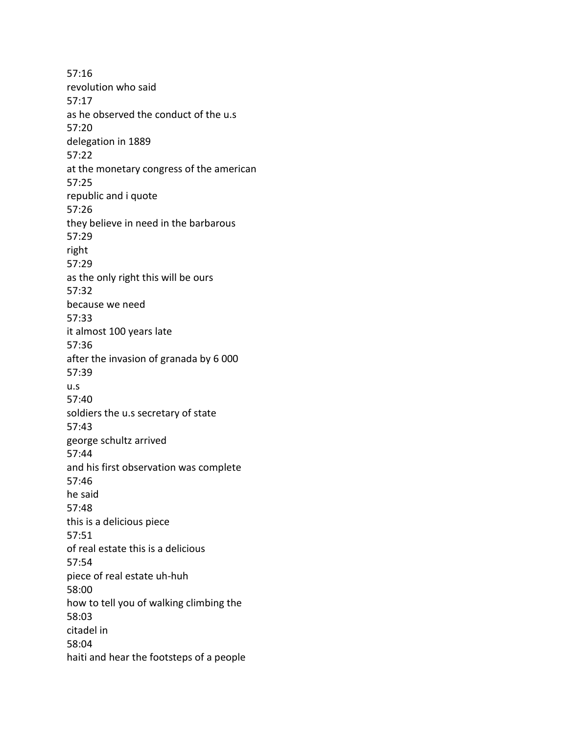57:16 revolution who said 57:17 as he observed the conduct of the u.s 57:20 delegation in 1889 57:22 at the monetary congress of the american 57:25 republic and i quote 57:26 they believe in need in the barbarous 57:29 right 57:29 as the only right this will be ours 57:32 because we need 57:33 it almost 100 years late 57:36 after the invasion of granada by 6 000 57:39 u.s 57:40 soldiers the u.s secretary of state 57:43 george schultz arrived 57:44 and his first observation was complete 57:46 he said 57:48 this is a delicious piece 57:51 of real estate this is a delicious 57:54 piece of real estate uh-huh 58:00 how to tell you of walking climbing the 58:03 citadel in 58:04 haiti and hear the footsteps of a people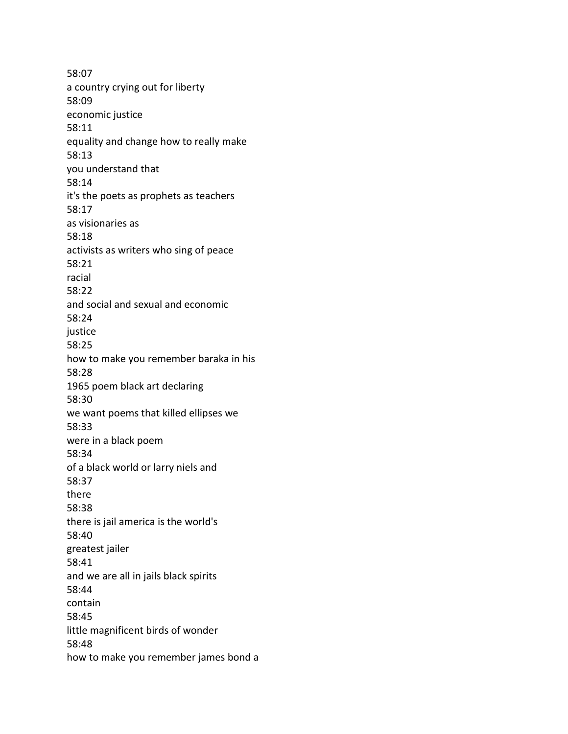58:07 a country crying out for liberty 58:09 economic justice 58:11 equality and change how to really make 58:13 you understand that 58:14 it's the poets as prophets as teachers 58:17 as visionaries as 58:18 activists as writers who sing of peace 58:21 racial 58:22 and social and sexual and economic 58:24 justice 58:25 how to make you remember baraka in his 58:28 1965 poem black art declaring 58:30 we want poems that killed ellipses we 58:33 were in a black poem 58:34 of a black world or larry niels and 58:37 there 58:38 there is jail america is the world's 58:40 greatest jailer 58:41 and we are all in jails black spirits 58:44 contain 58:45 little magnificent birds of wonder 58:48 how to make you remember james bond a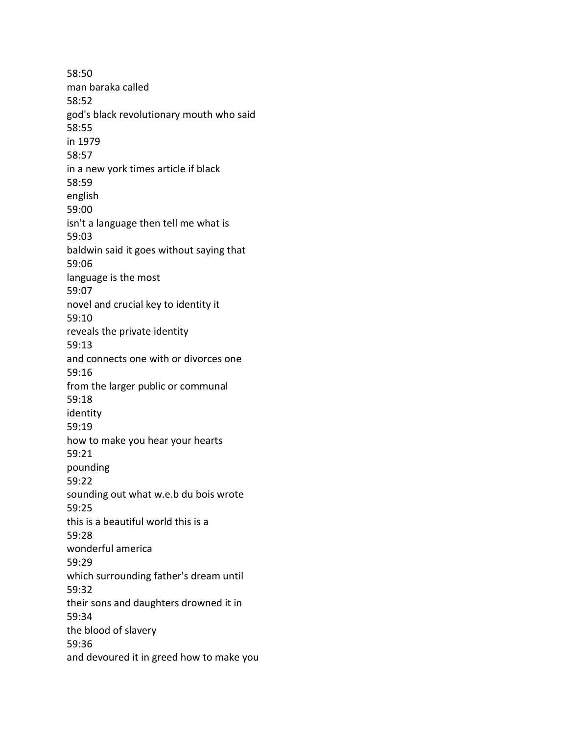58:50 man baraka called 58:52 god's black revolutionary mouth who said 58:55 in 1979 58:57 in a new york times article if black 58:59 english 59:00 isn't a language then tell me what is 59:03 baldwin said it goes without saying that 59:06 language is the most 59:07 novel and crucial key to identity it 59:10 reveals the private identity 59:13 and connects one with or divorces one 59:16 from the larger public or communal 59:18 identity 59:19 how to make you hear your hearts 59:21 pounding 59:22 sounding out what w.e.b du bois wrote 59:25 this is a beautiful world this is a 59:28 wonderful america 59:29 which surrounding father's dream until 59:32 their sons and daughters drowned it in 59:34 the blood of slavery 59:36 and devoured it in greed how to make you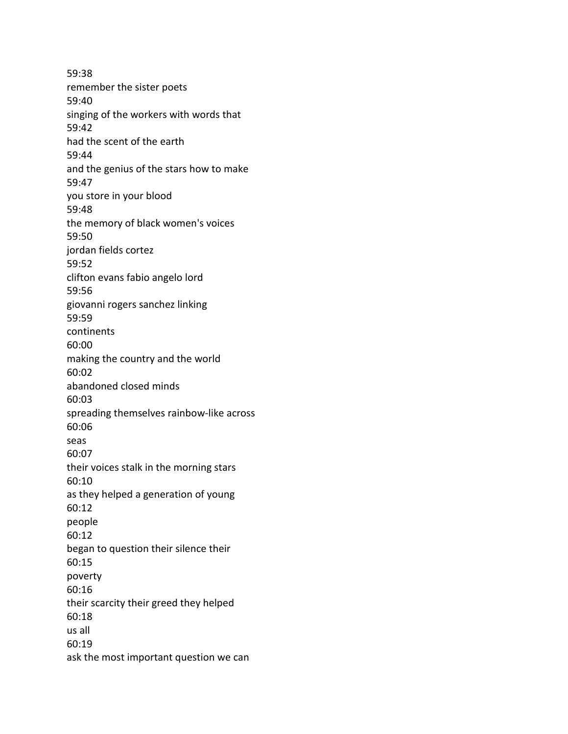59:38 remember the sister poets 59:40 singing of the workers with words that 59:42 had the scent of the earth 59:44 and the genius of the stars how to make 59:47 you store in your blood 59:48 the memory of black women's voices 59:50 jordan fields cortez 59:52 clifton evans fabio angelo lord 59:56 giovanni rogers sanchez linking 59:59 continents 60:00 making the country and the world 60:02 abandoned closed minds 60:03 spreading themselves rainbow-like across 60:06 seas 60:07 their voices stalk in the morning stars 60:10 as they helped a generation of young 60:12 people 60:12 began to question their silence their 60:15 poverty 60:16 their scarcity their greed they helped 60:18 us all 60:19 ask the most important question we can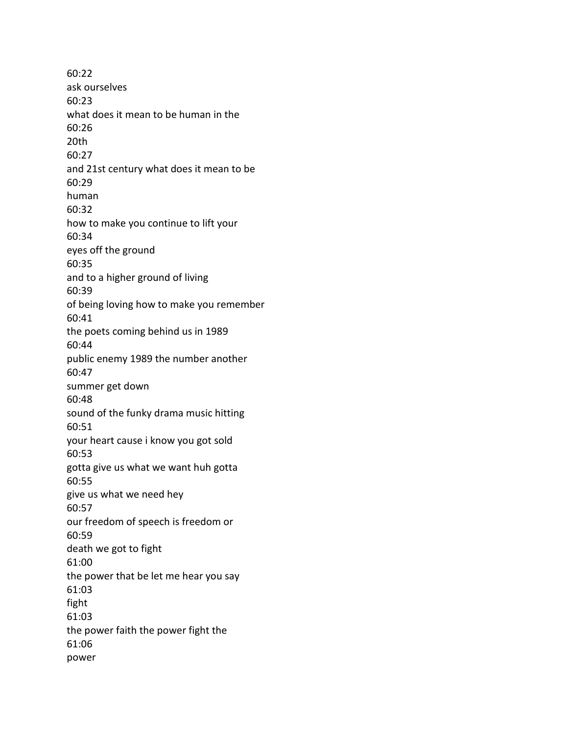60:22 ask ourselves 60:23 what does it mean to be human in the 60:26 20th 60:27 and 21st century what does it mean to be 60:29 human 60:32 how to make you continue to lift your 60:34 eyes off the ground 60:35 and to a higher ground of living 60:39 of being loving how to make you remember 60:41 the poets coming behind us in 1989 60:44 public enemy 1989 the number another 60:47 summer get down 60:48 sound of the funky drama music hitting 60:51 your heart cause i know you got sold 60:53 gotta give us what we want huh gotta 60:55 give us what we need hey 60:57 our freedom of speech is freedom or 60:59 death we got to fight 61:00 the power that be let me hear you say 61:03 fight 61:03 the power faith the power fight the 61:06 power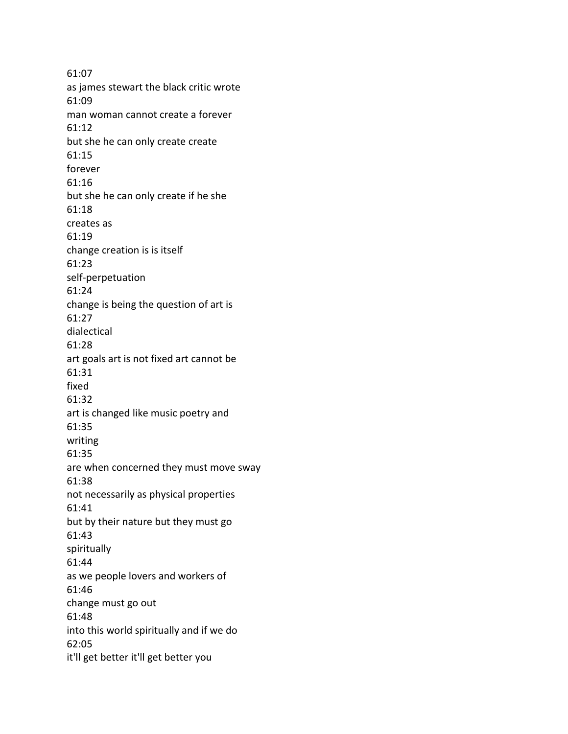61:07 as james stewart the black critic wrote 61:09 man woman cannot create a forever 61:12 but she he can only create create 61:15 forever 61:16 but she he can only create if he she 61:18 creates as 61:19 change creation is is itself 61:23 self-perpetuation 61:24 change is being the question of art is 61:27 dialectical 61:28 art goals art is not fixed art cannot be 61:31 fixed 61:32 art is changed like music poetry and 61:35 writing 61:35 are when concerned they must move sway 61:38 not necessarily as physical properties 61:41 but by their nature but they must go 61:43 spiritually 61:44 as we people lovers and workers of 61:46 change must go out 61:48 into this world spiritually and if we do 62:05 it'll get better it'll get better you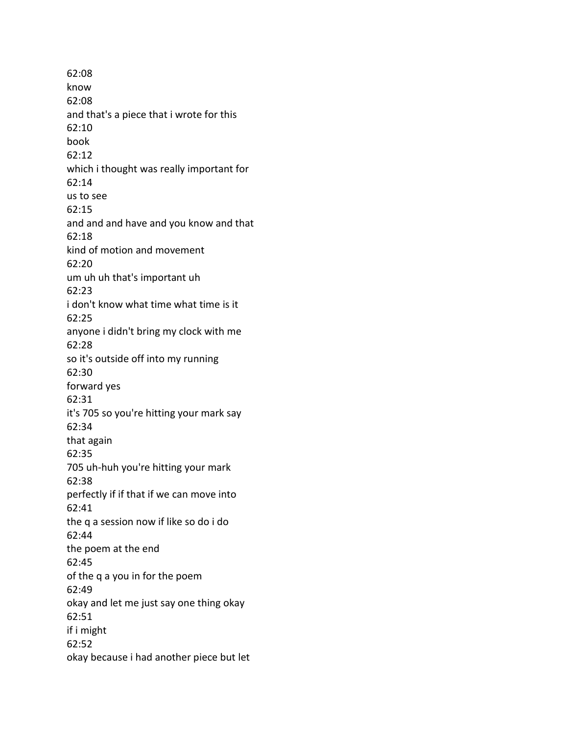62:08 know 62:08 and that's a piece that i wrote for this 62:10 book 62:12 which i thought was really important for 62:14 us to see 62:15 and and and have and you know and that 62:18 kind of motion and movement 62:20 um uh uh that's important uh 62:23 i don't know what time what time is it 62:25 anyone i didn't bring my clock with me 62:28 so it's outside off into my running 62:30 forward yes 62:31 it's 705 so you're hitting your mark say 62:34 that again 62:35 705 uh-huh you're hitting your mark 62:38 perfectly if if that if we can move into 62:41 the q a session now if like so do i do 62:44 the poem at the end 62:45 of the q a you in for the poem 62:49 okay and let me just say one thing okay 62:51 if i might 62:52 okay because i had another piece but let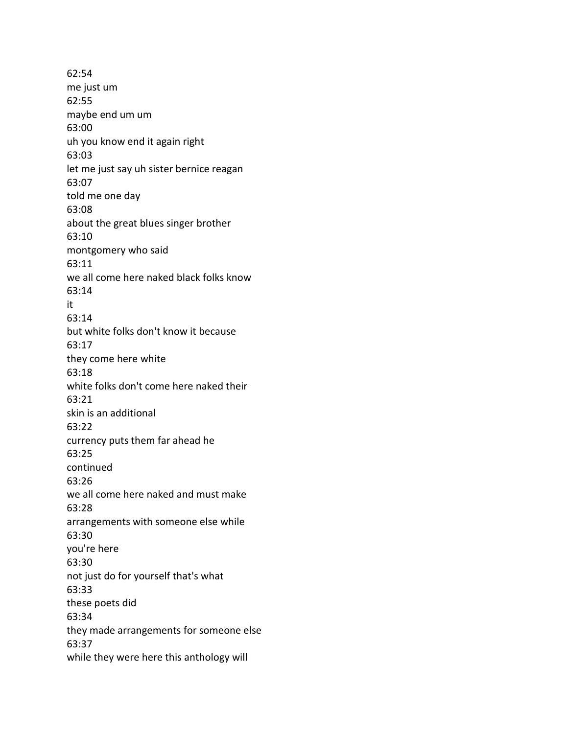62:54 me just um 62:55 maybe end um um 63:00 uh you know end it again right 63:03 let me just say uh sister bernice reagan 63:07 told me one day 63:08 about the great blues singer brother 63:10 montgomery who said 63:11 we all come here naked black folks know 63:14 it 63:14 but white folks don't know it because 63:17 they come here white 63:18 white folks don't come here naked their 63:21 skin is an additional 63:22 currency puts them far ahead he 63:25 continued 63:26 we all come here naked and must make 63:28 arrangements with someone else while 63:30 you're here 63:30 not just do for yourself that's what 63:33 these poets did 63:34 they made arrangements for someone else 63:37 while they were here this anthology will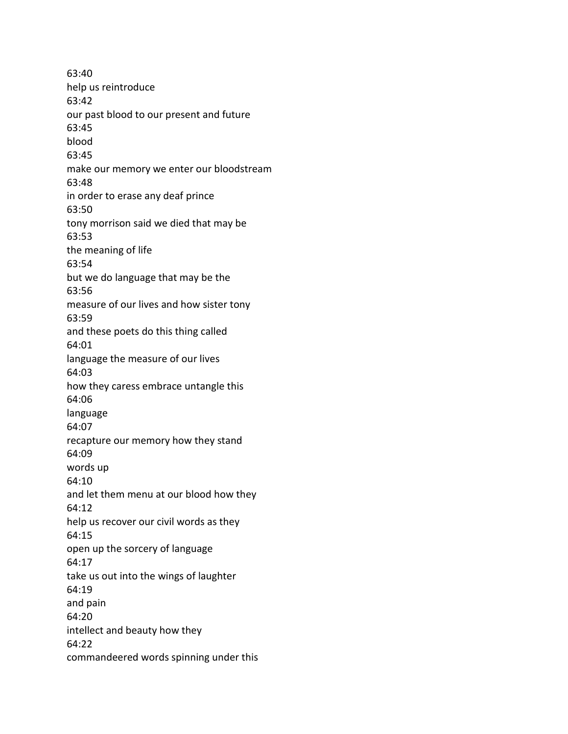63:40 help us reintroduce 63:42 our past blood to our present and future 63:45 blood 63:45 make our memory we enter our bloodstream 63:48 in order to erase any deaf prince 63:50 tony morrison said we died that may be 63:53 the meaning of life 63:54 but we do language that may be the 63:56 measure of our lives and how sister tony 63:59 and these poets do this thing called 64:01 language the measure of our lives 64:03 how they caress embrace untangle this 64:06 language 64:07 recapture our memory how they stand 64:09 words up 64:10 and let them menu at our blood how they 64:12 help us recover our civil words as they 64:15 open up the sorcery of language 64:17 take us out into the wings of laughter 64:19 and pain 64:20 intellect and beauty how they 64:22 commandeered words spinning under this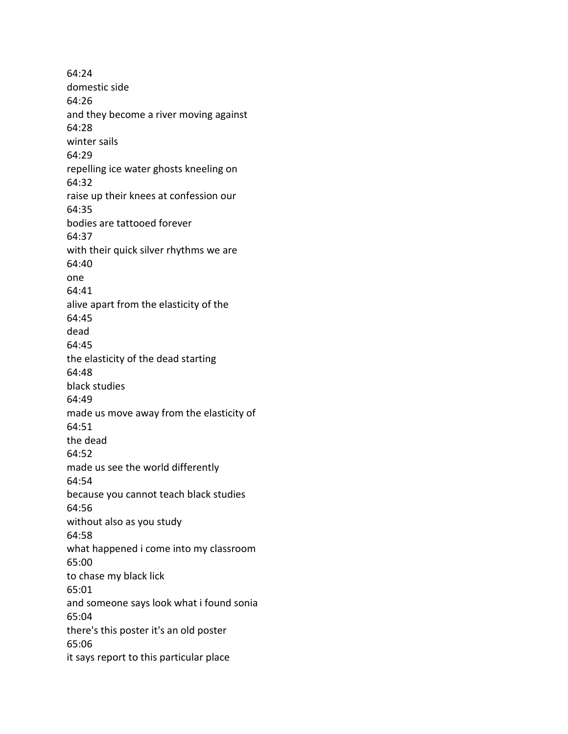64:24 domestic side 64:26 and they become a river moving against 64:28 winter sails 64:29 repelling ice water ghosts kneeling on 64:32 raise up their knees at confession our 64:35 bodies are tattooed forever 64:37 with their quick silver rhythms we are 64:40 one 64:41 alive apart from the elasticity of the 64:45 dead 64:45 the elasticity of the dead starting 64:48 black studies 64:49 made us move away from the elasticity of 64:51 the dead 64:52 made us see the world differently 64:54 because you cannot teach black studies 64:56 without also as you study 64:58 what happened i come into my classroom 65:00 to chase my black lick 65:01 and someone says look what i found sonia 65:04 there's this poster it's an old poster 65:06 it says report to this particular place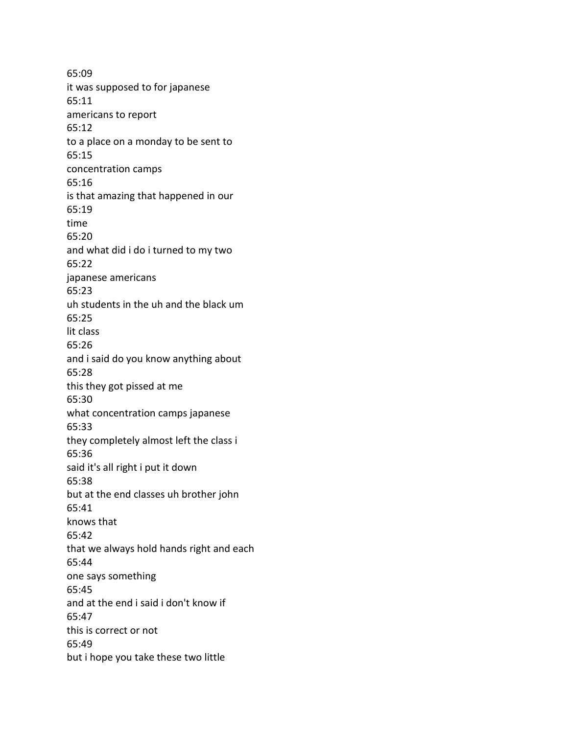65:09 it was supposed to for japanese 65:11 americans to report 65:12 to a place on a monday to be sent to 65:15 concentration camps 65:16 is that amazing that happened in our 65:19 time 65:20 and what did i do i turned to my two 65:22 japanese americans 65:23 uh students in the uh and the black um 65:25 lit class 65:26 and i said do you know anything about 65:28 this they got pissed at me 65:30 what concentration camps japanese 65:33 they completely almost left the class i 65:36 said it's all right i put it down 65:38 but at the end classes uh brother john 65:41 knows that 65:42 that we always hold hands right and each 65:44 one says something 65:45 and at the end i said i don't know if 65:47 this is correct or not 65:49 but i hope you take these two little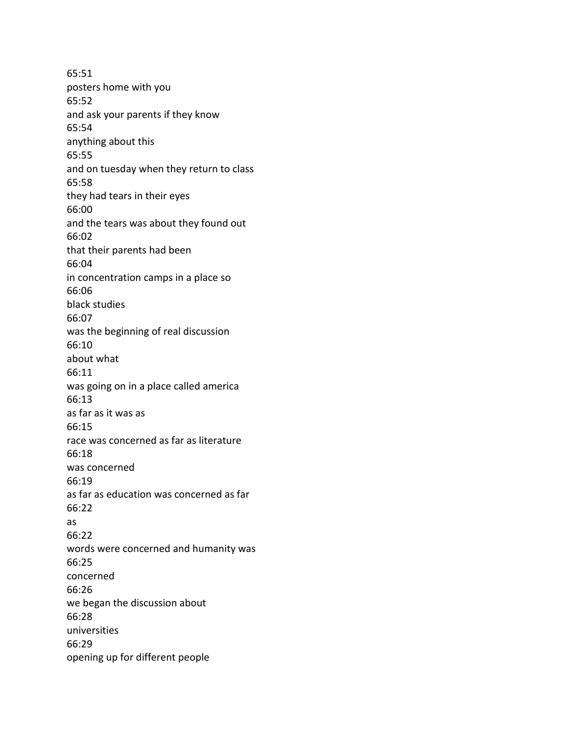65:51 posters home with you 65:52 and ask your parents if they know 65:54 anything about this 65:55 and on tuesday when they return to class 65:58 they had tears in their eyes 66:00 and the tears was about they found out 66:02 that their parents had been 66:04 in concentration camps in a place so 66:06 black studies 66:07 was the beginning of real discussion 66:10 about what 66:11 was going on in a place called america 66:13 as far as it was as 66:15 race was concerned as far as literature 66:18 was concerned 66:19 as far as education was concerned as far 66:22 as 66:22 words were concerned and humanity was 66:25 concerned 66:26 we began the discussion about 66:28 universities 66:29 opening up for different people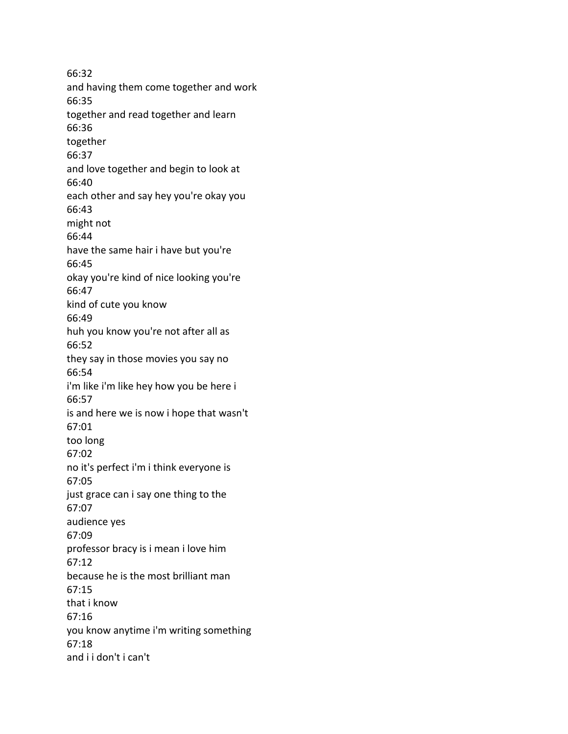66:32 and having them come together and work 66:35 together and read together and learn 66:36 together 66:37 and love together and begin to look at 66:40 each other and say hey you're okay you 66:43 might not 66:44 have the same hair i have but you're 66:45 okay you're kind of nice looking you're 66:47 kind of cute you know 66:49 huh you know you're not after all as 66:52 they say in those movies you say no 66:54 i'm like i'm like hey how you be here i 66:57 is and here we is now i hope that wasn't 67:01 too long 67:02 no it's perfect i'm i think everyone is 67:05 just grace can i say one thing to the 67:07 audience yes 67:09 professor bracy is i mean i love him 67:12 because he is the most brilliant man 67:15 that i know 67:16 you know anytime i'm writing something 67:18 and i i don't i can't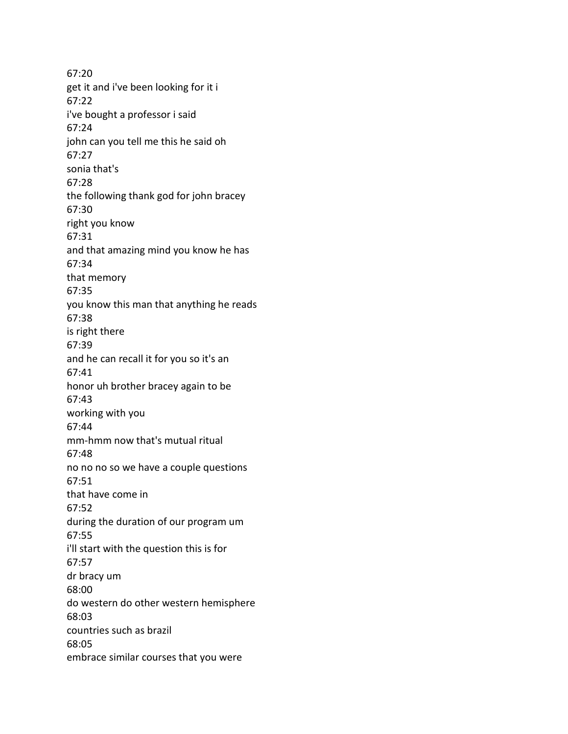67:20 get it and i've been looking for it i 67:22 i've bought a professor i said 67:24 john can you tell me this he said oh 67:27 sonia that's 67:28 the following thank god for john bracey 67:30 right you know 67:31 and that amazing mind you know he has 67:34 that memory 67:35 you know this man that anything he reads 67:38 is right there 67:39 and he can recall it for you so it's an 67:41 honor uh brother bracey again to be 67:43 working with you 67:44 mm-hmm now that's mutual ritual 67:48 no no no so we have a couple questions 67:51 that have come in 67:52 during the duration of our program um 67:55 i'll start with the question this is for 67:57 dr bracy um 68:00 do western do other western hemisphere 68:03 countries such as brazil 68:05 embrace similar courses that you were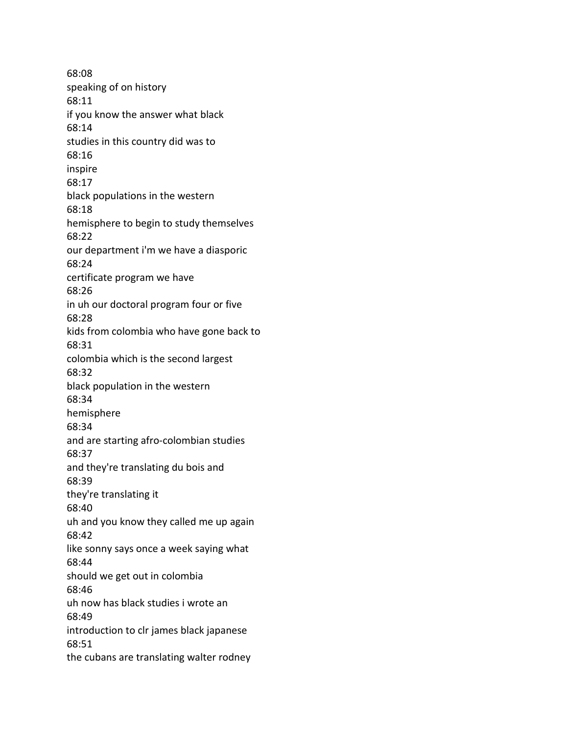68:08 speaking of on history 68:11 if you know the answer what black 68:14 studies in this country did was to 68:16 inspire 68:17 black populations in the western 68:18 hemisphere to begin to study themselves 68:22 our department i'm we have a diasporic 68:24 certificate program we have 68:26 in uh our doctoral program four or five 68:28 kids from colombia who have gone back to 68:31 colombia which is the second largest 68:32 black population in the western 68:34 hemisphere 68:34 and are starting afro-colombian studies 68:37 and they're translating du bois and 68:39 they're translating it 68:40 uh and you know they called me up again 68:42 like sonny says once a week saying what 68:44 should we get out in colombia 68:46 uh now has black studies i wrote an 68:49 introduction to clr james black japanese 68:51 the cubans are translating walter rodney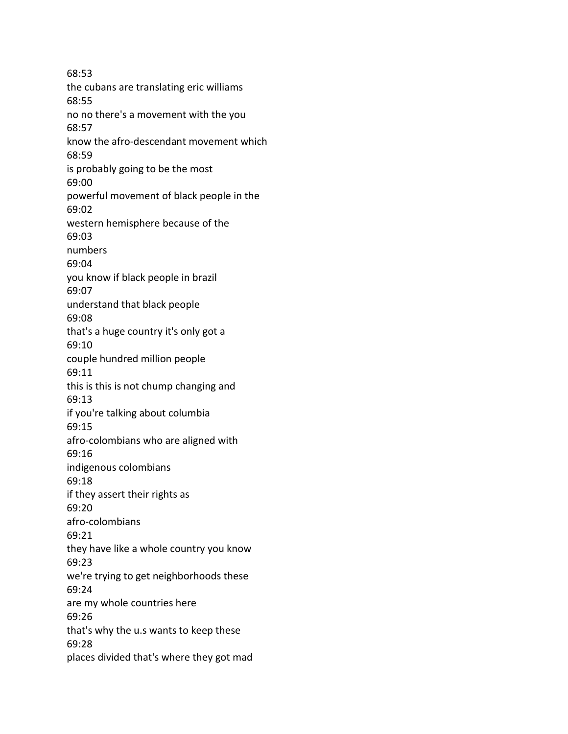68:53 the cubans are translating eric williams 68:55 no no there's a movement with the you 68:57 know the afro-descendant movement which 68:59 is probably going to be the most 69:00 powerful movement of black people in the 69:02 western hemisphere because of the 69:03 numbers 69:04 you know if black people in brazil 69:07 understand that black people 69:08 that's a huge country it's only got a 69:10 couple hundred million people 69:11 this is this is not chump changing and 69:13 if you're talking about columbia 69:15 afro-colombians who are aligned with 69:16 indigenous colombians 69:18 if they assert their rights as 69:20 afro-colombians 69:21 they have like a whole country you know 69:23 we're trying to get neighborhoods these 69:24 are my whole countries here 69:26 that's why the u.s wants to keep these 69:28 places divided that's where they got mad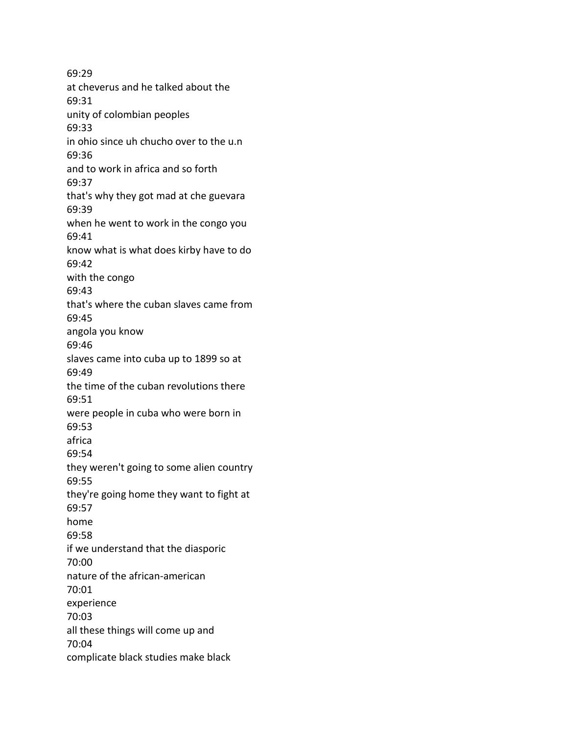69:29 at cheverus and he talked about the 69:31 unity of colombian peoples 69:33 in ohio since uh chucho over to the u.n 69:36 and to work in africa and so forth 69:37 that's why they got mad at che guevara 69:39 when he went to work in the congo you 69:41 know what is what does kirby have to do 69:42 with the congo 69:43 that's where the cuban slaves came from 69:45 angola you know 69:46 slaves came into cuba up to 1899 so at 69:49 the time of the cuban revolutions there 69:51 were people in cuba who were born in 69:53 africa 69:54 they weren't going to some alien country 69:55 they're going home they want to fight at 69:57 home 69:58 if we understand that the diasporic 70:00 nature of the african-american 70:01 experience 70:03 all these things will come up and 70:04 complicate black studies make black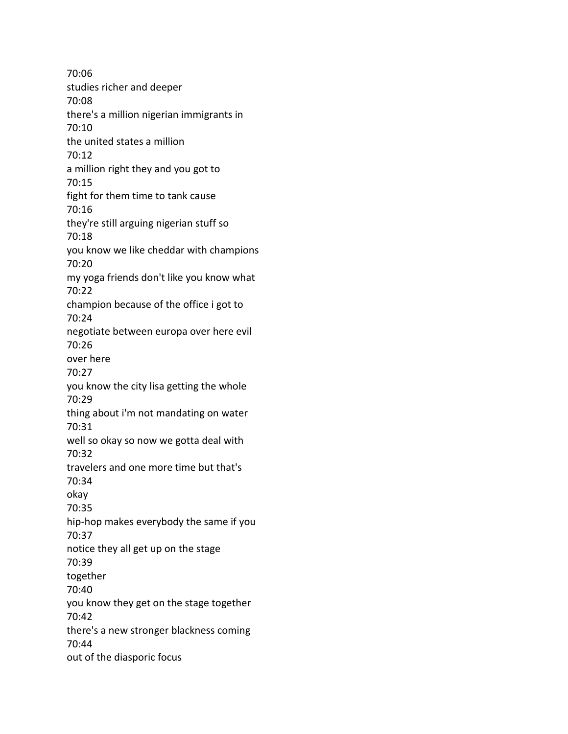70:06 studies richer and deeper 70:08 there's a million nigerian immigrants in 70:10 the united states a million 70:12 a million right they and you got to 70:15 fight for them time to tank cause 70:16 they're still arguing nigerian stuff so 70:18 you know we like cheddar with champions 70:20 my yoga friends don't like you know what 70:22 champion because of the office i got to 70:24 negotiate between europa over here evil 70:26 over here 70:27 you know the city lisa getting the whole 70:29 thing about i'm not mandating on water 70:31 well so okay so now we gotta deal with 70:32 travelers and one more time but that's 70:34 okay 70:35 hip-hop makes everybody the same if you 70:37 notice they all get up on the stage 70:39 together 70:40 you know they get on the stage together 70:42 there's a new stronger blackness coming 70:44 out of the diasporic focus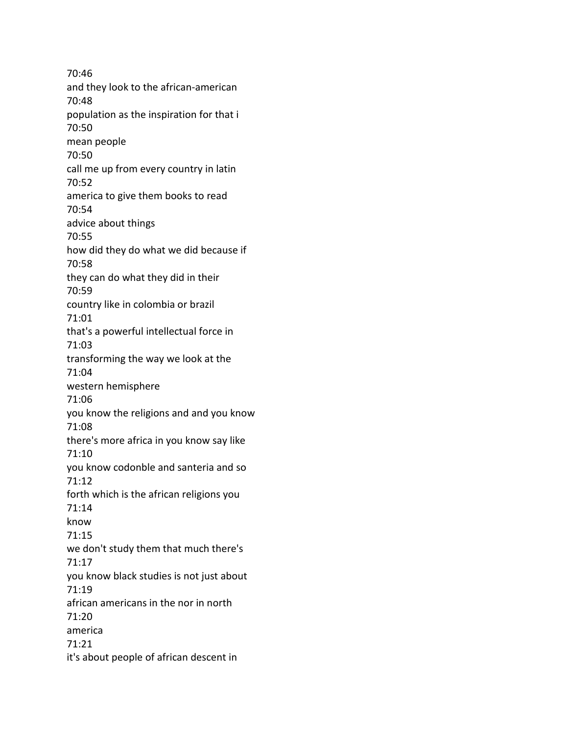70:46 and they look to the african-american 70:48 population as the inspiration for that i 70:50 mean people 70:50 call me up from every country in latin 70:52 america to give them books to read 70:54 advice about things 70:55 how did they do what we did because if 70:58 they can do what they did in their 70:59 country like in colombia or brazil 71:01 that's a powerful intellectual force in 71:03 transforming the way we look at the 71:04 western hemisphere 71:06 you know the religions and and you know 71:08 there's more africa in you know say like 71:10 you know codonble and santeria and so 71:12 forth which is the african religions you 71:14 know 71:15 we don't study them that much there's 71:17 you know black studies is not just about 71:19 african americans in the nor in north 71:20 america 71:21 it's about people of african descent in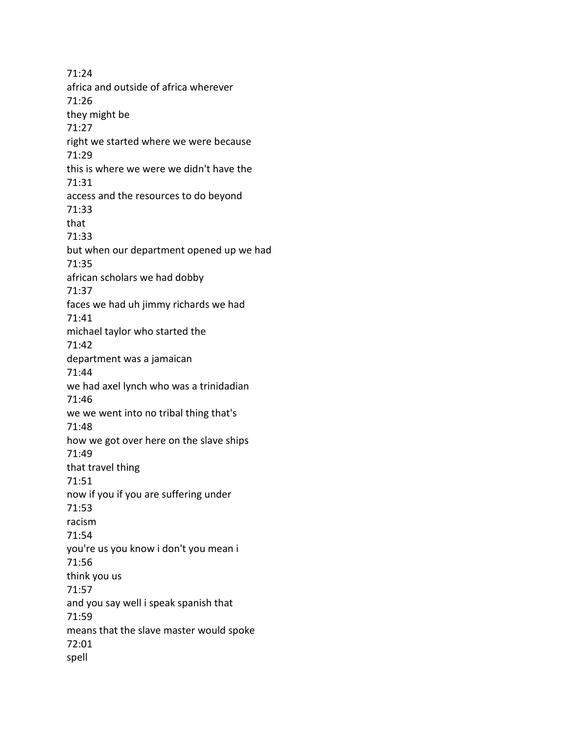71:24 africa and outside of africa wherever 71:26 they might be 71:27 right we started where we were because 71:29 this is where we were we didn't have the 71:31 access and the resources to do beyond 71:33 that 71:33 but when our department opened up we had 71:35 african scholars we had dobby 71:37 faces we had uh jimmy richards we had 71:41 michael taylor who started the 71:42 department was a jamaican 71:44 we had axel lynch who was a trinidadian 71:46 we we went into no tribal thing that's 71:48 how we got over here on the slave ships 71:49 that travel thing 71:51 now if you if you are suffering under 71:53 racism 71:54 you're us you know i don't you mean i 71:56 think you us 71:57 and you say well i speak spanish that 71:59 means that the slave master would spoke 72:01 spell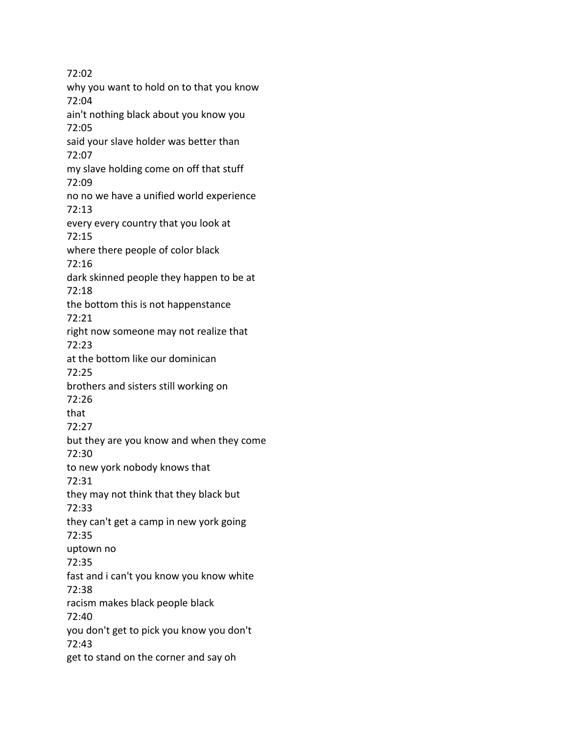72:02 why you want to hold on to that you know 72:04 ain't nothing black about you know you 72:05 said your slave holder was better than 72:07 my slave holding come on off that stuff 72:09 no no we have a unified world experience 72:13 every every country that you look at 72:15 where there people of color black 72:16 dark skinned people they happen to be at 72:18 the bottom this is not happenstance 72:21 right now someone may not realize that 72:23 at the bottom like our dominican 72:25 brothers and sisters still working on 72:26 that 72:27 but they are you know and when they come 72:30 to new york nobody knows that 72:31 they may not think that they black but 72:33 they can't get a camp in new york going 72:35 uptown no 72:35 fast and i can't you know you know white 72:38 racism makes black people black 72:40 you don't get to pick you know you don't 72:43 get to stand on the corner and say oh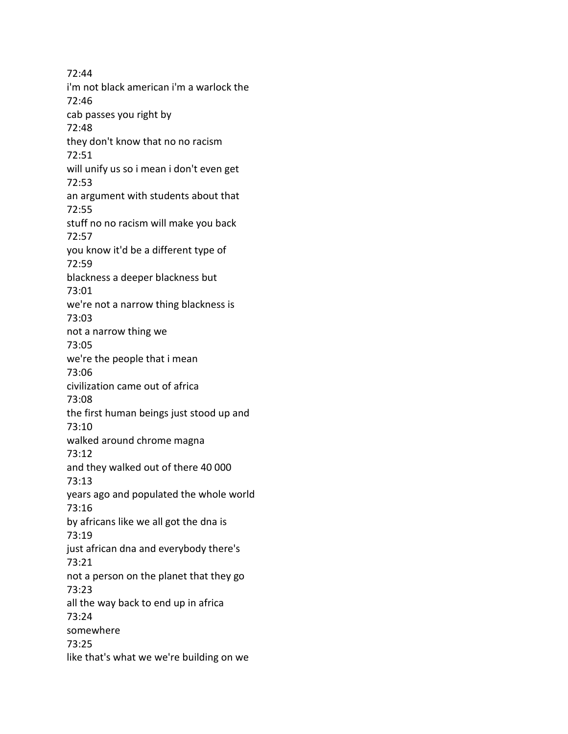72:44 i'm not black american i'm a warlock the 72:46 cab passes you right by 72:48 they don't know that no no racism 72:51 will unify us so i mean i don't even get 72:53 an argument with students about that 72:55 stuff no no racism will make you back 72:57 you know it'd be a different type of 72:59 blackness a deeper blackness but 73:01 we're not a narrow thing blackness is 73:03 not a narrow thing we 73:05 we're the people that i mean 73:06 civilization came out of africa 73:08 the first human beings just stood up and 73:10 walked around chrome magna 73:12 and they walked out of there 40 000 73:13 years ago and populated the whole world 73:16 by africans like we all got the dna is 73:19 just african dna and everybody there's 73:21 not a person on the planet that they go 73:23 all the way back to end up in africa 73:24 somewhere 73:25 like that's what we we're building on we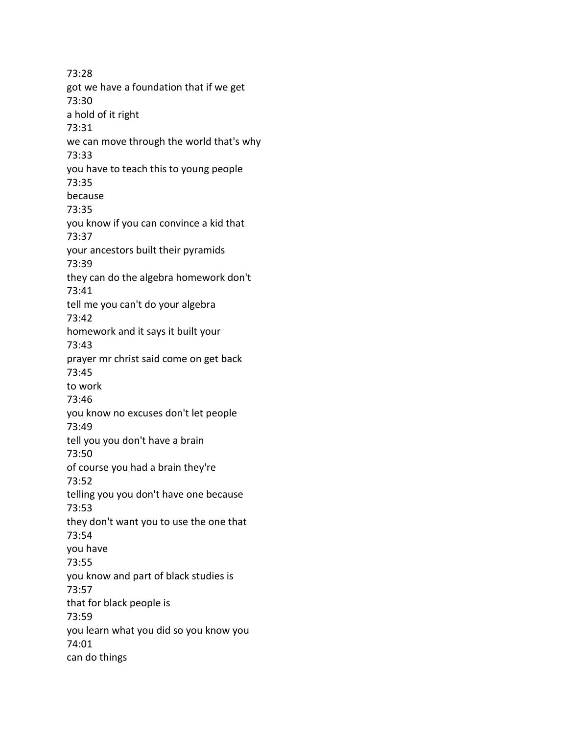73:28 got we have a foundation that if we get 73:30 a hold of it right 73:31 we can move through the world that's why 73:33 you have to teach this to young people 73:35 because 73:35 you know if you can convince a kid that 73:37 your ancestors built their pyramids 73:39 they can do the algebra homework don't 73:41 tell me you can't do your algebra 73:42 homework and it says it built your 73:43 prayer mr christ said come on get back 73:45 to work 73:46 you know no excuses don't let people 73:49 tell you you don't have a brain 73:50 of course you had a brain they're 73:52 telling you you don't have one because 73:53 they don't want you to use the one that 73:54 you have 73:55 you know and part of black studies is 73:57 that for black people is 73:59 you learn what you did so you know you 74:01 can do things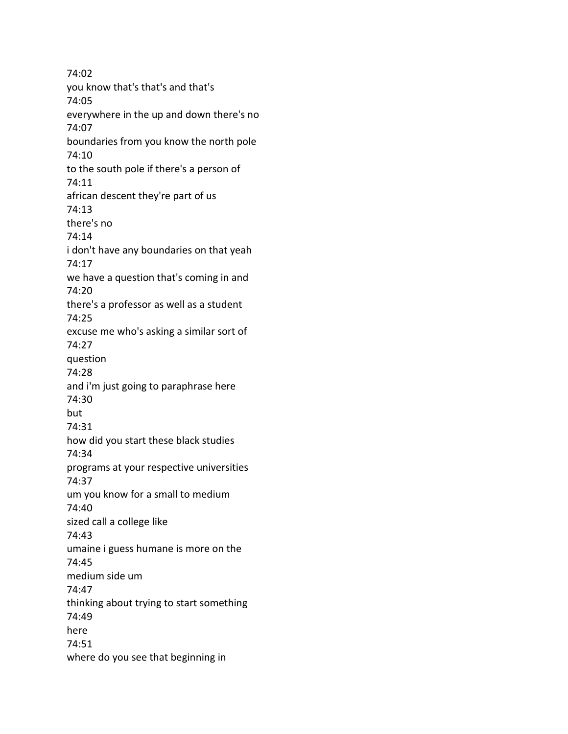74:02 you know that's that's and that's 74:05 everywhere in the up and down there's no 74:07 boundaries from you know the north pole 74:10 to the south pole if there's a person of 74:11 african descent they're part of us 74:13 there's no 74:14 i don't have any boundaries on that yeah 74:17 we have a question that's coming in and 74:20 there's a professor as well as a student 74:25 excuse me who's asking a similar sort of 74:27 question 74:28 and i'm just going to paraphrase here 74:30 but 74:31 how did you start these black studies 74:34 programs at your respective universities 74:37 um you know for a small to medium 74:40 sized call a college like 74:43 umaine i guess humane is more on the 74:45 medium side um 74:47 thinking about trying to start something 74:49 here 74:51 where do you see that beginning in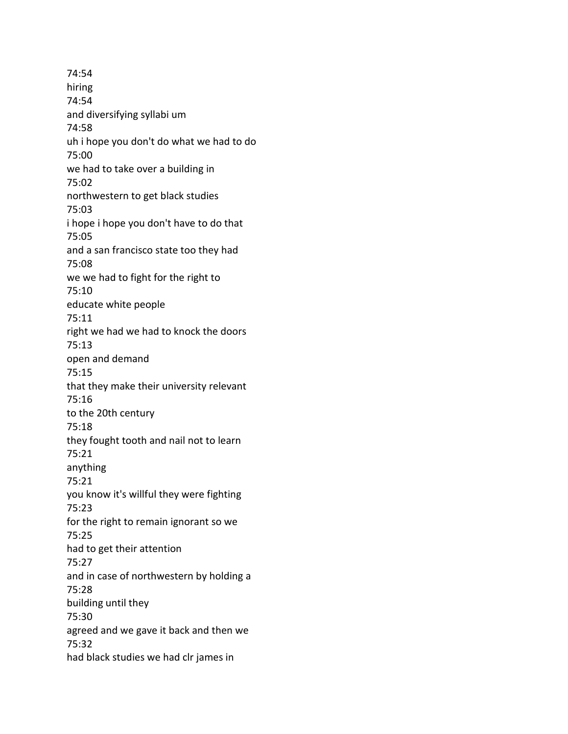74:54 hiring 74:54 and diversifying syllabi um 74:58 uh i hope you don't do what we had to do 75:00 we had to take over a building in 75:02 northwestern to get black studies 75:03 i hope i hope you don't have to do that 75:05 and a san francisco state too they had 75:08 we we had to fight for the right to 75:10 educate white people 75:11 right we had we had to knock the doors 75:13 open and demand 75:15 that they make their university relevant 75:16 to the 20th century 75:18 they fought tooth and nail not to learn 75:21 anything 75:21 you know it's willful they were fighting 75:23 for the right to remain ignorant so we 75:25 had to get their attention 75:27 and in case of northwestern by holding a 75:28 building until they 75:30 agreed and we gave it back and then we 75:32 had black studies we had clr james in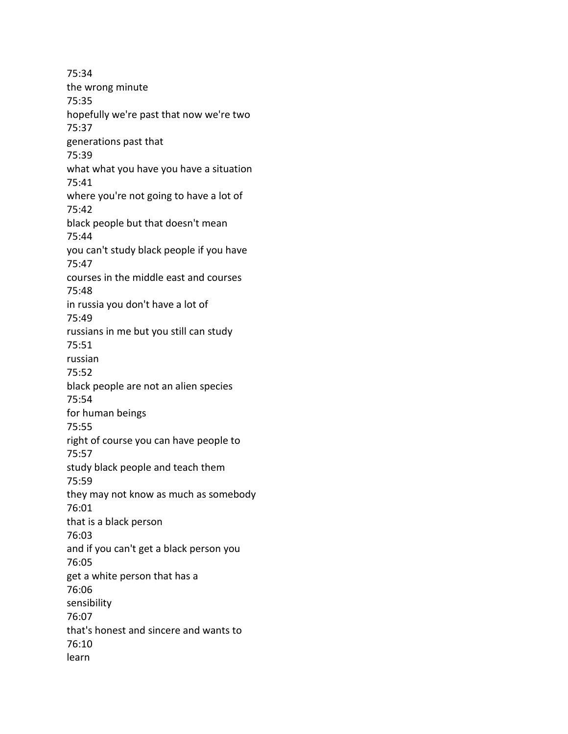75:34 the wrong minute 75:35 hopefully we're past that now we're two 75:37 generations past that 75:39 what what you have you have a situation 75:41 where you're not going to have a lot of 75:42 black people but that doesn't mean 75:44 you can't study black people if you have 75:47 courses in the middle east and courses 75:48 in russia you don't have a lot of 75:49 russians in me but you still can study 75:51 russian 75:52 black people are not an alien species 75:54 for human beings 75:55 right of course you can have people to 75:57 study black people and teach them 75:59 they may not know as much as somebody 76:01 that is a black person 76:03 and if you can't get a black person you 76:05 get a white person that has a 76:06 sensibility 76:07 that's honest and sincere and wants to 76:10 learn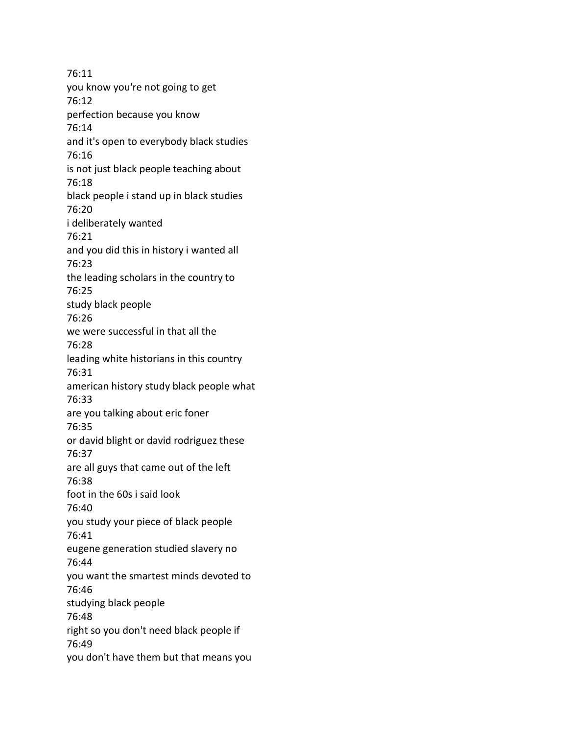76:11 you know you're not going to get 76:12 perfection because you know 76:14 and it's open to everybody black studies 76:16 is not just black people teaching about 76:18 black people i stand up in black studies 76:20 i deliberately wanted 76:21 and you did this in history i wanted all 76:23 the leading scholars in the country to 76:25 study black people 76:26 we were successful in that all the 76:28 leading white historians in this country 76:31 american history study black people what 76:33 are you talking about eric foner 76:35 or david blight or david rodriguez these 76:37 are all guys that came out of the left 76:38 foot in the 60s i said look 76:40 you study your piece of black people 76:41 eugene generation studied slavery no 76:44 you want the smartest minds devoted to 76:46 studying black people 76:48 right so you don't need black people if 76:49 you don't have them but that means you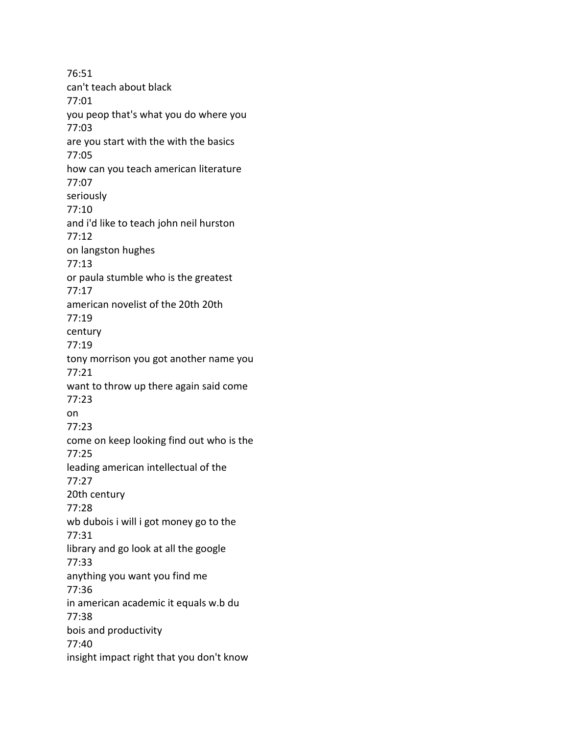76:51 can't teach about black 77:01 you peop that's what you do where you 77:03 are you start with the with the basics 77:05 how can you teach american literature 77:07 seriously 77:10 and i'd like to teach john neil hurston 77:12 on langston hughes 77:13 or paula stumble who is the greatest 77:17 american novelist of the 20th 20th 77:19 century 77:19 tony morrison you got another name you 77:21 want to throw up there again said come 77:23 on 77:23 come on keep looking find out who is the 77:25 leading american intellectual of the 77:27 20th century 77:28 wb dubois i will i got money go to the 77:31 library and go look at all the google 77:33 anything you want you find me 77:36 in american academic it equals w.b du 77:38 bois and productivity 77:40 insight impact right that you don't know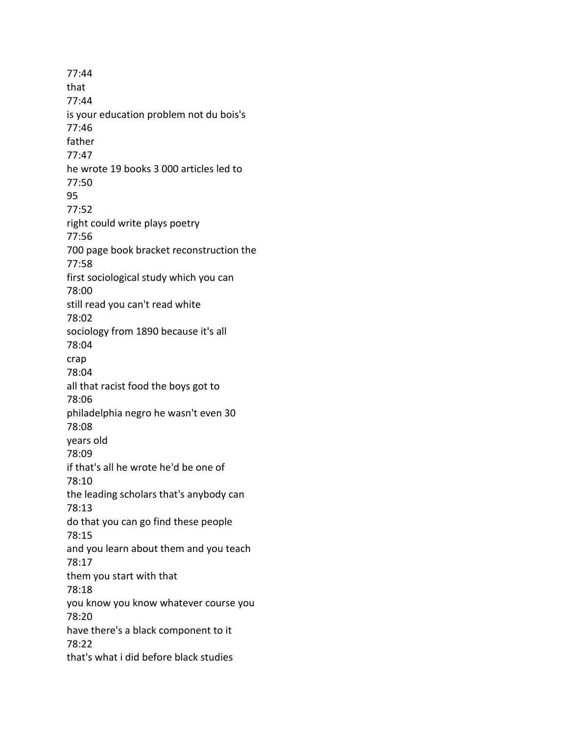77:44 that 77:44 is your education problem not du bois's 77:46 father 77:47 he wrote 19 books 3 000 articles led to 77:50 95 77:52 right could write plays poetry 77:56 700 page book bracket reconstruction the 77:58 first sociological study which you can 78:00 still read you can't read white 78:02 sociology from 1890 because it's all 78:04 crap 78:04 all that racist food the boys got to 78:06 philadelphia negro he wasn't even 30 78:08 years old 78:09 if that's all he wrote he'd be one of 78:10 the leading scholars that's anybody can 78:13 do that you can go find these people 78:15 and you learn about them and you teach 78:17 them you start with that 78:18 you know you know whatever course you 78:20 have there's a black component to it 78:22 that's what i did before black studies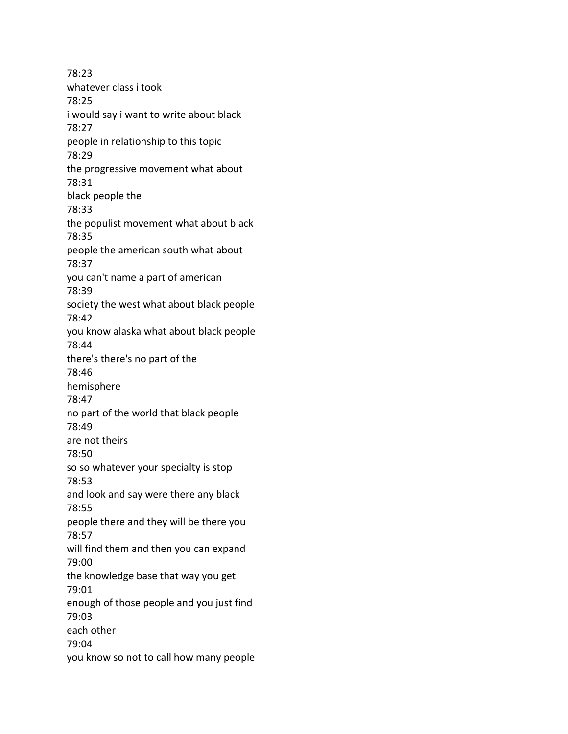78:23 whatever class i took 78:25 i would say i want to write about black 78:27 people in relationship to this topic 78:29 the progressive movement what about 78:31 black people the 78:33 the populist movement what about black 78:35 people the american south what about 78:37 you can't name a part of american 78:39 society the west what about black people 78:42 you know alaska what about black people 78:44 there's there's no part of the 78:46 hemisphere 78:47 no part of the world that black people 78:49 are not theirs 78:50 so so whatever your specialty is stop 78:53 and look and say were there any black 78:55 people there and they will be there you 78:57 will find them and then you can expand 79:00 the knowledge base that way you get 79:01 enough of those people and you just find 79:03 each other 79:04 you know so not to call how many people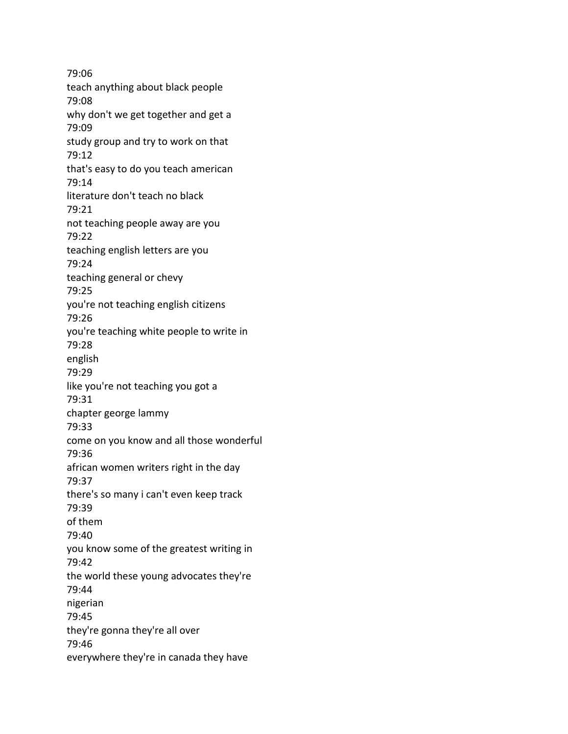79:06 teach anything about black people 79:08 why don't we get together and get a 79:09 study group and try to work on that 79:12 that's easy to do you teach american 79:14 literature don't teach no black 79:21 not teaching people away are you 79:22 teaching english letters are you 79:24 teaching general or chevy 79:25 you're not teaching english citizens 79:26 you're teaching white people to write in 79:28 english 79:29 like you're not teaching you got a 79:31 chapter george lammy 79:33 come on you know and all those wonderful 79:36 african women writers right in the day 79:37 there's so many i can't even keep track 79:39 of them 79:40 you know some of the greatest writing in 79:42 the world these young advocates they're 79:44 nigerian 79:45 they're gonna they're all over 79:46 everywhere they're in canada they have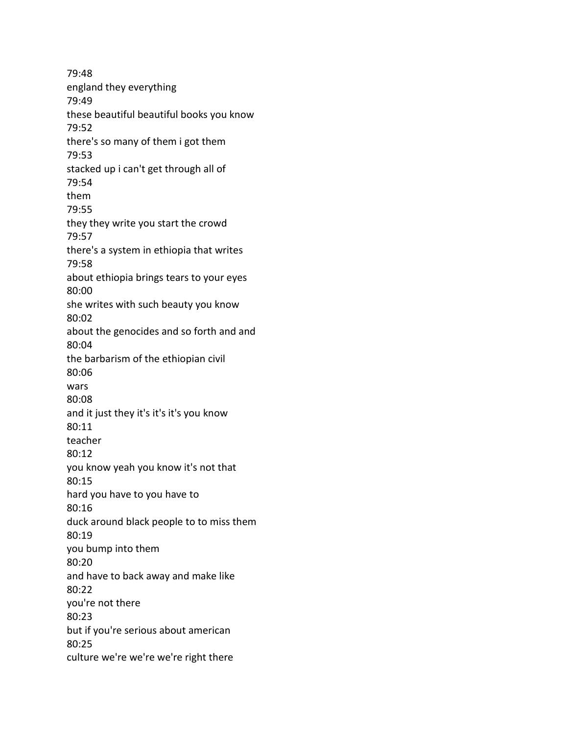79:48 england they everything 79:49 these beautiful beautiful books you know 79:52 there's so many of them i got them 79:53 stacked up i can't get through all of 79:54 them 79:55 they they write you start the crowd 79:57 there's a system in ethiopia that writes 79:58 about ethiopia brings tears to your eyes 80:00 she writes with such beauty you know 80:02 about the genocides and so forth and and 80:04 the barbarism of the ethiopian civil 80:06 wars 80:08 and it just they it's it's it's you know 80:11 teacher 80:12 you know yeah you know it's not that 80:15 hard you have to you have to 80:16 duck around black people to to miss them 80:19 you bump into them 80:20 and have to back away and make like 80:22 you're not there 80:23 but if you're serious about american 80:25 culture we're we're we're right there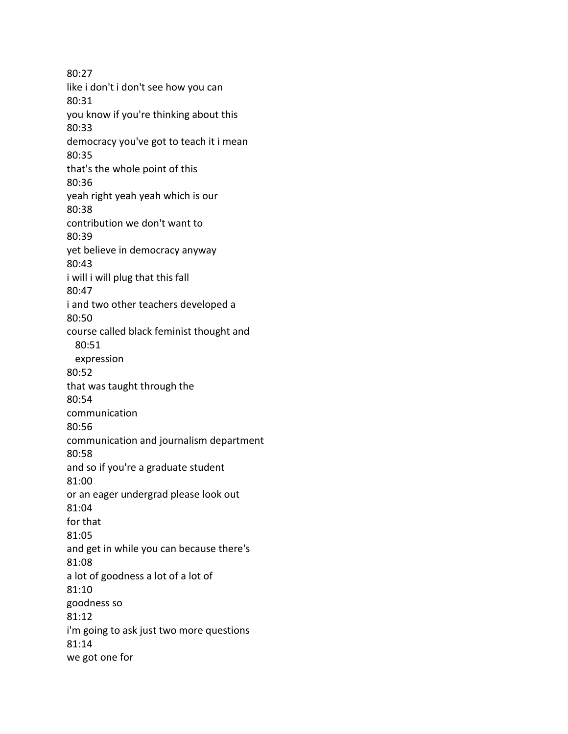80:27 like i don't i don't see how you can 80:31 you know if you're thinking about this 80:33 democracy you've got to teach it i mean 80:35 that's the whole point of this 80:36 yeah right yeah yeah which is our 80:38 contribution we don't want to 80:39 yet believe in democracy anyway 80:43 i will i will plug that this fall 80:47 i and two other teachers developed a 80:50 course called black feminist thought and 80:51 expression 80:52 that was taught through the 80:54 communication 80:56 communication and journalism department 80:58 and so if you're a graduate student 81:00 or an eager undergrad please look out 81:04 for that 81:05 and get in while you can because there's 81:08 a lot of goodness a lot of a lot of 81:10 goodness so 81:12 i'm going to ask just two more questions 81:14 we got one for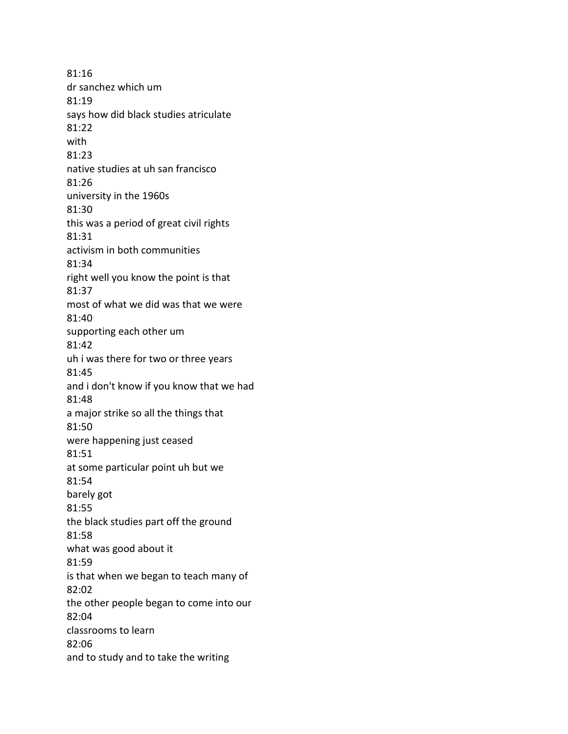81:16 dr sanchez which um 81:19 says how did black studies atriculate 81:22 with 81:23 native studies at uh san francisco 81:26 university in the 1960s 81:30 this was a period of great civil rights 81:31 activism in both communities 81:34 right well you know the point is that 81:37 most of what we did was that we were 81:40 supporting each other um 81:42 uh i was there for two or three years 81:45 and i don't know if you know that we had 81:48 a major strike so all the things that 81:50 were happening just ceased 81:51 at some particular point uh but we 81:54 barely got 81:55 the black studies part off the ground 81:58 what was good about it 81:59 is that when we began to teach many of 82:02 the other people began to come into our 82:04 classrooms to learn 82:06 and to study and to take the writing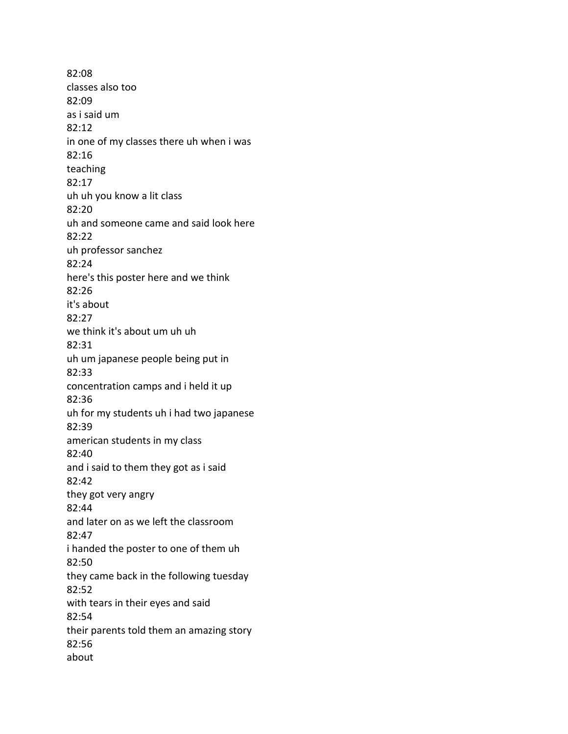82:08 classes also too 82:09 as i said um 82:12 in one of my classes there uh when i was 82:16 teaching 82:17 uh uh you know a lit class 82:20 uh and someone came and said look here 82:22 uh professor sanchez 82:24 here's this poster here and we think 82:26 it's about 82:27 we think it's about um uh uh 82:31 uh um japanese people being put in 82:33 concentration camps and i held it up 82:36 uh for my students uh i had two japanese 82:39 american students in my class 82:40 and i said to them they got as i said 82:42 they got very angry 82:44 and later on as we left the classroom 82:47 i handed the poster to one of them uh 82:50 they came back in the following tuesday 82:52 with tears in their eyes and said 82:54 their parents told them an amazing story 82:56 about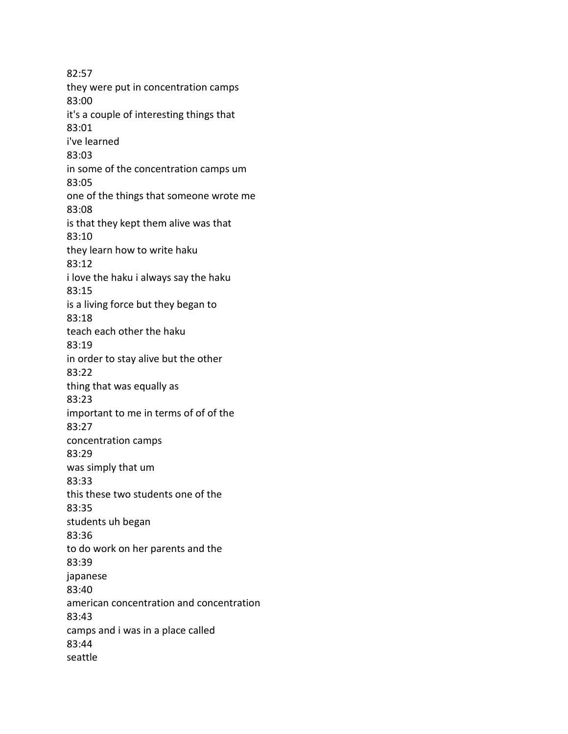82:57 they were put in concentration camps 83:00 it's a couple of interesting things that 83:01 i've learned 83:03 in some of the concentration camps um 83:05 one of the things that someone wrote me 83:08 is that they kept them alive was that 83:10 they learn how to write haku 83:12 i love the haku i always say the haku 83:15 is a living force but they began to 83:18 teach each other the haku 83:19 in order to stay alive but the other 83:22 thing that was equally as 83:23 important to me in terms of of of the 83:27 concentration camps 83:29 was simply that um 83:33 this these two students one of the 83:35 students uh began 83:36 to do work on her parents and the 83:39 japanese 83:40 american concentration and concentration 83:43 camps and i was in a place called 83:44 seattle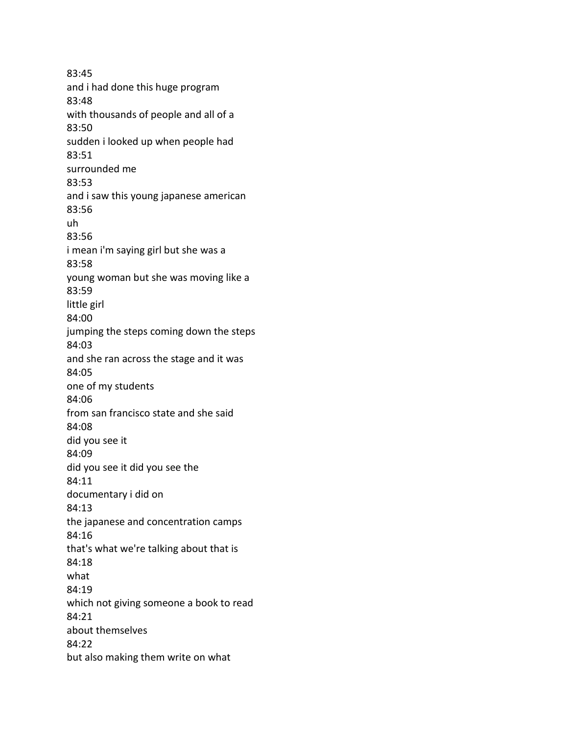83:45 and i had done this huge program 83:48 with thousands of people and all of a 83:50 sudden i looked up when people had 83:51 surrounded me 83:53 and i saw this young japanese american 83:56 uh 83:56 i mean i'm saying girl but she was a 83:58 young woman but she was moving like a 83:59 little girl 84:00 jumping the steps coming down the steps 84:03 and she ran across the stage and it was 84:05 one of my students 84:06 from san francisco state and she said 84:08 did you see it 84:09 did you see it did you see the 84:11 documentary i did on 84:13 the japanese and concentration camps 84:16 that's what we're talking about that is 84:18 what 84:19 which not giving someone a book to read 84:21 about themselves 84:22 but also making them write on what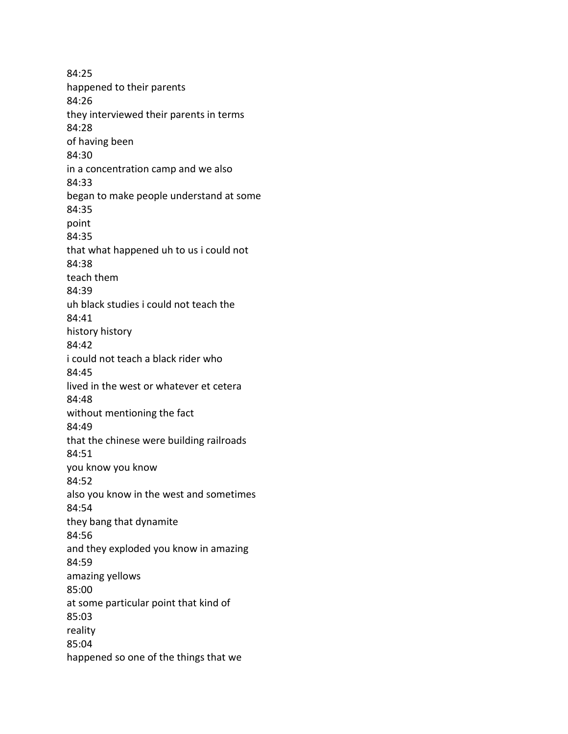84:25 happened to their parents 84:26 they interviewed their parents in terms 84:28 of having been 84:30 in a concentration camp and we also 84:33 began to make people understand at some 84:35 point 84:35 that what happened uh to us i could not 84:38 teach them 84:39 uh black studies i could not teach the 84:41 history history 84:42 i could not teach a black rider who 84:45 lived in the west or whatever et cetera 84:48 without mentioning the fact 84:49 that the chinese were building railroads 84:51 you know you know 84:52 also you know in the west and sometimes 84:54 they bang that dynamite 84:56 and they exploded you know in amazing 84:59 amazing yellows 85:00 at some particular point that kind of 85:03 reality 85:04 happened so one of the things that we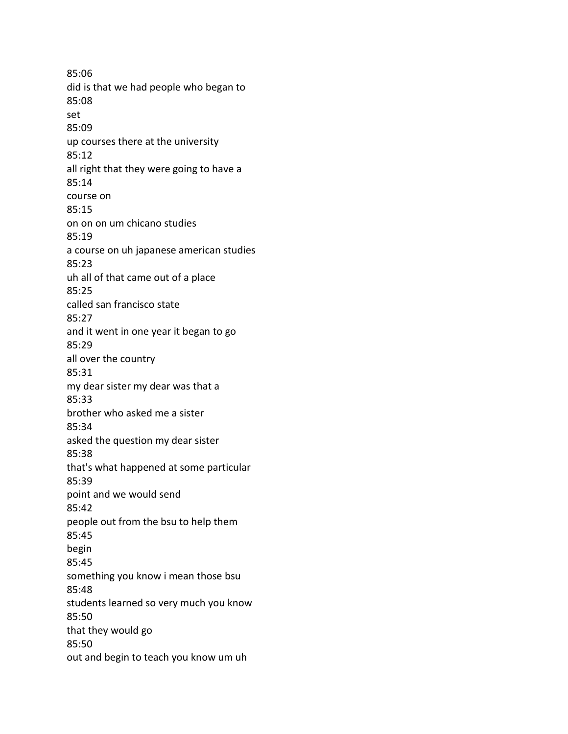85:06 did is that we had people who began to 85:08 set 85:09 up courses there at the university 85:12 all right that they were going to have a 85:14 course on 85:15 on on on um chicano studies 85:19 a course on uh japanese american studies 85:23 uh all of that came out of a place 85:25 called san francisco state 85:27 and it went in one year it began to go 85:29 all over the country 85:31 my dear sister my dear was that a 85:33 brother who asked me a sister 85:34 asked the question my dear sister 85:38 that's what happened at some particular 85:39 point and we would send 85:42 people out from the bsu to help them 85:45 begin 85:45 something you know i mean those bsu 85:48 students learned so very much you know 85:50 that they would go 85:50 out and begin to teach you know um uh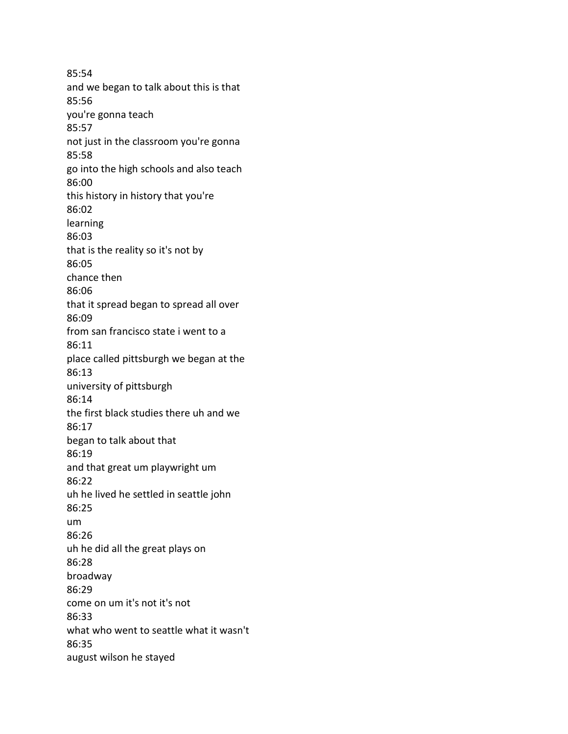85:54 and we began to talk about this is that 85:56 you're gonna teach 85:57 not just in the classroom you're gonna 85:58 go into the high schools and also teach 86:00 this history in history that you're 86:02 learning 86:03 that is the reality so it's not by 86:05 chance then 86:06 that it spread began to spread all over 86:09 from san francisco state i went to a 86:11 place called pittsburgh we began at the 86:13 university of pittsburgh 86:14 the first black studies there uh and we 86:17 began to talk about that 86:19 and that great um playwright um 86:22 uh he lived he settled in seattle john 86:25 um 86:26 uh he did all the great plays on 86:28 broadway 86:29 come on um it's not it's not 86:33 what who went to seattle what it wasn't 86:35 august wilson he stayed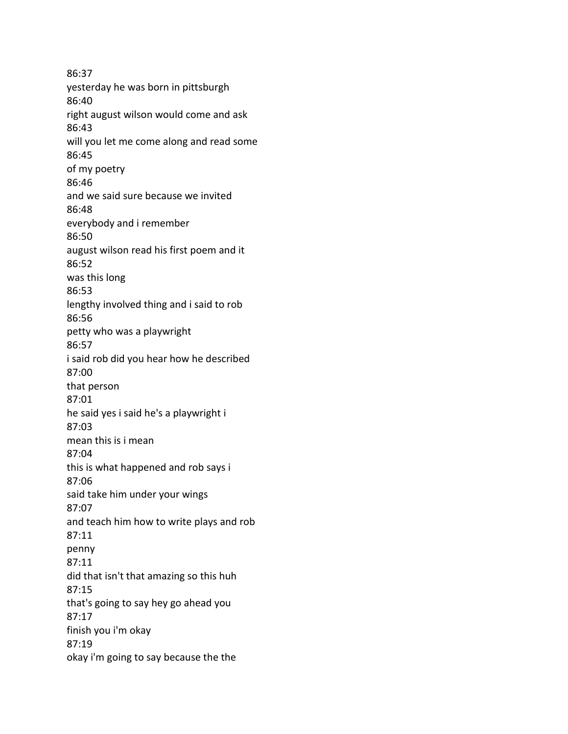86:37 yesterday he was born in pittsburgh 86:40 right august wilson would come and ask 86:43 will you let me come along and read some 86:45 of my poetry 86:46 and we said sure because we invited 86:48 everybody and i remember 86:50 august wilson read his first poem and it 86:52 was this long 86:53 lengthy involved thing and i said to rob 86:56 petty who was a playwright 86:57 i said rob did you hear how he described 87:00 that person 87:01 he said yes i said he's a playwright i 87:03 mean this is i mean 87:04 this is what happened and rob says i 87:06 said take him under your wings 87:07 and teach him how to write plays and rob 87:11 penny 87:11 did that isn't that amazing so this huh 87:15 that's going to say hey go ahead you 87:17 finish you i'm okay 87:19 okay i'm going to say because the the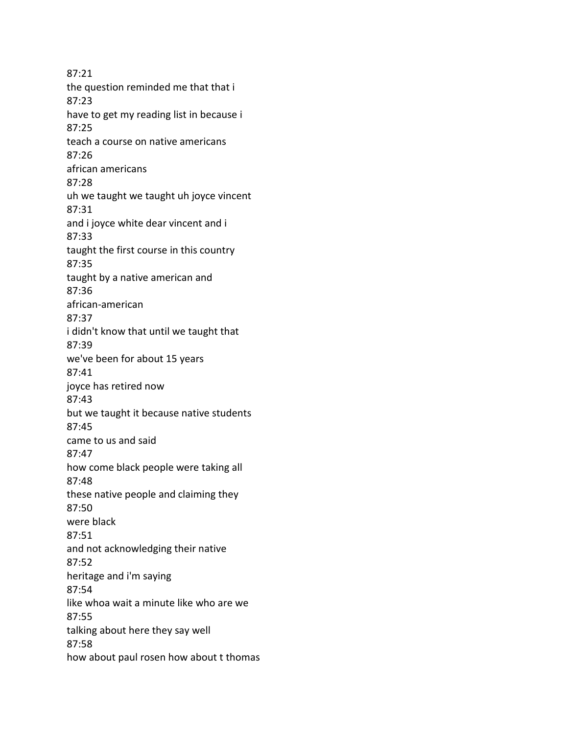87:21 the question reminded me that that i 87:23 have to get my reading list in because i 87:25 teach a course on native americans 87:26 african americans 87:28 uh we taught we taught uh joyce vincent 87:31 and i joyce white dear vincent and i 87:33 taught the first course in this country 87:35 taught by a native american and 87:36 african-american 87:37 i didn't know that until we taught that 87:39 we've been for about 15 years 87:41 joyce has retired now 87:43 but we taught it because native students 87:45 came to us and said 87:47 how come black people were taking all 87:48 these native people and claiming they 87:50 were black 87:51 and not acknowledging their native 87:52 heritage and i'm saying 87:54 like whoa wait a minute like who are we 87:55 talking about here they say well 87:58 how about paul rosen how about t thomas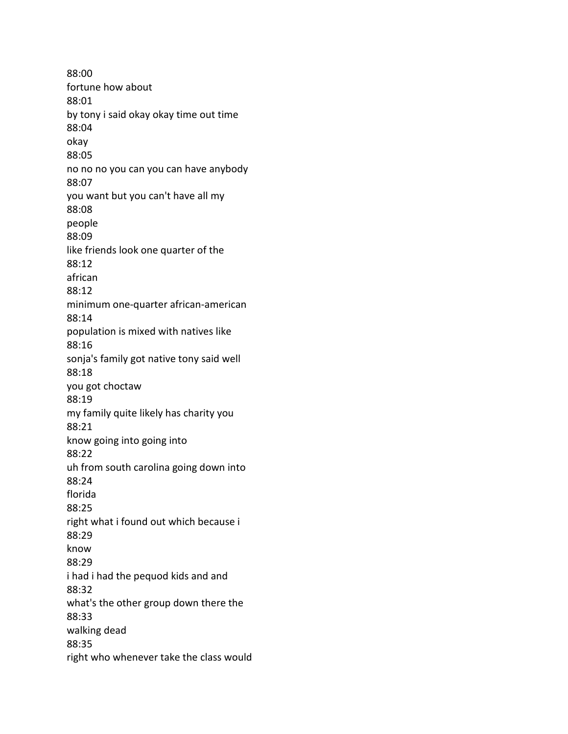88:00 fortune how about 88:01 by tony i said okay okay time out time 88:04 okay 88:05 no no no you can you can have anybody 88:07 you want but you can't have all my 88:08 people 88:09 like friends look one quarter of the 88:12 african 88:12 minimum one-quarter african-american 88:14 population is mixed with natives like 88:16 sonja's family got native tony said well 88:18 you got choctaw 88:19 my family quite likely has charity you 88:21 know going into going into 88:22 uh from south carolina going down into 88:24 florida 88:25 right what i found out which because i 88:29 know 88:29 i had i had the pequod kids and and 88:32 what's the other group down there the 88:33 walking dead 88:35 right who whenever take the class would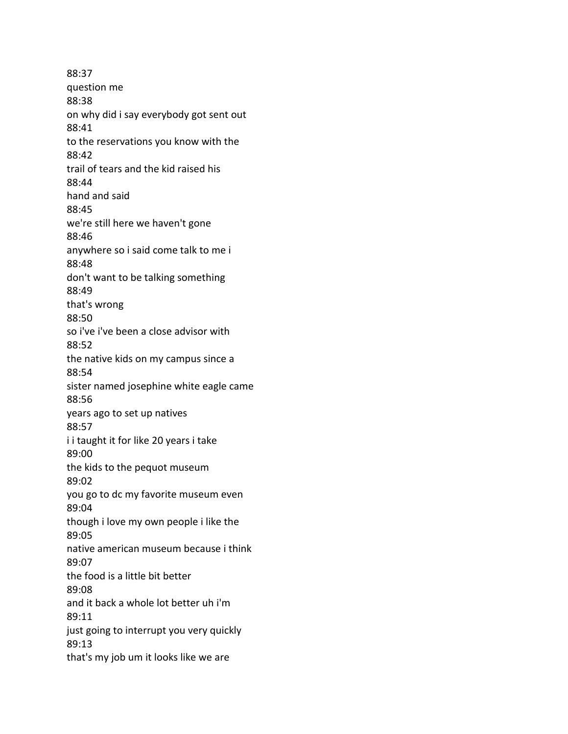88:37 question me 88:38 on why did i say everybody got sent out 88:41 to the reservations you know with the 88:42 trail of tears and the kid raised his 88:44 hand and said 88:45 we're still here we haven't gone 88:46 anywhere so i said come talk to me i 88:48 don't want to be talking something 88:49 that's wrong 88:50 so i've i've been a close advisor with 88:52 the native kids on my campus since a 88:54 sister named josephine white eagle came 88:56 years ago to set up natives 88:57 i i taught it for like 20 years i take 89:00 the kids to the pequot museum 89:02 you go to dc my favorite museum even 89:04 though i love my own people i like the 89:05 native american museum because i think 89:07 the food is a little bit better 89:08 and it back a whole lot better uh i'm 89:11 just going to interrupt you very quickly 89:13 that's my job um it looks like we are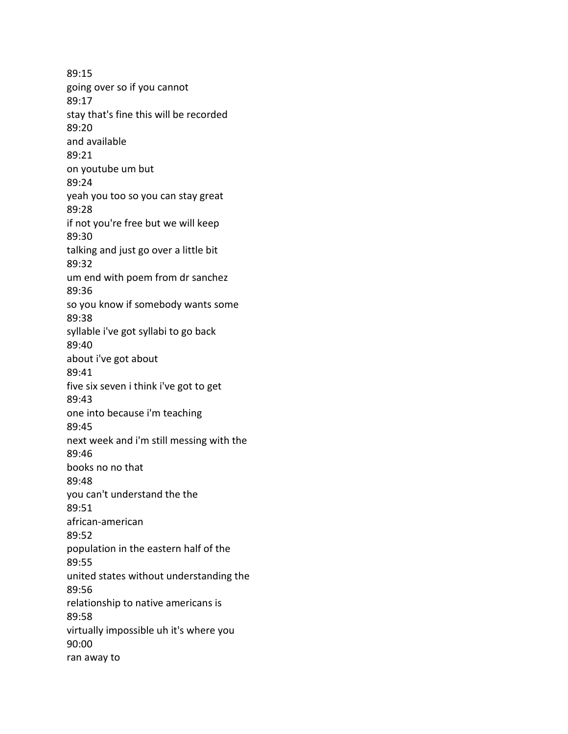89:15 going over so if you cannot 89:17 stay that's fine this will be recorded 89:20 and available 89:21 on youtube um but 89:24 yeah you too so you can stay great 89:28 if not you're free but we will keep 89:30 talking and just go over a little bit 89:32 um end with poem from dr sanchez 89:36 so you know if somebody wants some 89:38 syllable i've got syllabi to go back 89:40 about i've got about 89:41 five six seven i think i've got to get 89:43 one into because i'm teaching 89:45 next week and i'm still messing with the 89:46 books no no that 89:48 you can't understand the the 89:51 african-american 89:52 population in the eastern half of the 89:55 united states without understanding the 89:56 relationship to native americans is 89:58 virtually impossible uh it's where you 90:00 ran away to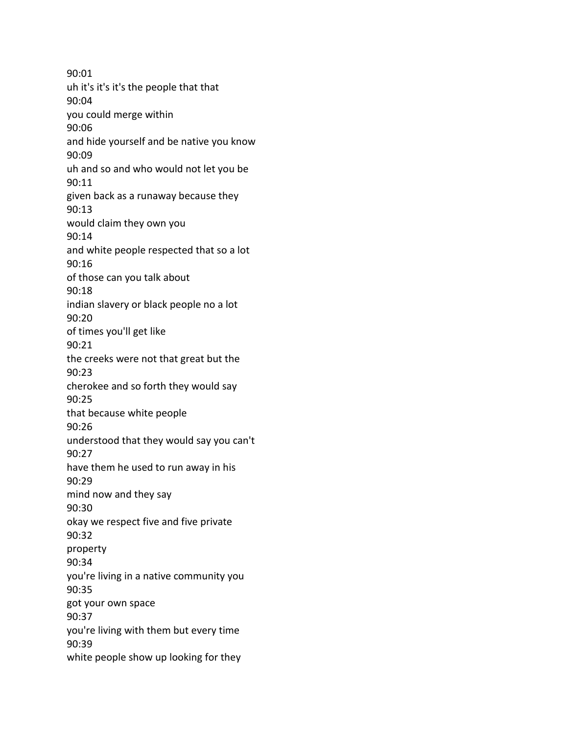90:01 uh it's it's it's the people that that 90:04 you could merge within 90:06 and hide yourself and be native you know 90:09 uh and so and who would not let you be 90:11 given back as a runaway because they 90:13 would claim they own you 90:14 and white people respected that so a lot 90:16 of those can you talk about 90:18 indian slavery or black people no a lot 90:20 of times you'll get like 90:21 the creeks were not that great but the 90:23 cherokee and so forth they would say 90:25 that because white people 90:26 understood that they would say you can't 90:27 have them he used to run away in his 90:29 mind now and they say 90:30 okay we respect five and five private 90:32 property 90:34 you're living in a native community you 90:35 got your own space 90:37 you're living with them but every time 90:39 white people show up looking for they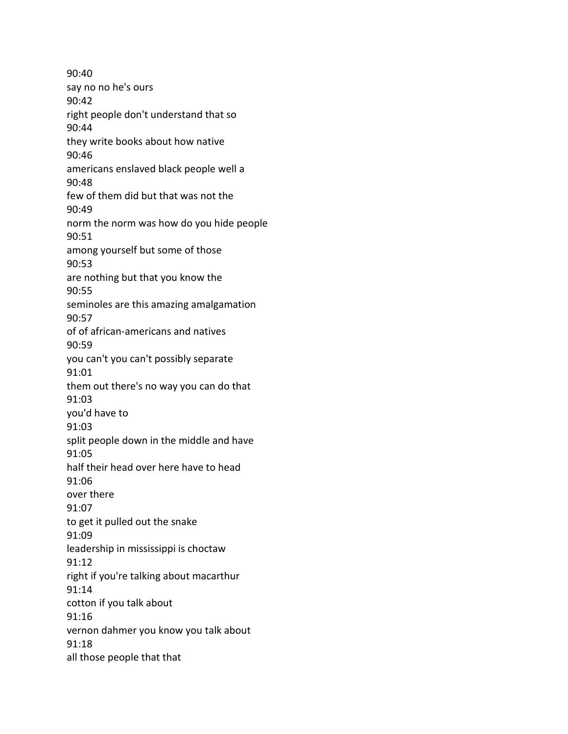90:40 say no no he's ours 90:42 right people don't understand that so 90:44 they write books about how native 90:46 americans enslaved black people well a 90:48 few of them did but that was not the 90:49 norm the norm was how do you hide people 90:51 among yourself but some of those 90:53 are nothing but that you know the 90:55 seminoles are this amazing amalgamation 90:57 of of african-americans and natives 90:59 you can't you can't possibly separate 91:01 them out there's no way you can do that 91:03 you'd have to 91:03 split people down in the middle and have 91:05 half their head over here have to head 91:06 over there 91:07 to get it pulled out the snake 91:09 leadership in mississippi is choctaw 91:12 right if you're talking about macarthur 91:14 cotton if you talk about 91:16 vernon dahmer you know you talk about 91:18 all those people that that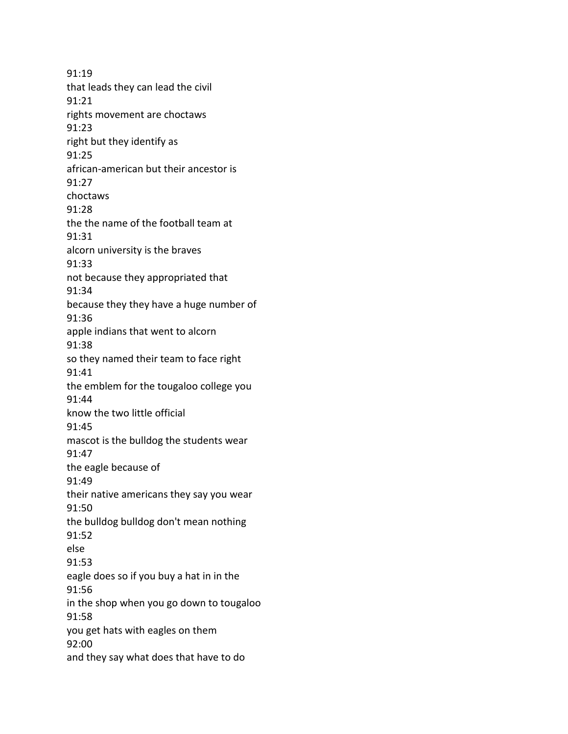91:19 that leads they can lead the civil 91:21 rights movement are choctaws 91:23 right but they identify as 91:25 african-american but their ancestor is 91:27 choctaws 91:28 the the name of the football team at 91:31 alcorn university is the braves 91:33 not because they appropriated that 91:34 because they they have a huge number of 91:36 apple indians that went to alcorn 91:38 so they named their team to face right 91:41 the emblem for the tougaloo college you 91:44 know the two little official 91:45 mascot is the bulldog the students wear 91:47 the eagle because of 91:49 their native americans they say you wear 91:50 the bulldog bulldog don't mean nothing 91:52 else 91:53 eagle does so if you buy a hat in in the 91:56 in the shop when you go down to tougaloo 91:58 you get hats with eagles on them 92:00 and they say what does that have to do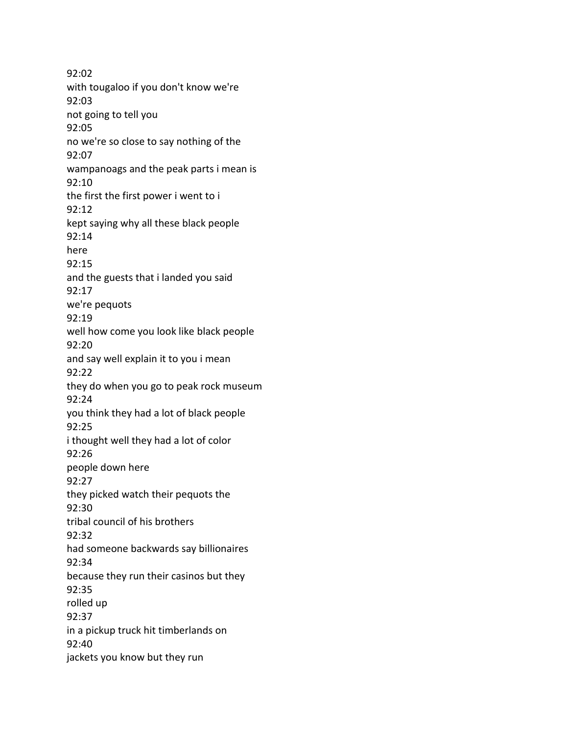92:02 with tougaloo if you don't know we're 92:03 not going to tell you 92:05 no we're so close to say nothing of the 92:07 wampanoags and the peak parts i mean is 92:10 the first the first power i went to i 92:12 kept saying why all these black people 92:14 here 92:15 and the guests that i landed you said 92:17 we're pequots 92:19 well how come you look like black people 92:20 and say well explain it to you i mean 92:22 they do when you go to peak rock museum 92:24 you think they had a lot of black people 92:25 i thought well they had a lot of color 92:26 people down here 92:27 they picked watch their pequots the 92:30 tribal council of his brothers 92:32 had someone backwards say billionaires 92:34 because they run their casinos but they 92:35 rolled up 92:37 in a pickup truck hit timberlands on 92:40 jackets you know but they run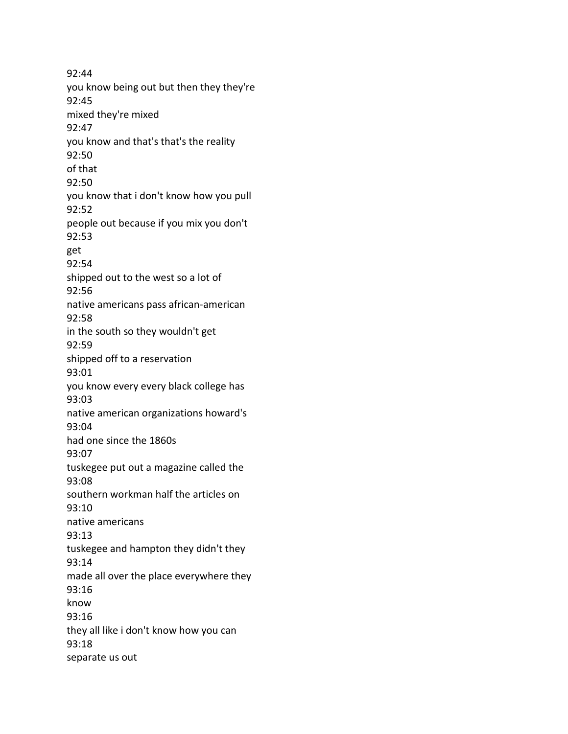92:44 you know being out but then they they're 92:45 mixed they're mixed 92:47 you know and that's that's the reality 92:50 of that 92:50 you know that i don't know how you pull 92:52 people out because if you mix you don't 92:53 get 92:54 shipped out to the west so a lot of 92:56 native americans pass african-american 92:58 in the south so they wouldn't get 92:59 shipped off to a reservation 93:01 you know every every black college has 93:03 native american organizations howard's 93:04 had one since the 1860s 93:07 tuskegee put out a magazine called the 93:08 southern workman half the articles on 93:10 native americans 93:13 tuskegee and hampton they didn't they 93:14 made all over the place everywhere they 93:16 know 93:16 they all like i don't know how you can 93:18 separate us out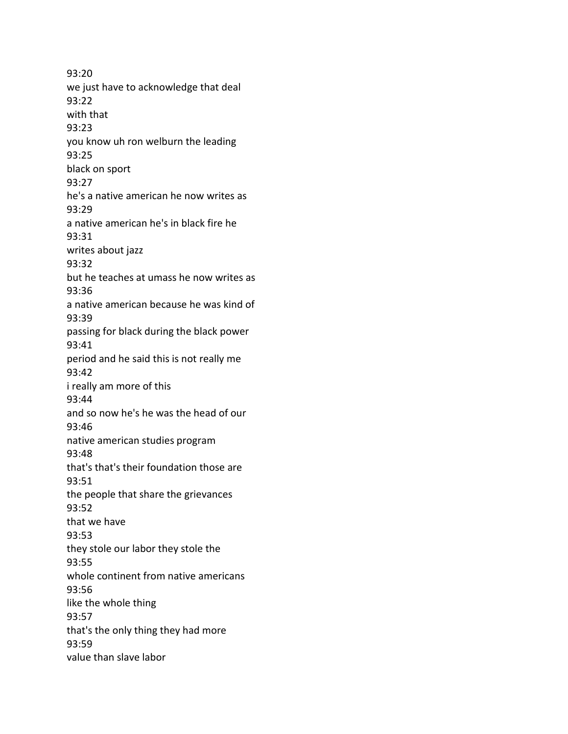93:20 we just have to acknowledge that deal 93:22 with that 93:23 you know uh ron welburn the leading 93:25 black on sport 93:27 he's a native american he now writes as 93:29 a native american he's in black fire he 93:31 writes about jazz 93:32 but he teaches at umass he now writes as 93:36 a native american because he was kind of 93:39 passing for black during the black power 93:41 period and he said this is not really me 93:42 i really am more of this 93:44 and so now he's he was the head of our 93:46 native american studies program 93:48 that's that's their foundation those are 93:51 the people that share the grievances 93:52 that we have 93:53 they stole our labor they stole the 93:55 whole continent from native americans 93:56 like the whole thing 93:57 that's the only thing they had more 93:59 value than slave labor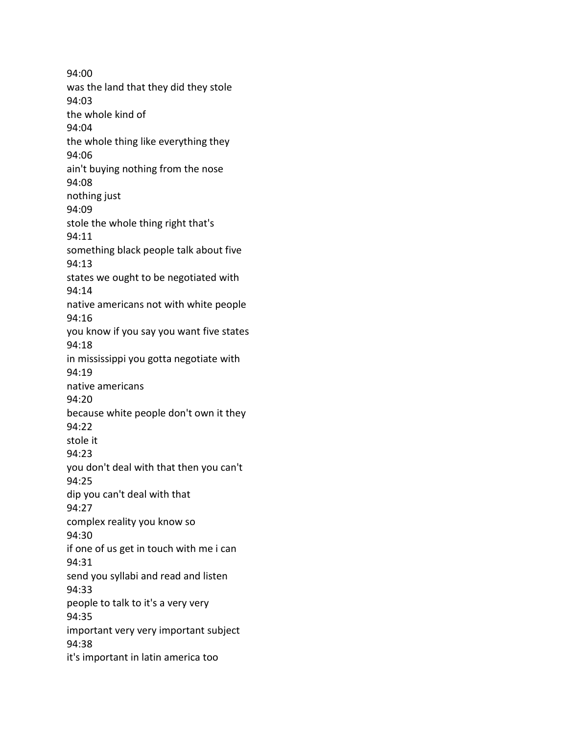94:00 was the land that they did they stole 94:03 the whole kind of 94:04 the whole thing like everything they 94:06 ain't buying nothing from the nose 94:08 nothing just 94:09 stole the whole thing right that's 94:11 something black people talk about five 94:13 states we ought to be negotiated with 94:14 native americans not with white people 94:16 you know if you say you want five states 94:18 in mississippi you gotta negotiate with 94:19 native americans 94:20 because white people don't own it they 94:22 stole it 94:23 you don't deal with that then you can't 94:25 dip you can't deal with that 94:27 complex reality you know so 94:30 if one of us get in touch with me i can 94:31 send you syllabi and read and listen 94:33 people to talk to it's a very very 94:35 important very very important subject 94:38 it's important in latin america too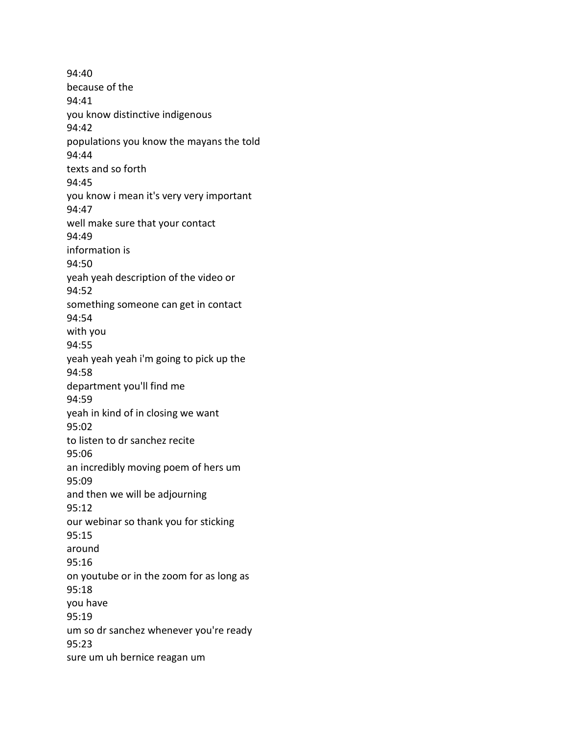94:40 because of the 94:41 you know distinctive indigenous 94:42 populations you know the mayans the told 94:44 texts and so forth 94:45 you know i mean it's very very important 94:47 well make sure that your contact 94:49 information is 94:50 yeah yeah description of the video or 94:52 something someone can get in contact 94:54 with you 94:55 yeah yeah yeah i'm going to pick up the 94:58 department you'll find me 94:59 yeah in kind of in closing we want 95:02 to listen to dr sanchez recite 95:06 an incredibly moving poem of hers um 95:09 and then we will be adjourning 95:12 our webinar so thank you for sticking 95:15 around 95:16 on youtube or in the zoom for as long as 95:18 you have 95:19 um so dr sanchez whenever you're ready 95:23 sure um uh bernice reagan um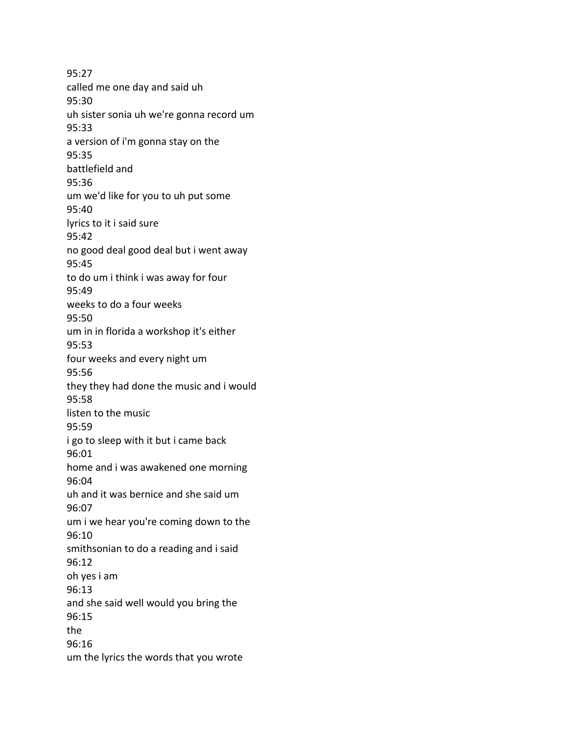95:27 called me one day and said uh 95:30 uh sister sonia uh we're gonna record um 95:33 a version of i'm gonna stay on the 95:35 battlefield and 95:36 um we'd like for you to uh put some 95:40 lyrics to it i said sure 95:42 no good deal good deal but i went away 95:45 to do um i think i was away for four 95:49 weeks to do a four weeks 95:50 um in in florida a workshop it's either 95:53 four weeks and every night um 95:56 they they had done the music and i would 95:58 listen to the music 95:59 i go to sleep with it but i came back 96:01 home and i was awakened one morning 96:04 uh and it was bernice and she said um 96:07 um i we hear you're coming down to the 96:10 smithsonian to do a reading and i said 96:12 oh yes i am 96:13 and she said well would you bring the 96:15 the 96:16 um the lyrics the words that you wrote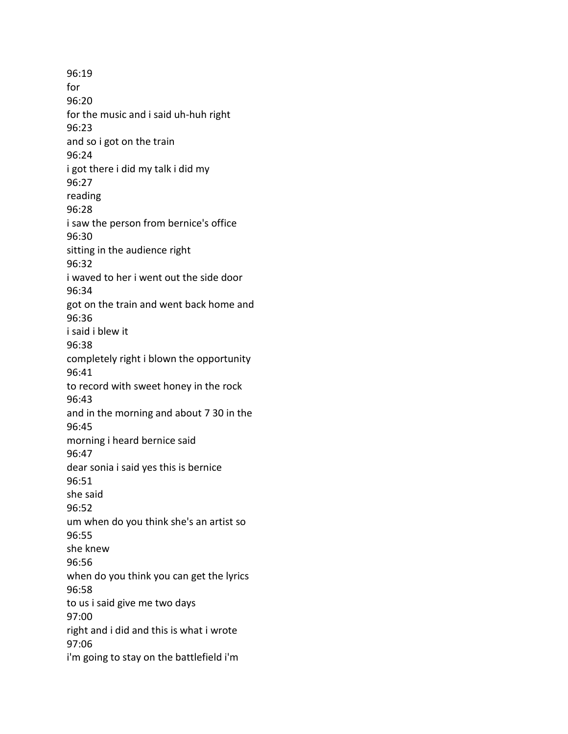96:19 for 96:20 for the music and i said uh-huh right 96:23 and so i got on the train 96:24 i got there i did my talk i did my 96:27 reading 96:28 i saw the person from bernice's office 96:30 sitting in the audience right 96:32 i waved to her i went out the side door 96:34 got on the train and went back home and 96:36 i said i blew it 96:38 completely right i blown the opportunity 96:41 to record with sweet honey in the rock 96:43 and in the morning and about 7 30 in the 96:45 morning i heard bernice said 96:47 dear sonia i said yes this is bernice 96:51 she said 96:52 um when do you think she's an artist so 96:55 she knew 96:56 when do you think you can get the lyrics 96:58 to us i said give me two days 97:00 right and i did and this is what i wrote 97:06 i'm going to stay on the battlefield i'm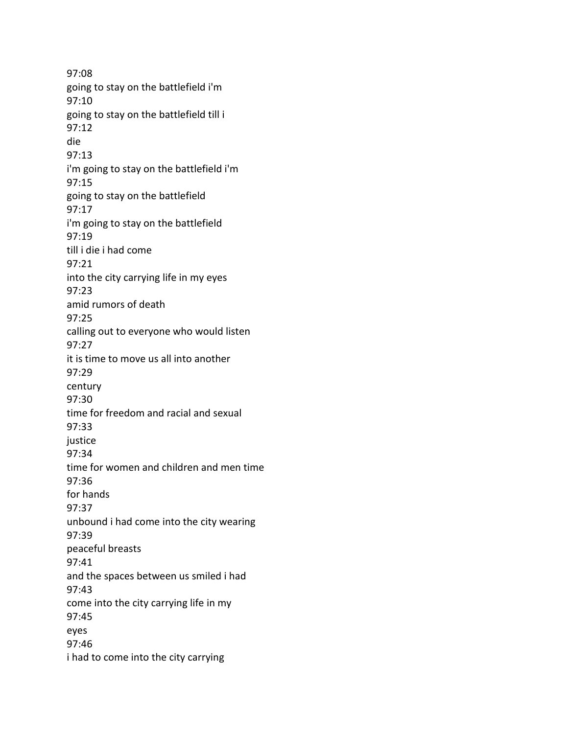97:08 going to stay on the battlefield i'm 97:10 going to stay on the battlefield till i 97:12 die 97:13 i'm going to stay on the battlefield i'm 97:15 going to stay on the battlefield 97:17 i'm going to stay on the battlefield 97:19 till i die i had come 97:21 into the city carrying life in my eyes 97:23 amid rumors of death 97:25 calling out to everyone who would listen 97:27 it is time to move us all into another 97:29 century 97:30 time for freedom and racial and sexual 97:33 justice 97:34 time for women and children and men time 97:36 for hands 97:37 unbound i had come into the city wearing 97:39 peaceful breasts 97:41 and the spaces between us smiled i had 97:43 come into the city carrying life in my 97:45 eyes 97:46 i had to come into the city carrying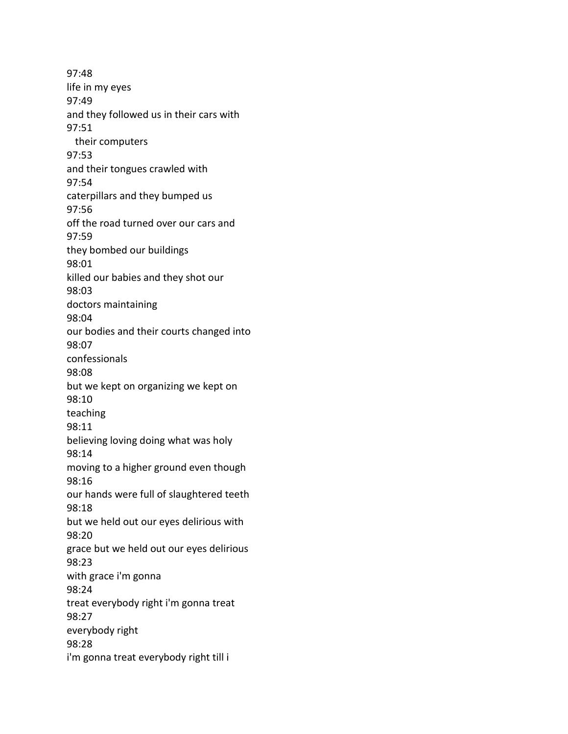97:48 life in my eyes 97:49 and they followed us in their cars with 97:51 their computers 97:53 and their tongues crawled with 97:54 caterpillars and they bumped us 97:56 off the road turned over our cars and 97:59 they bombed our buildings 98:01 killed our babies and they shot our 98:03 doctors maintaining 98:04 our bodies and their courts changed into 98:07 confessionals 98:08 but we kept on organizing we kept on 98:10 teaching 98:11 believing loving doing what was holy 98:14 moving to a higher ground even though 98:16 our hands were full of slaughtered teeth 98:18 but we held out our eyes delirious with 98:20 grace but we held out our eyes delirious 98:23 with grace i'm gonna 98:24 treat everybody right i'm gonna treat 98:27 everybody right 98:28 i'm gonna treat everybody right till i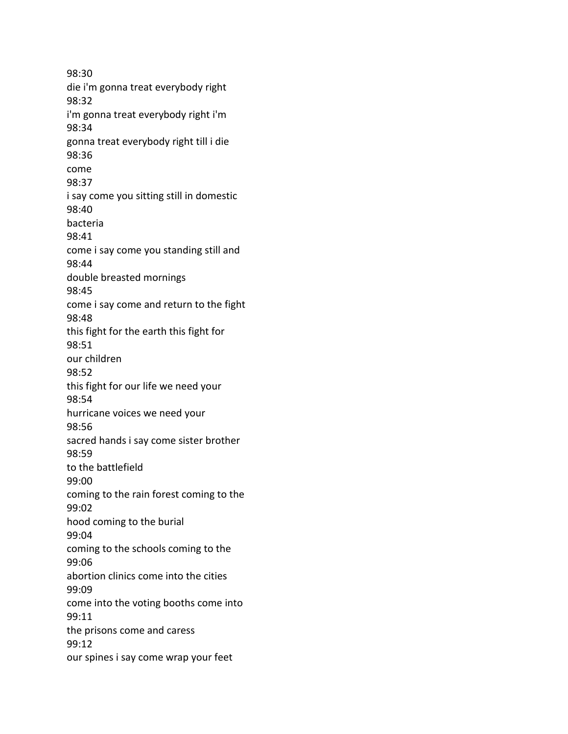98:30 die i'm gonna treat everybody right 98:32 i'm gonna treat everybody right i'm 98:34 gonna treat everybody right till i die 98:36 come 98:37 i say come you sitting still in domestic 98:40 bacteria 98:41 come i say come you standing still and 98:44 double breasted mornings 98:45 come i say come and return to the fight 98:48 this fight for the earth this fight for 98:51 our children 98:52 this fight for our life we need your 98:54 hurricane voices we need your 98:56 sacred hands i say come sister brother 98:59 to the battlefield 99:00 coming to the rain forest coming to the 99:02 hood coming to the burial 99:04 coming to the schools coming to the 99:06 abortion clinics come into the cities 99:09 come into the voting booths come into 99:11 the prisons come and caress 99:12 our spines i say come wrap your feet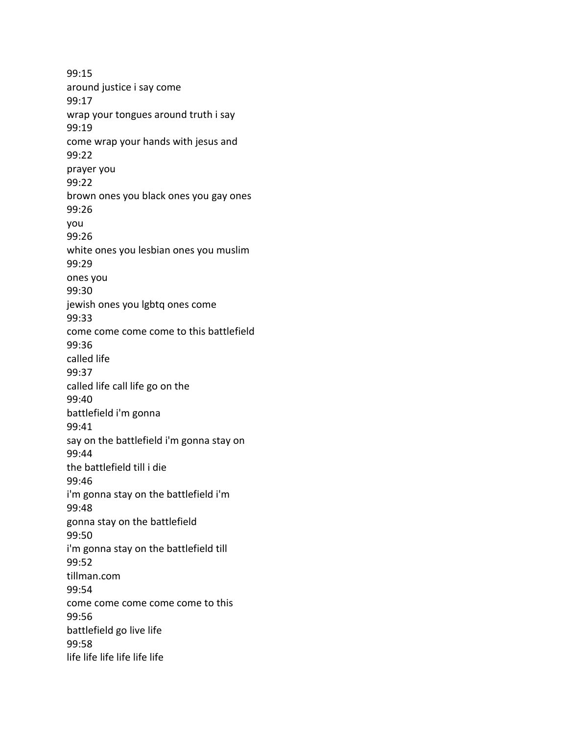99:15 around justice i say come 99:17 wrap your tongues around truth i say 99:19 come wrap your hands with jesus and 99:22 prayer you 99:22 brown ones you black ones you gay ones 99:26 you 99:26 white ones you lesbian ones you muslim 99:29 ones you 99:30 jewish ones you lgbtq ones come 99:33 come come come come to this battlefield 99:36 called life 99:37 called life call life go on the 99:40 battlefield i'm gonna 99:41 say on the battlefield i'm gonna stay on 99:44 the battlefield till i die 99:46 i'm gonna stay on the battlefield i'm 99:48 gonna stay on the battlefield 99:50 i'm gonna stay on the battlefield till 99:52 tillman.com 99:54 come come come come come to this 99:56 battlefield go live life 99:58 life life life life life life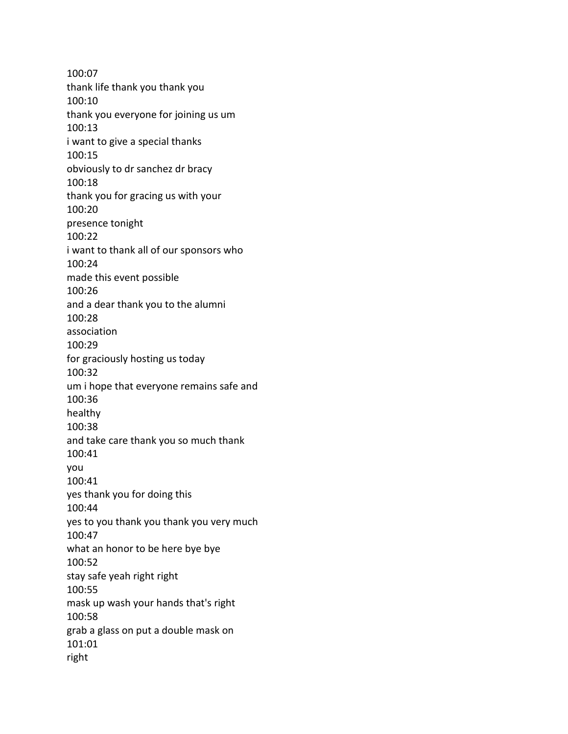100:07 thank life thank you thank you 100:10 thank you everyone for joining us um 100:13 i want to give a special thanks 100:15 obviously to dr sanchez dr bracy 100:18 thank you for gracing us with your 100:20 presence tonight 100:22 i want to thank all of our sponsors who 100:24 made this event possible 100:26 and a dear thank you to the alumni 100:28 association 100:29 for graciously hosting us today 100:32 um i hope that everyone remains safe and 100:36 healthy 100:38 and take care thank you so much thank 100:41 you 100:41 yes thank you for doing this 100:44 yes to you thank you thank you very much 100:47 what an honor to be here bye bye 100:52 stay safe yeah right right 100:55 mask up wash your hands that's right 100:58 grab a glass on put a double mask on 101:01 right